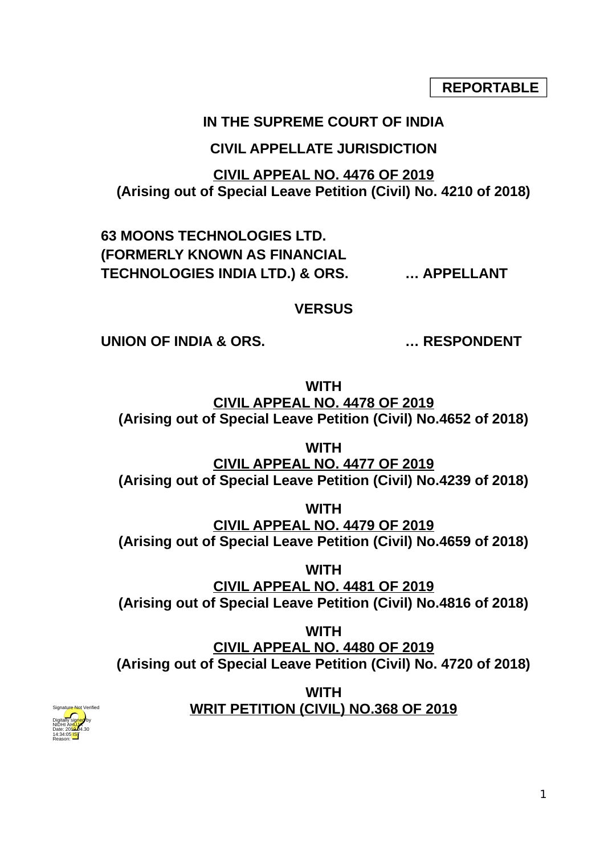**REPORTABLE**

## **IN THE SUPREME COURT OF INDIA**

## **CIVIL APPELLATE JURISDICTION**

## **CIVIL APPEAL NO. 4476 OF 2019 (Arising out of Special Leave Petition (Civil) No. 4210 of 2018)**

**63 MOONS TECHNOLOGIES LTD. (FORMERLY KNOWN AS FINANCIAL TECHNOLOGIES INDIA LTD.) & ORS. … APPELLANT**

# **VERSUS**

**UNION OF INDIA & ORS. … RESPONDENT**

**WITH**

**CIVIL APPEAL NO. 4478 OF 2019 (Arising out of Special Leave Petition (Civil) No.4652 of 2018)**

**WITH**

**CIVIL APPEAL NO. 4477 OF 2019 (Arising out of Special Leave Petition (Civil) No.4239 of 2018)**

**WITH**

**CIVIL APPEAL NO. 4479 OF 2019 (Arising out of Special Leave Petition (Civil) No.4659 of 2018)**

**WITH**

**CIVIL APPEAL NO. 4481 OF 2019 (Arising out of Special Leave Petition (Civil) No.4816 of 2018)**

**WITH**

**CIVIL APPEAL NO. 4480 OF 2019**

**(Arising out of Special Leave Petition (Civil) No. 4720 of 2018)**

**WITH WRIT PETITION (CIVIL) NO.368 OF 2019**

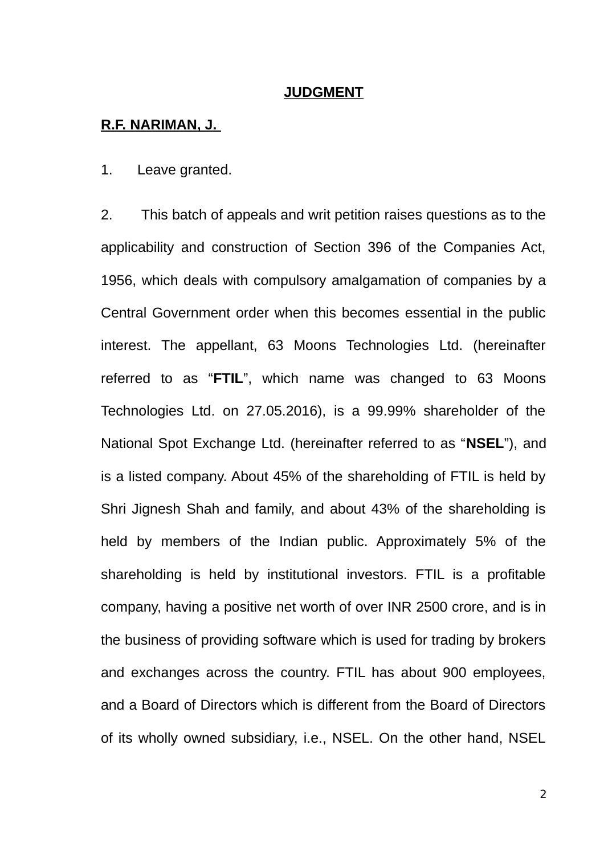#### **JUDGMENT**

#### **R.F. NARIMAN, J.**

1. Leave granted.

2. This batch of appeals and writ petition raises questions as to the applicability and construction of Section 396 of the Companies Act, 1956, which deals with compulsory amalgamation of companies by a Central Government order when this becomes essential in the public interest. The appellant, 63 Moons Technologies Ltd. (hereinafter referred to as "**FTIL**", which name was changed to 63 Moons Technologies Ltd. on 27.05.2016), is a 99.99% shareholder of the National Spot Exchange Ltd. (hereinafter referred to as "**NSEL**"), and is a listed company. About 45% of the shareholding of FTIL is held by Shri Jignesh Shah and family, and about 43% of the shareholding is held by members of the Indian public. Approximately 5% of the shareholding is held by institutional investors. FTIL is a profitable company, having a positive net worth of over INR 2500 crore, and is in the business of providing software which is used for trading by brokers and exchanges across the country. FTIL has about 900 employees, and a Board of Directors which is different from the Board of Directors of its wholly owned subsidiary, i.e., NSEL. On the other hand, NSEL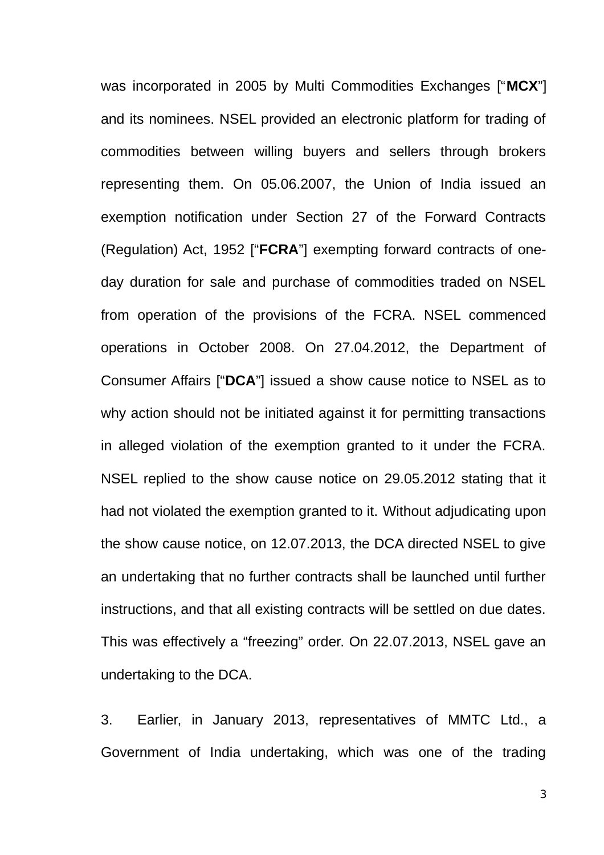was incorporated in 2005 by Multi Commodities Exchanges ["**MCX**"] and its nominees. NSEL provided an electronic platform for trading of commodities between willing buyers and sellers through brokers representing them. On 05.06.2007, the Union of India issued an exemption notification under Section 27 of the Forward Contracts (Regulation) Act, 1952 ["**FCRA**"] exempting forward contracts of oneday duration for sale and purchase of commodities traded on NSEL from operation of the provisions of the FCRA. NSEL commenced operations in October 2008. On 27.04.2012, the Department of Consumer Affairs ["**DCA**"] issued a show cause notice to NSEL as to why action should not be initiated against it for permitting transactions in alleged violation of the exemption granted to it under the FCRA. NSEL replied to the show cause notice on 29.05.2012 stating that it had not violated the exemption granted to it. Without adjudicating upon the show cause notice, on 12.07.2013, the DCA directed NSEL to give an undertaking that no further contracts shall be launched until further instructions, and that all existing contracts will be settled on due dates. This was effectively a "freezing" order. On 22.07.2013, NSEL gave an undertaking to the DCA.

3. Earlier, in January 2013, representatives of MMTC Ltd., a Government of India undertaking, which was one of the trading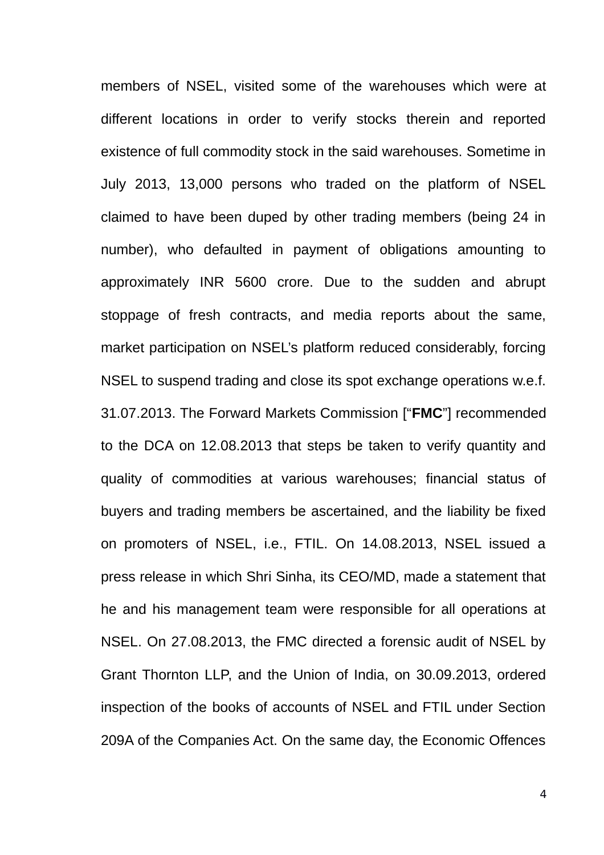members of NSEL, visited some of the warehouses which were at different locations in order to verify stocks therein and reported existence of full commodity stock in the said warehouses. Sometime in July 2013, 13,000 persons who traded on the platform of NSEL claimed to have been duped by other trading members (being 24 in number), who defaulted in payment of obligations amounting to approximately INR 5600 crore. Due to the sudden and abrupt stoppage of fresh contracts, and media reports about the same, market participation on NSEL's platform reduced considerably, forcing NSEL to suspend trading and close its spot exchange operations w.e.f. 31.07.2013. The Forward Markets Commission ["**FMC**"] recommended to the DCA on 12.08.2013 that steps be taken to verify quantity and quality of commodities at various warehouses; financial status of buyers and trading members be ascertained, and the liability be fixed on promoters of NSEL, i.e., FTIL. On 14.08.2013, NSEL issued a press release in which Shri Sinha, its CEO/MD, made a statement that he and his management team were responsible for all operations at NSEL. On 27.08.2013, the FMC directed a forensic audit of NSEL by Grant Thornton LLP, and the Union of India, on 30.09.2013, ordered inspection of the books of accounts of NSEL and FTIL under Section 209A of the Companies Act. On the same day, the Economic Offences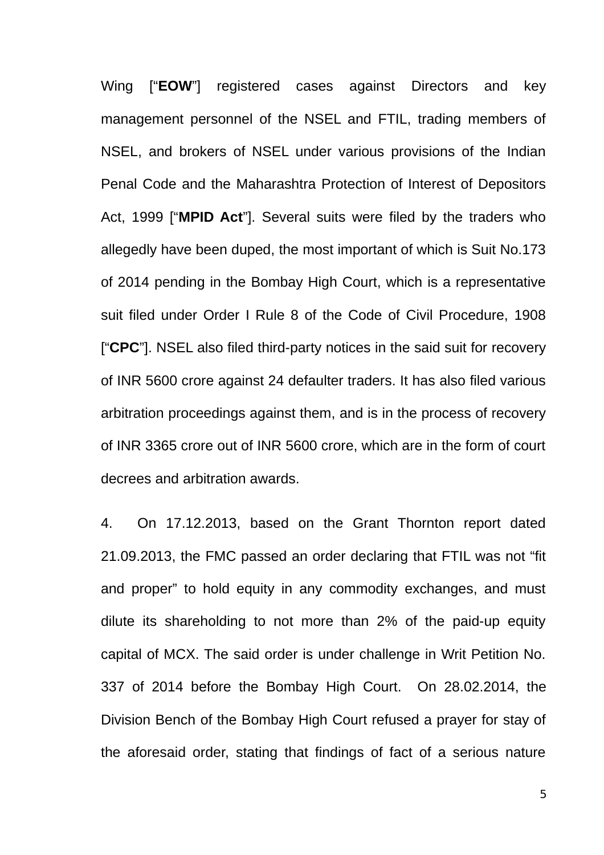Wing ["**EOW**"] registered cases against Directors and key management personnel of the NSEL and FTIL, trading members of NSEL, and brokers of NSEL under various provisions of the Indian Penal Code and the Maharashtra Protection of Interest of Depositors Act, 1999 ["**MPID Act**"]. Several suits were filed by the traders who allegedly have been duped, the most important of which is Suit No.173 of 2014 pending in the Bombay High Court, which is a representative suit filed under Order I Rule 8 of the Code of Civil Procedure, 1908 ["**CPC**"]. NSEL also filed third-party notices in the said suit for recovery of INR 5600 crore against 24 defaulter traders. It has also filed various arbitration proceedings against them, and is in the process of recovery of INR 3365 crore out of INR 5600 crore, which are in the form of court decrees and arbitration awards.

4. On 17.12.2013, based on the Grant Thornton report dated 21.09.2013, the FMC passed an order declaring that FTIL was not "fit and proper" to hold equity in any commodity exchanges, and must dilute its shareholding to not more than 2% of the paid-up equity capital of MCX. The said order is under challenge in Writ Petition No. 337 of 2014 before the Bombay High Court. On 28.02.2014, the Division Bench of the Bombay High Court refused a prayer for stay of the aforesaid order, stating that findings of fact of a serious nature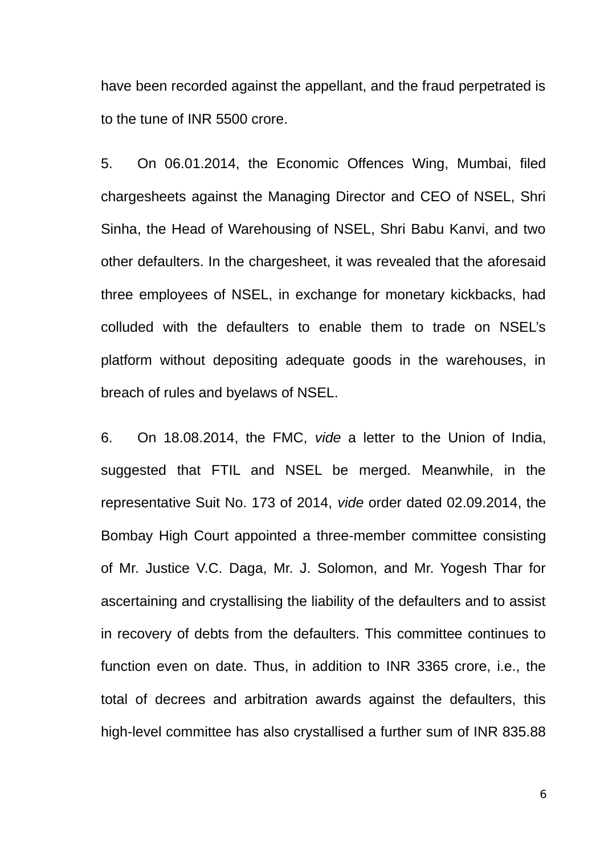have been recorded against the appellant, and the fraud perpetrated is to the tune of INR 5500 crore.

5. On 06.01.2014, the Economic Offences Wing, Mumbai, filed chargesheets against the Managing Director and CEO of NSEL, Shri Sinha, the Head of Warehousing of NSEL, Shri Babu Kanvi, and two other defaulters. In the chargesheet, it was revealed that the aforesaid three employees of NSEL, in exchange for monetary kickbacks, had colluded with the defaulters to enable them to trade on NSEL's platform without depositing adequate goods in the warehouses, in breach of rules and byelaws of NSEL.

6. On 18.08.2014, the FMC, *vide* a letter to the Union of India, suggested that FTIL and NSEL be merged. Meanwhile, in the representative Suit No. 173 of 2014, *vide* order dated 02.09.2014, the Bombay High Court appointed a three-member committee consisting of Mr. Justice V.C. Daga, Mr. J. Solomon, and Mr. Yogesh Thar for ascertaining and crystallising the liability of the defaulters and to assist in recovery of debts from the defaulters. This committee continues to function even on date. Thus, in addition to INR 3365 crore, i.e., the total of decrees and arbitration awards against the defaulters, this high-level committee has also crystallised a further sum of INR 835.88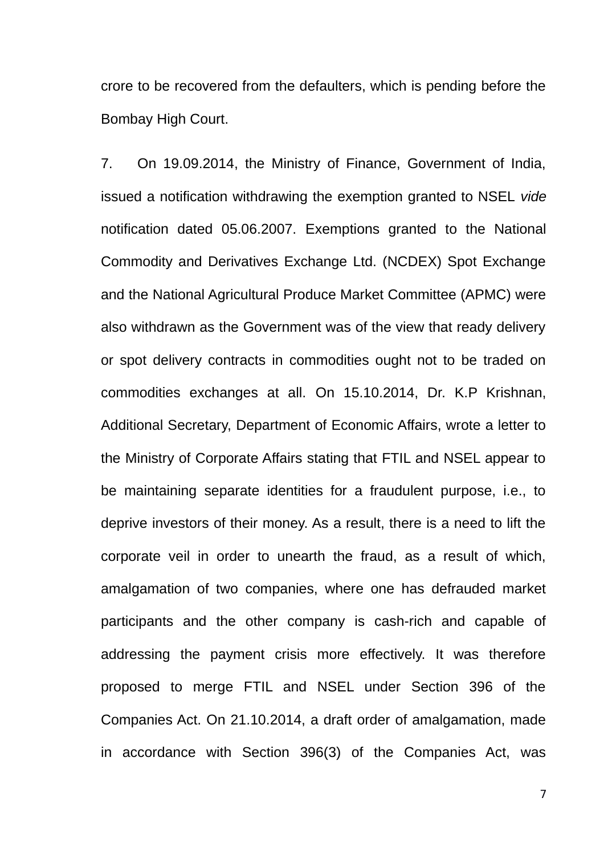crore to be recovered from the defaulters, which is pending before the Bombay High Court.

7. On 19.09.2014, the Ministry of Finance, Government of India, issued a notification withdrawing the exemption granted to NSEL *vide* notification dated 05.06.2007. Exemptions granted to the National Commodity and Derivatives Exchange Ltd. (NCDEX) Spot Exchange and the National Agricultural Produce Market Committee (APMC) were also withdrawn as the Government was of the view that ready delivery or spot delivery contracts in commodities ought not to be traded on commodities exchanges at all. On 15.10.2014, Dr. K.P Krishnan, Additional Secretary, Department of Economic Affairs, wrote a letter to the Ministry of Corporate Affairs stating that FTIL and NSEL appear to be maintaining separate identities for a fraudulent purpose, i.e., to deprive investors of their money. As a result, there is a need to lift the corporate veil in order to unearth the fraud, as a result of which, amalgamation of two companies, where one has defrauded market participants and the other company is cash-rich and capable of addressing the payment crisis more effectively. It was therefore proposed to merge FTIL and NSEL under Section 396 of the Companies Act. On 21.10.2014, a draft order of amalgamation, made in accordance with Section 396(3) of the Companies Act, was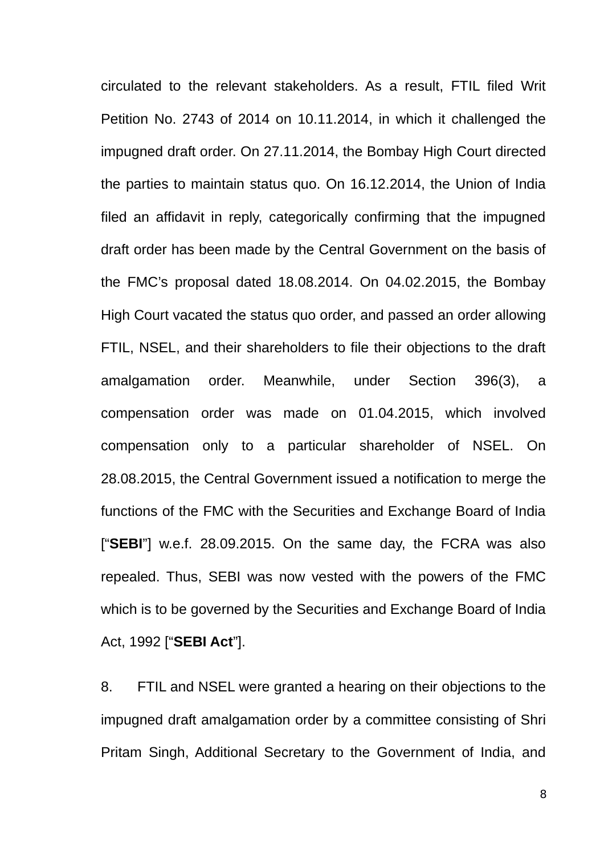circulated to the relevant stakeholders. As a result, FTIL filed Writ Petition No. 2743 of 2014 on 10.11.2014, in which it challenged the impugned draft order. On 27.11.2014, the Bombay High Court directed the parties to maintain status quo. On 16.12.2014, the Union of India filed an affidavit in reply, categorically confirming that the impugned draft order has been made by the Central Government on the basis of the FMC's proposal dated 18.08.2014. On 04.02.2015, the Bombay High Court vacated the status quo order, and passed an order allowing FTIL, NSEL, and their shareholders to file their objections to the draft amalgamation order. Meanwhile, under Section 396(3), a compensation order was made on 01.04.2015, which involved compensation only to a particular shareholder of NSEL. On 28.08.2015, the Central Government issued a notification to merge the functions of the FMC with the Securities and Exchange Board of India ["**SEBI**"] w.e.f. 28.09.2015. On the same day, the FCRA was also repealed. Thus, SEBI was now vested with the powers of the FMC which is to be governed by the Securities and Exchange Board of India Act, 1992 ["**SEBI Act**"].

8. FTIL and NSEL were granted a hearing on their objections to the impugned draft amalgamation order by a committee consisting of Shri Pritam Singh, Additional Secretary to the Government of India, and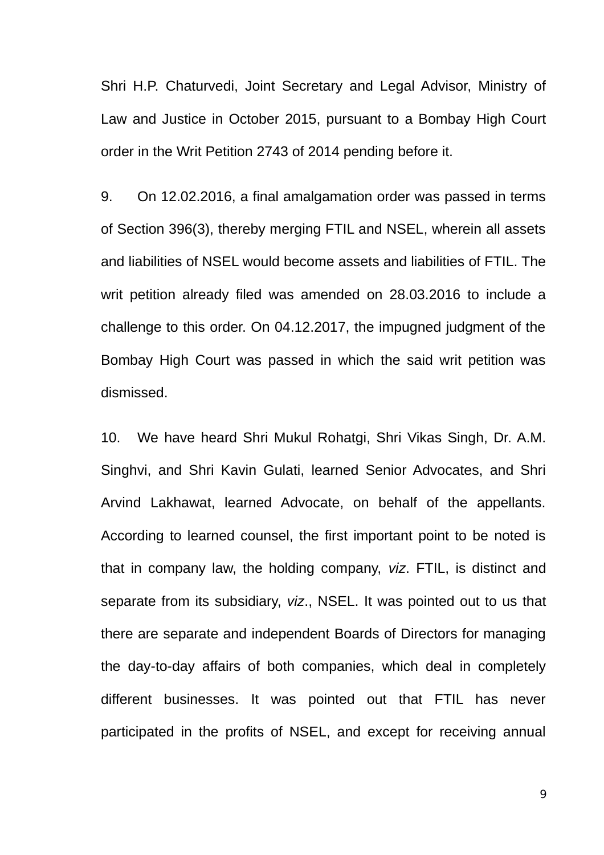Shri H.P. Chaturvedi, Joint Secretary and Legal Advisor, Ministry of Law and Justice in October 2015, pursuant to a Bombay High Court order in the Writ Petition 2743 of 2014 pending before it.

9. On 12.02.2016, a final amalgamation order was passed in terms of Section 396(3), thereby merging FTIL and NSEL, wherein all assets and liabilities of NSEL would become assets and liabilities of FTIL. The writ petition already filed was amended on 28.03.2016 to include a challenge to this order. On 04.12.2017, the impugned judgment of the Bombay High Court was passed in which the said writ petition was dismissed.

10. We have heard Shri Mukul Rohatgi, Shri Vikas Singh, Dr. A.M. Singhvi, and Shri Kavin Gulati, learned Senior Advocates, and Shri Arvind Lakhawat, learned Advocate, on behalf of the appellants. According to learned counsel, the first important point to be noted is that in company law, the holding company, *viz*. FTIL, is distinct and separate from its subsidiary, *viz*., NSEL. It was pointed out to us that there are separate and independent Boards of Directors for managing the day-to-day affairs of both companies, which deal in completely different businesses. It was pointed out that FTIL has never participated in the profits of NSEL, and except for receiving annual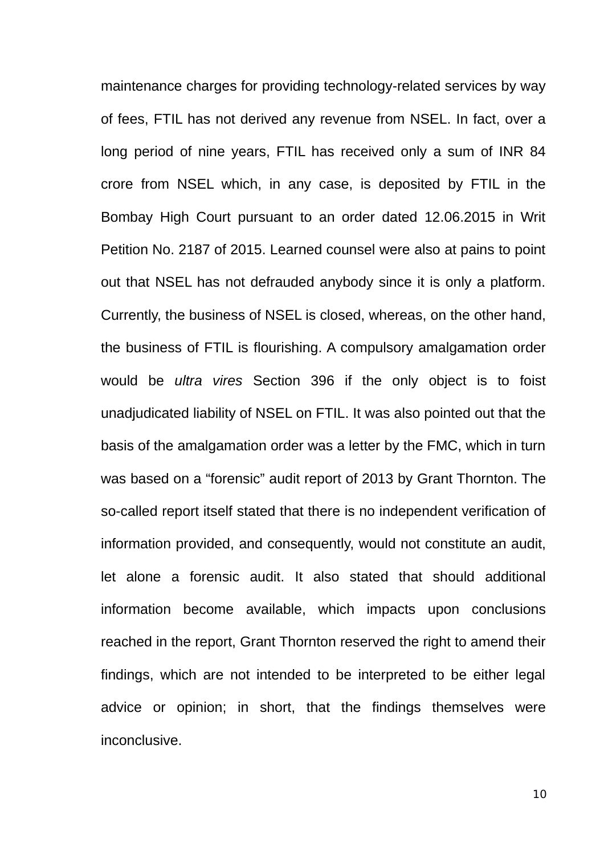maintenance charges for providing technology-related services by way of fees, FTIL has not derived any revenue from NSEL. In fact, over a long period of nine years, FTIL has received only a sum of INR 84 crore from NSEL which, in any case, is deposited by FTIL in the Bombay High Court pursuant to an order dated 12.06.2015 in Writ Petition No. 2187 of 2015. Learned counsel were also at pains to point out that NSEL has not defrauded anybody since it is only a platform. Currently, the business of NSEL is closed, whereas, on the other hand, the business of FTIL is flourishing. A compulsory amalgamation order would be *ultra vires* Section 396 if the only object is to foist unadjudicated liability of NSEL on FTIL. It was also pointed out that the basis of the amalgamation order was a letter by the FMC, which in turn was based on a "forensic" audit report of 2013 by Grant Thornton. The so-called report itself stated that there is no independent verification of information provided, and consequently, would not constitute an audit, let alone a forensic audit. It also stated that should additional information become available, which impacts upon conclusions reached in the report, Grant Thornton reserved the right to amend their findings, which are not intended to be interpreted to be either legal advice or opinion; in short, that the findings themselves were inconclusive.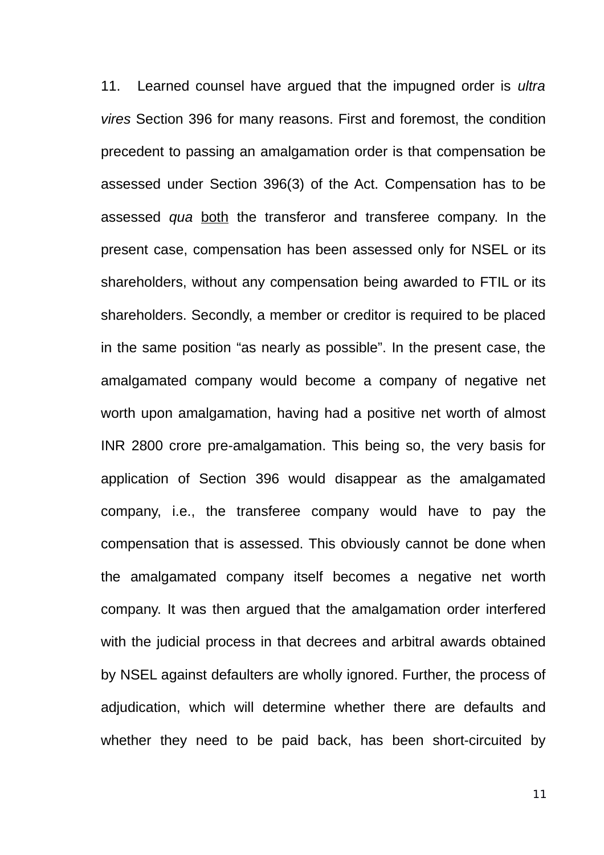11. Learned counsel have argued that the impugned order is *ultra vires* Section 396 for many reasons. First and foremost, the condition precedent to passing an amalgamation order is that compensation be assessed under Section 396(3) of the Act. Compensation has to be assessed *qua* both the transferor and transferee company. In the present case, compensation has been assessed only for NSEL or its shareholders, without any compensation being awarded to FTIL or its shareholders. Secondly, a member or creditor is required to be placed in the same position "as nearly as possible". In the present case, the amalgamated company would become a company of negative net worth upon amalgamation, having had a positive net worth of almost INR 2800 crore pre-amalgamation. This being so, the very basis for application of Section 396 would disappear as the amalgamated company, i.e., the transferee company would have to pay the compensation that is assessed. This obviously cannot be done when the amalgamated company itself becomes a negative net worth company. It was then argued that the amalgamation order interfered with the judicial process in that decrees and arbitral awards obtained by NSEL against defaulters are wholly ignored. Further, the process of adjudication, which will determine whether there are defaults and whether they need to be paid back, has been short-circuited by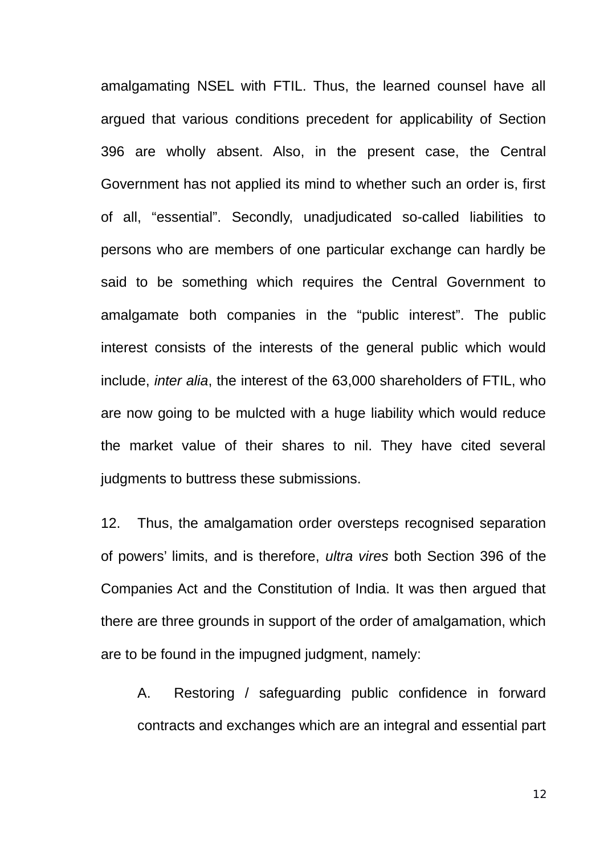amalgamating NSEL with FTIL. Thus, the learned counsel have all argued that various conditions precedent for applicability of Section 396 are wholly absent. Also, in the present case, the Central Government has not applied its mind to whether such an order is, first of all, "essential". Secondly, unadjudicated so-called liabilities to persons who are members of one particular exchange can hardly be said to be something which requires the Central Government to amalgamate both companies in the "public interest". The public interest consists of the interests of the general public which would include, *inter alia*, the interest of the 63,000 shareholders of FTIL, who are now going to be mulcted with a huge liability which would reduce the market value of their shares to nil. They have cited several judgments to buttress these submissions.

12. Thus, the amalgamation order oversteps recognised separation of powers' limits, and is therefore, *ultra vires* both Section 396 of the Companies Act and the Constitution of India. It was then argued that there are three grounds in support of the order of amalgamation, which are to be found in the impugned judgment, namely:

A. Restoring / safeguarding public confidence in forward contracts and exchanges which are an integral and essential part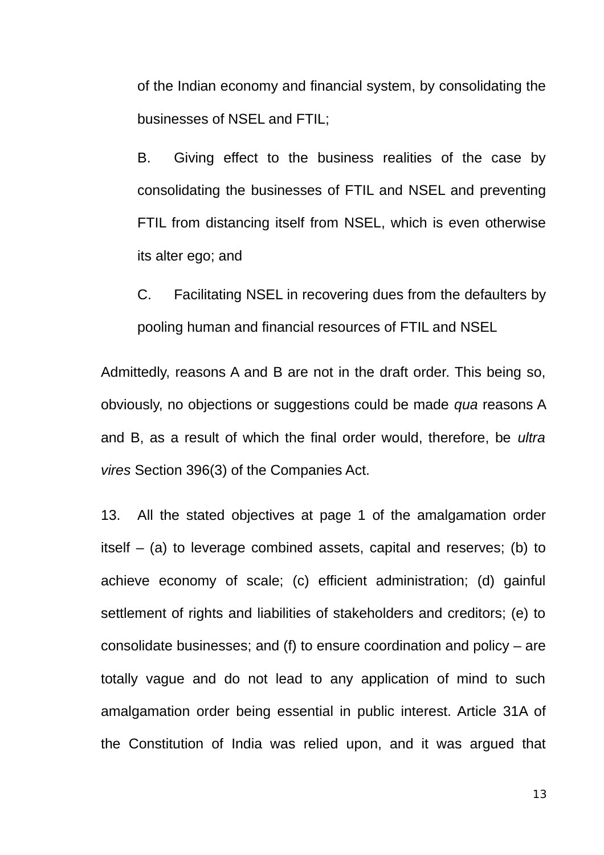of the Indian economy and financial system, by consolidating the businesses of NSEL and FTIL;

B. Giving effect to the business realities of the case by consolidating the businesses of FTIL and NSEL and preventing FTIL from distancing itself from NSEL, which is even otherwise its alter ego; and

C. Facilitating NSEL in recovering dues from the defaulters by pooling human and financial resources of FTIL and NSEL

Admittedly, reasons A and B are not in the draft order. This being so, obviously, no objections or suggestions could be made *qua* reasons A and B, as a result of which the final order would, therefore, be *ultra vires* Section 396(3) of the Companies Act.

13. All the stated objectives at page 1 of the amalgamation order itself – (a) to leverage combined assets, capital and reserves; (b) to achieve economy of scale; (c) efficient administration; (d) gainful settlement of rights and liabilities of stakeholders and creditors; (e) to consolidate businesses; and (f) to ensure coordination and policy – are totally vague and do not lead to any application of mind to such amalgamation order being essential in public interest. Article 31A of the Constitution of India was relied upon, and it was argued that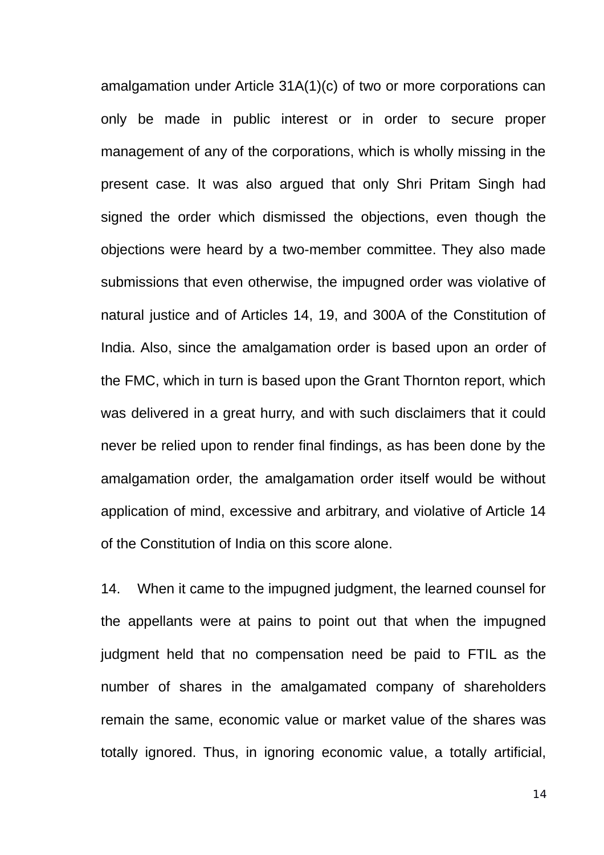amalgamation under Article 31A(1)(c) of two or more corporations can only be made in public interest or in order to secure proper management of any of the corporations, which is wholly missing in the present case. It was also argued that only Shri Pritam Singh had signed the order which dismissed the objections, even though the objections were heard by a two-member committee. They also made submissions that even otherwise, the impugned order was violative of natural justice and of Articles 14, 19, and 300A of the Constitution of India. Also, since the amalgamation order is based upon an order of the FMC, which in turn is based upon the Grant Thornton report, which was delivered in a great hurry, and with such disclaimers that it could never be relied upon to render final findings, as has been done by the amalgamation order, the amalgamation order itself would be without application of mind, excessive and arbitrary, and violative of Article 14 of the Constitution of India on this score alone.

14. When it came to the impugned judgment, the learned counsel for the appellants were at pains to point out that when the impugned judgment held that no compensation need be paid to FTIL as the number of shares in the amalgamated company of shareholders remain the same, economic value or market value of the shares was totally ignored. Thus, in ignoring economic value, a totally artificial,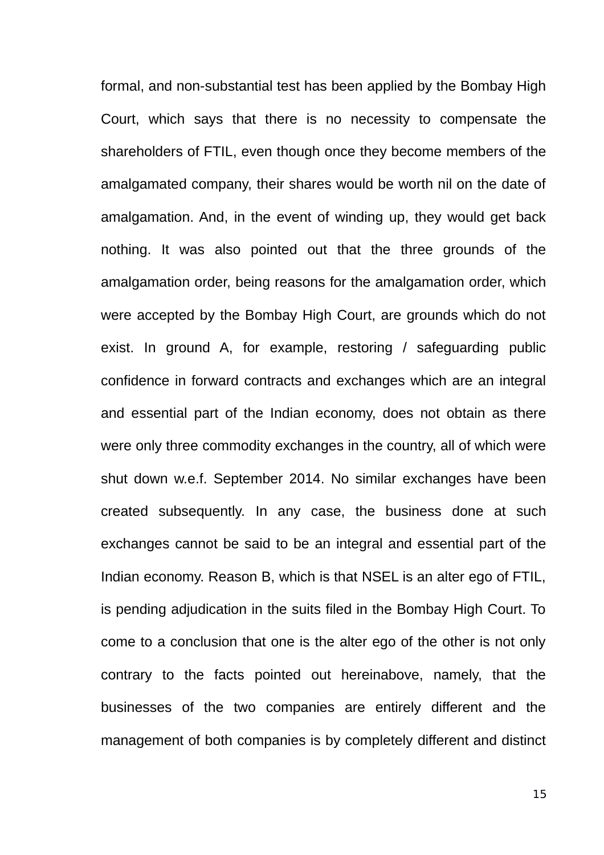formal, and non-substantial test has been applied by the Bombay High Court, which says that there is no necessity to compensate the shareholders of FTIL, even though once they become members of the amalgamated company, their shares would be worth nil on the date of amalgamation. And, in the event of winding up, they would get back nothing. It was also pointed out that the three grounds of the amalgamation order, being reasons for the amalgamation order, which were accepted by the Bombay High Court, are grounds which do not exist. In ground A, for example, restoring / safeguarding public confidence in forward contracts and exchanges which are an integral and essential part of the Indian economy, does not obtain as there were only three commodity exchanges in the country, all of which were shut down w.e.f. September 2014. No similar exchanges have been created subsequently. In any case, the business done at such exchanges cannot be said to be an integral and essential part of the Indian economy. Reason B, which is that NSEL is an alter ego of FTIL, is pending adjudication in the suits filed in the Bombay High Court. To come to a conclusion that one is the alter ego of the other is not only contrary to the facts pointed out hereinabove, namely, that the businesses of the two companies are entirely different and the management of both companies is by completely different and distinct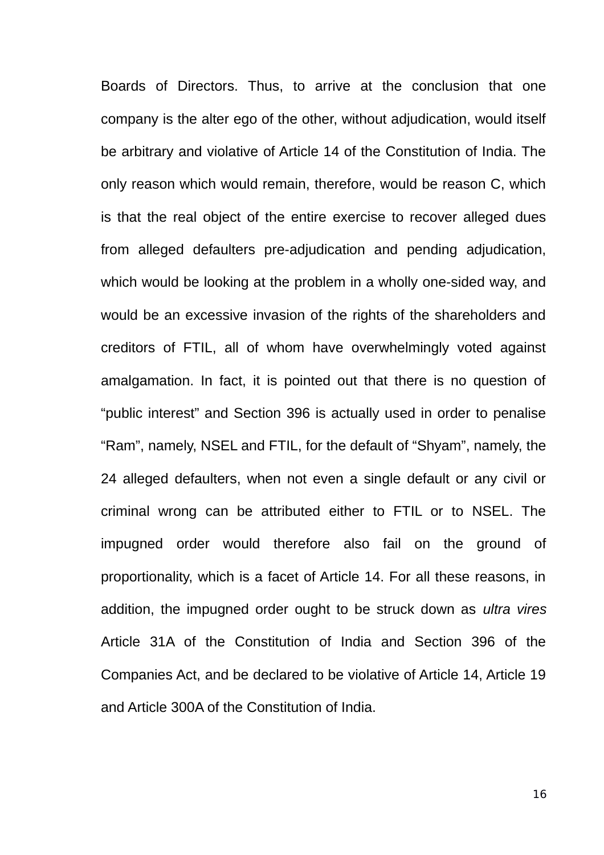Boards of Directors. Thus, to arrive at the conclusion that one company is the alter ego of the other, without adjudication, would itself be arbitrary and violative of Article 14 of the Constitution of India. The only reason which would remain, therefore, would be reason C, which is that the real object of the entire exercise to recover alleged dues from alleged defaulters pre-adjudication and pending adjudication, which would be looking at the problem in a wholly one-sided way, and would be an excessive invasion of the rights of the shareholders and creditors of FTIL, all of whom have overwhelmingly voted against amalgamation. In fact, it is pointed out that there is no question of "public interest" and Section 396 is actually used in order to penalise "Ram", namely, NSEL and FTIL, for the default of "Shyam", namely, the 24 alleged defaulters, when not even a single default or any civil or criminal wrong can be attributed either to FTIL or to NSEL. The impugned order would therefore also fail on the ground of proportionality, which is a facet of Article 14. For all these reasons, in addition, the impugned order ought to be struck down as *ultra vires* Article 31A of the Constitution of India and Section 396 of the Companies Act, and be declared to be violative of Article 14, Article 19 and Article 300A of the Constitution of India.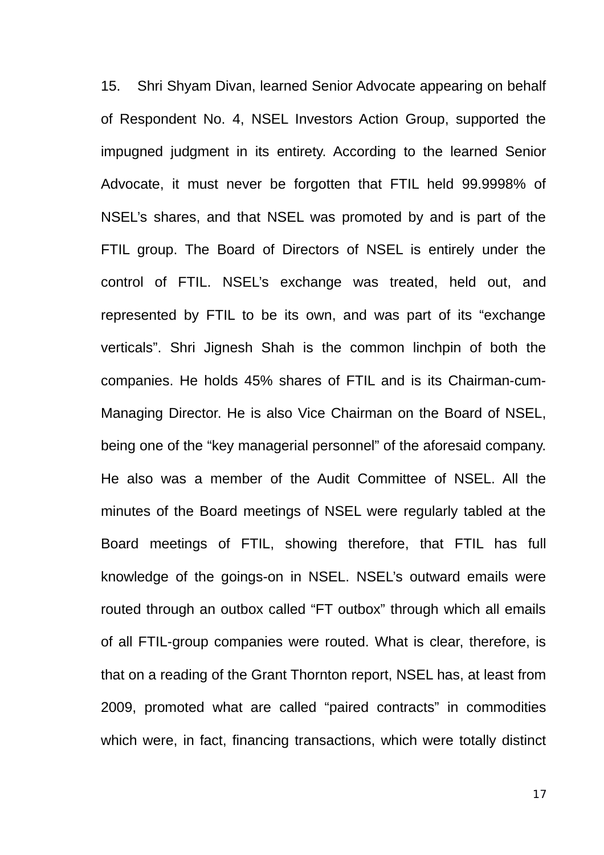15. Shri Shyam Divan, learned Senior Advocate appearing on behalf of Respondent No. 4, NSEL Investors Action Group, supported the impugned judgment in its entirety. According to the learned Senior Advocate, it must never be forgotten that FTIL held 99.9998% of NSEL's shares, and that NSEL was promoted by and is part of the FTIL group. The Board of Directors of NSEL is entirely under the control of FTIL. NSEL's exchange was treated, held out, and represented by FTIL to be its own, and was part of its "exchange verticals". Shri Jignesh Shah is the common linchpin of both the companies. He holds 45% shares of FTIL and is its Chairman-cum-Managing Director. He is also Vice Chairman on the Board of NSEL, being one of the "key managerial personnel" of the aforesaid company. He also was a member of the Audit Committee of NSEL. All the minutes of the Board meetings of NSEL were regularly tabled at the Board meetings of FTIL, showing therefore, that FTIL has full knowledge of the goings-on in NSEL. NSEL's outward emails were routed through an outbox called "FT outbox" through which all emails of all FTIL-group companies were routed. What is clear, therefore, is that on a reading of the Grant Thornton report, NSEL has, at least from 2009, promoted what are called "paired contracts" in commodities which were, in fact, financing transactions, which were totally distinct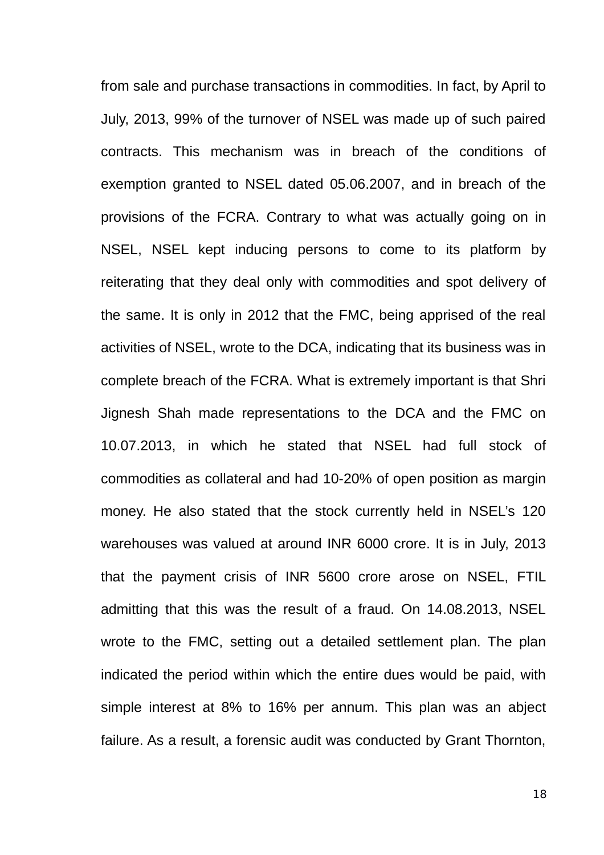from sale and purchase transactions in commodities. In fact, by April to July, 2013, 99% of the turnover of NSEL was made up of such paired contracts. This mechanism was in breach of the conditions of exemption granted to NSEL dated 05.06.2007, and in breach of the provisions of the FCRA. Contrary to what was actually going on in NSEL, NSEL kept inducing persons to come to its platform by reiterating that they deal only with commodities and spot delivery of the same. It is only in 2012 that the FMC, being apprised of the real activities of NSEL, wrote to the DCA, indicating that its business was in complete breach of the FCRA. What is extremely important is that Shri Jignesh Shah made representations to the DCA and the FMC on 10.07.2013, in which he stated that NSEL had full stock of commodities as collateral and had 10-20% of open position as margin money. He also stated that the stock currently held in NSEL's 120 warehouses was valued at around INR 6000 crore. It is in July, 2013 that the payment crisis of INR 5600 crore arose on NSEL, FTIL admitting that this was the result of a fraud. On 14.08.2013, NSEL wrote to the FMC, setting out a detailed settlement plan. The plan indicated the period within which the entire dues would be paid, with simple interest at 8% to 16% per annum. This plan was an abject failure. As a result, a forensic audit was conducted by Grant Thornton,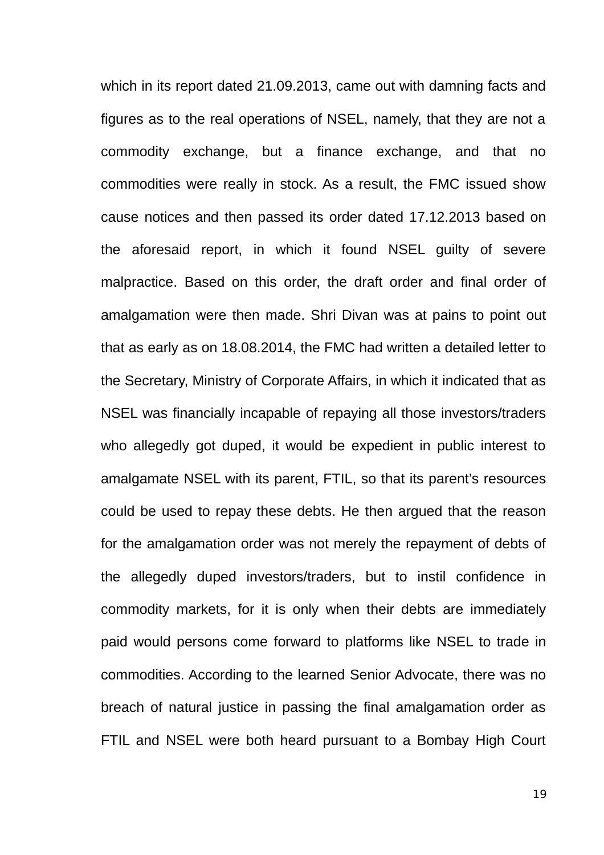which in its report dated 21.09.2013, came out with damning facts and figures as to the real operations of NSEL, namely, that they are not a commodity exchange, but a finance exchange, and that no commodities were really in stock. As a result, the FMC issued show cause notices and then passed its order dated 17.12.2013 based on the aforesaid report, in which it found NSEL guilty of severe malpractice. Based on this order, the draft order and final order of amalgamation were then made. Shri Divan was at pains to point out that as early as on 18.08.2014, the FMC had written a detailed letter to the Secretary, Ministry of Corporate Affairs, in which it indicated that as NSEL was financially incapable of repaying all those investors/traders who allegedly got duped, it would be expedient in public interest to amalgamate NSEL with its parent, FTIL, so that its parent's resources could be used to repay these debts. He then argued that the reason for the amalgamation order was not merely the repayment of debts of the allegedly duped investors/traders, but to instil confidence in commodity markets, for it is only when their debts are immediately paid would persons come forward to platforms like NSEL to trade in commodities. According to the learned Senior Advocate, there was no breach of natural justice in passing the final amalgamation order as FTIL and NSEL were both heard pursuant to a Bombay High Court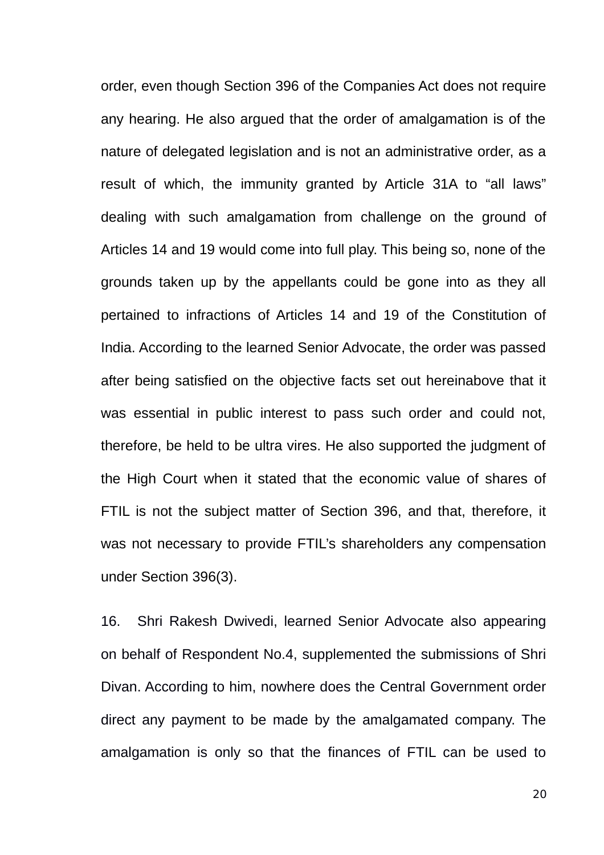order, even though Section 396 of the Companies Act does not require any hearing. He also argued that the order of amalgamation is of the nature of delegated legislation and is not an administrative order, as a result of which, the immunity granted by Article 31A to "all laws" dealing with such amalgamation from challenge on the ground of Articles 14 and 19 would come into full play. This being so, none of the grounds taken up by the appellants could be gone into as they all pertained to infractions of Articles 14 and 19 of the Constitution of India. According to the learned Senior Advocate, the order was passed after being satisfied on the objective facts set out hereinabove that it was essential in public interest to pass such order and could not, therefore, be held to be ultra vires. He also supported the judgment of the High Court when it stated that the economic value of shares of FTIL is not the subject matter of Section 396, and that, therefore, it was not necessary to provide FTIL's shareholders any compensation under Section 396(3).

16. Shri Rakesh Dwivedi, learned Senior Advocate also appearing on behalf of Respondent No.4, supplemented the submissions of Shri Divan. According to him, nowhere does the Central Government order direct any payment to be made by the amalgamated company. The amalgamation is only so that the finances of FTIL can be used to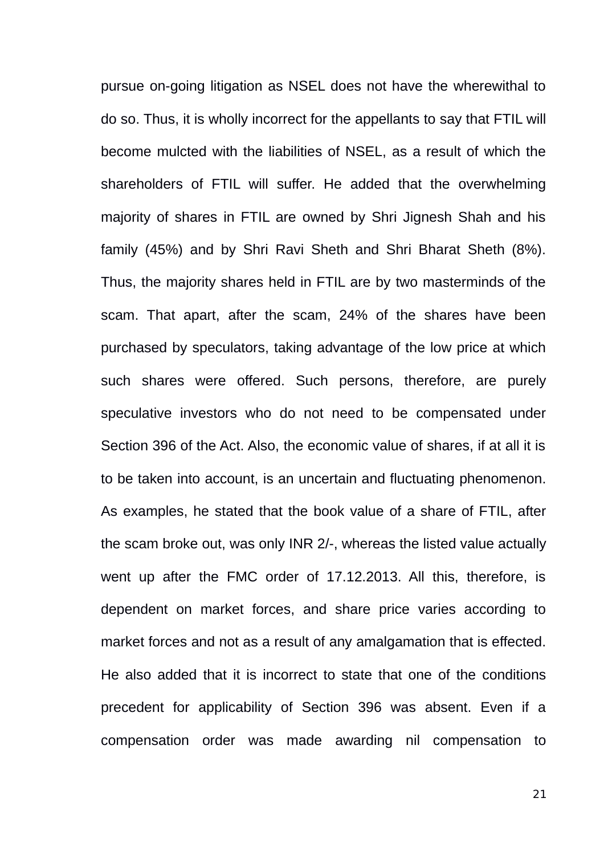pursue on-going litigation as NSEL does not have the wherewithal to do so. Thus, it is wholly incorrect for the appellants to say that FTIL will become mulcted with the liabilities of NSEL, as a result of which the shareholders of FTIL will suffer. He added that the overwhelming majority of shares in FTIL are owned by Shri Jignesh Shah and his family (45%) and by Shri Ravi Sheth and Shri Bharat Sheth (8%). Thus, the majority shares held in FTIL are by two masterminds of the scam. That apart, after the scam, 24% of the shares have been purchased by speculators, taking advantage of the low price at which such shares were offered. Such persons, therefore, are purely speculative investors who do not need to be compensated under Section 396 of the Act. Also, the economic value of shares, if at all it is to be taken into account, is an uncertain and fluctuating phenomenon. As examples, he stated that the book value of a share of FTIL, after the scam broke out, was only INR 2/-, whereas the listed value actually went up after the FMC order of 17.12.2013. All this, therefore, is dependent on market forces, and share price varies according to market forces and not as a result of any amalgamation that is effected. He also added that it is incorrect to state that one of the conditions precedent for applicability of Section 396 was absent. Even if a compensation order was made awarding nil compensation to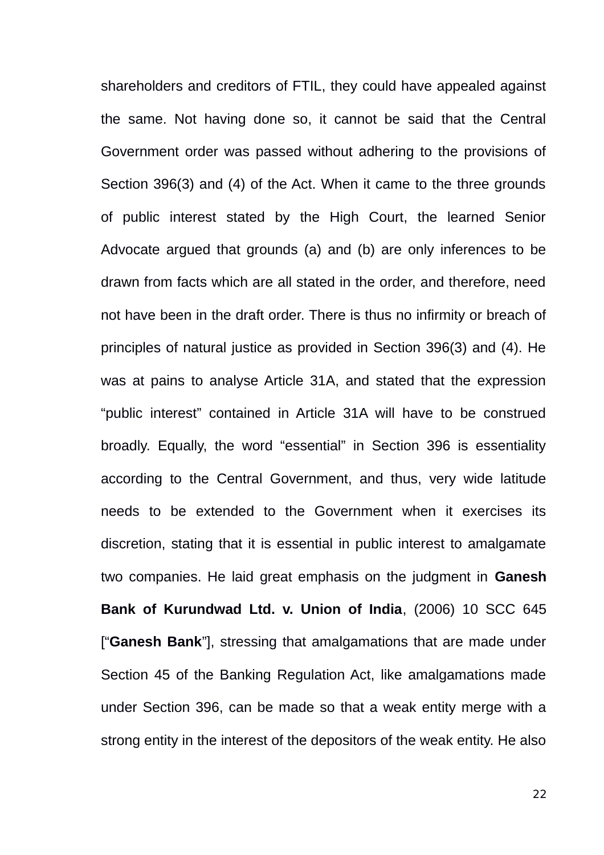shareholders and creditors of FTIL, they could have appealed against the same. Not having done so, it cannot be said that the Central Government order was passed without adhering to the provisions of Section 396(3) and (4) of the Act. When it came to the three grounds of public interest stated by the High Court, the learned Senior Advocate argued that grounds (a) and (b) are only inferences to be drawn from facts which are all stated in the order, and therefore, need not have been in the draft order. There is thus no infirmity or breach of principles of natural justice as provided in Section 396(3) and (4). He was at pains to analyse Article 31A, and stated that the expression "public interest" contained in Article 31A will have to be construed broadly. Equally, the word "essential" in Section 396 is essentiality according to the Central Government, and thus, very wide latitude needs to be extended to the Government when it exercises its discretion, stating that it is essential in public interest to amalgamate two companies. He laid great emphasis on the judgment in **Ganesh Bank of Kurundwad Ltd. v. Union of India**, (2006) 10 SCC 645 ["**Ganesh Bank**"], stressing that amalgamations that are made under Section 45 of the Banking Regulation Act, like amalgamations made under Section 396, can be made so that a weak entity merge with a strong entity in the interest of the depositors of the weak entity. He also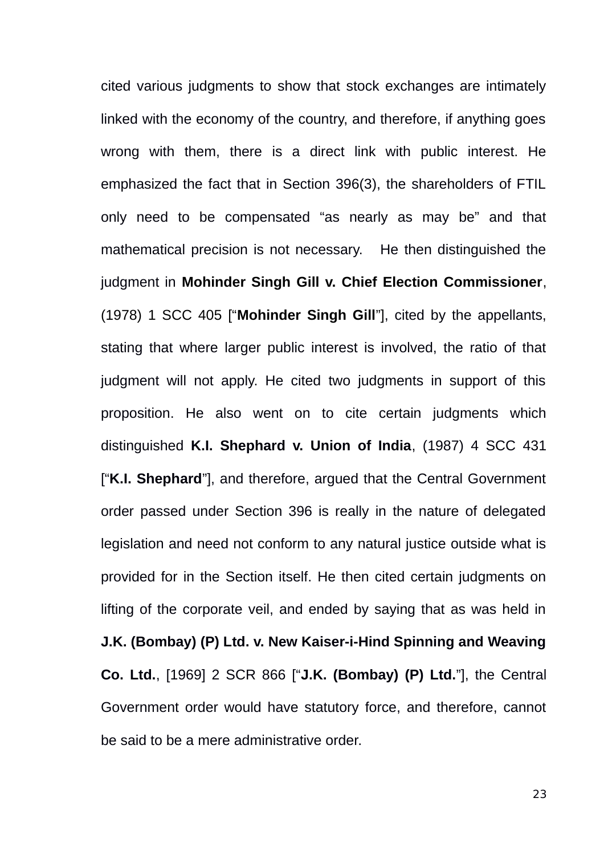cited various judgments to show that stock exchanges are intimately linked with the economy of the country, and therefore, if anything goes wrong with them, there is a direct link with public interest. He emphasized the fact that in Section 396(3), the shareholders of FTIL only need to be compensated "as nearly as may be" and that mathematical precision is not necessary. He then distinguished the judgment in **Mohinder Singh Gill v. Chief Election Commissioner**, (1978) 1 SCC 405 ["**Mohinder Singh Gill**"], cited by the appellants, stating that where larger public interest is involved, the ratio of that judgment will not apply. He cited two judgments in support of this proposition. He also went on to cite certain judgments which distinguished **K.I. Shephard v. Union of India**, (1987) 4 SCC 431 ["**K.I. Shephard**"], and therefore, argued that the Central Government order passed under Section 396 is really in the nature of delegated legislation and need not conform to any natural justice outside what is provided for in the Section itself. He then cited certain judgments on lifting of the corporate veil, and ended by saying that as was held in **J.K. (Bombay) (P) Ltd. v. New Kaiser-i-Hind Spinning and Weaving Co. Ltd.**, [1969] 2 SCR 866 ["**J.K. (Bombay) (P) Ltd.**"], the Central Government order would have statutory force, and therefore, cannot be said to be a mere administrative order.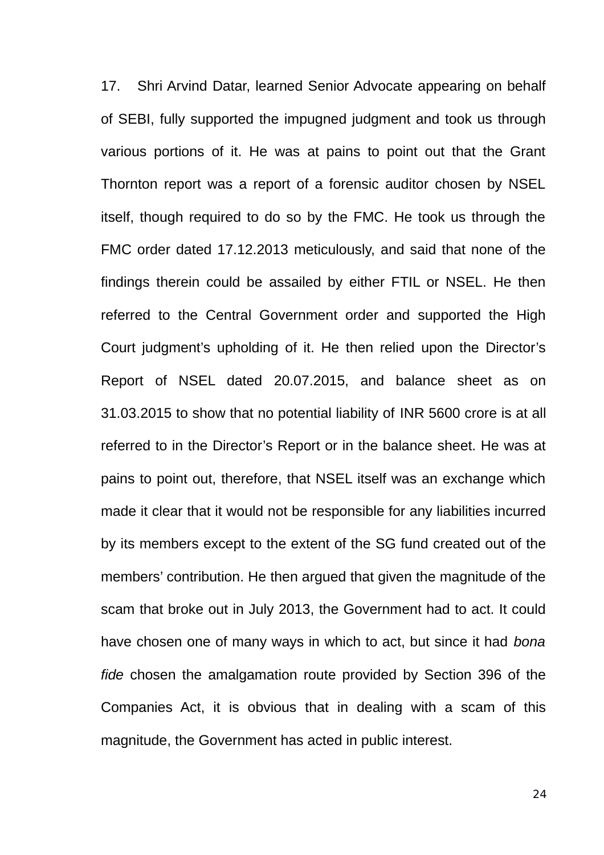17. Shri Arvind Datar, learned Senior Advocate appearing on behalf of SEBI, fully supported the impugned judgment and took us through various portions of it. He was at pains to point out that the Grant Thornton report was a report of a forensic auditor chosen by NSEL itself, though required to do so by the FMC. He took us through the FMC order dated 17.12.2013 meticulously, and said that none of the findings therein could be assailed by either FTIL or NSEL. He then referred to the Central Government order and supported the High Court judgment's upholding of it. He then relied upon the Director's Report of NSEL dated 20.07.2015, and balance sheet as on 31.03.2015 to show that no potential liability of INR 5600 crore is at all referred to in the Director's Report or in the balance sheet. He was at pains to point out, therefore, that NSEL itself was an exchange which made it clear that it would not be responsible for any liabilities incurred by its members except to the extent of the SG fund created out of the members' contribution. He then argued that given the magnitude of the scam that broke out in July 2013, the Government had to act. It could have chosen one of many ways in which to act, but since it had *bona fide* chosen the amalgamation route provided by Section 396 of the Companies Act, it is obvious that in dealing with a scam of this magnitude, the Government has acted in public interest.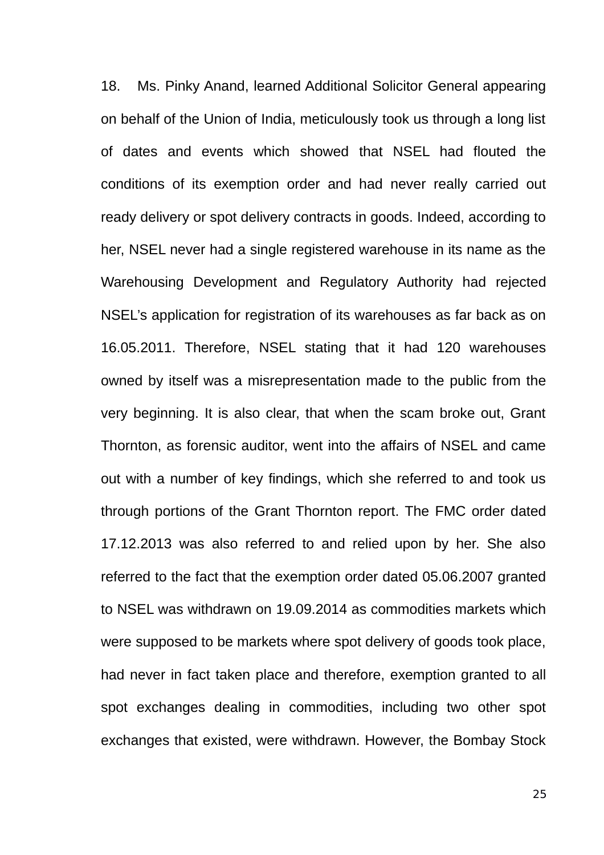18. Ms. Pinky Anand, learned Additional Solicitor General appearing on behalf of the Union of India, meticulously took us through a long list of dates and events which showed that NSEL had flouted the conditions of its exemption order and had never really carried out ready delivery or spot delivery contracts in goods. Indeed, according to her, NSEL never had a single registered warehouse in its name as the Warehousing Development and Regulatory Authority had rejected NSEL's application for registration of its warehouses as far back as on 16.05.2011. Therefore, NSEL stating that it had 120 warehouses owned by itself was a misrepresentation made to the public from the very beginning. It is also clear, that when the scam broke out, Grant Thornton, as forensic auditor, went into the affairs of NSEL and came out with a number of key findings, which she referred to and took us through portions of the Grant Thornton report. The FMC order dated 17.12.2013 was also referred to and relied upon by her. She also referred to the fact that the exemption order dated 05.06.2007 granted to NSEL was withdrawn on 19.09.2014 as commodities markets which were supposed to be markets where spot delivery of goods took place, had never in fact taken place and therefore, exemption granted to all spot exchanges dealing in commodities, including two other spot exchanges that existed, were withdrawn. However, the Bombay Stock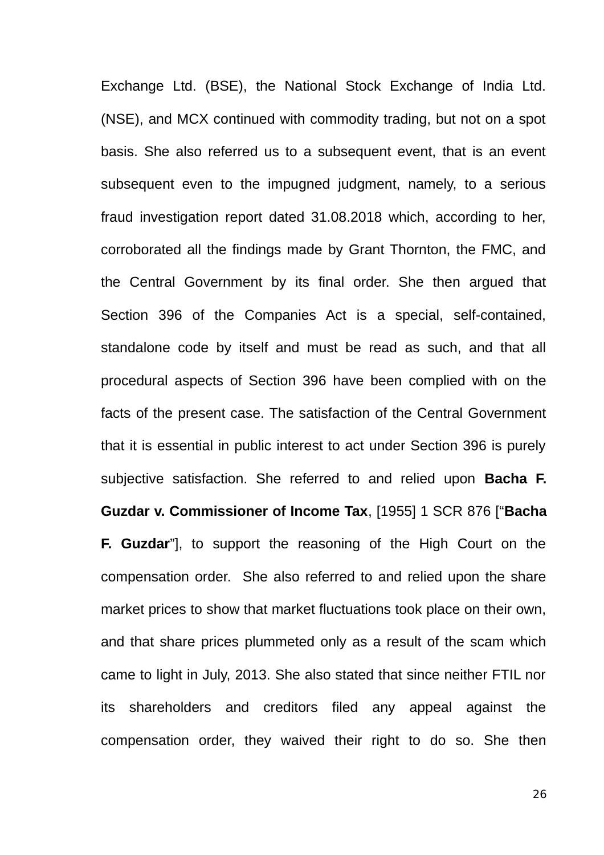Exchange Ltd. (BSE), the National Stock Exchange of India Ltd. (NSE), and MCX continued with commodity trading, but not on a spot basis. She also referred us to a subsequent event, that is an event subsequent even to the impugned judgment, namely, to a serious fraud investigation report dated 31.08.2018 which, according to her, corroborated all the findings made by Grant Thornton, the FMC, and the Central Government by its final order. She then argued that Section 396 of the Companies Act is a special, self-contained, standalone code by itself and must be read as such, and that all procedural aspects of Section 396 have been complied with on the facts of the present case. The satisfaction of the Central Government that it is essential in public interest to act under Section 396 is purely subjective satisfaction. She referred to and relied upon **Bacha F. Guzdar v. Commissioner of Income Tax**, [1955] 1 SCR 876 ["**Bacha F. Guzdar**"], to support the reasoning of the High Court on the compensation order. She also referred to and relied upon the share market prices to show that market fluctuations took place on their own, and that share prices plummeted only as a result of the scam which came to light in July, 2013. She also stated that since neither FTIL nor its shareholders and creditors filed any appeal against the compensation order, they waived their right to do so. She then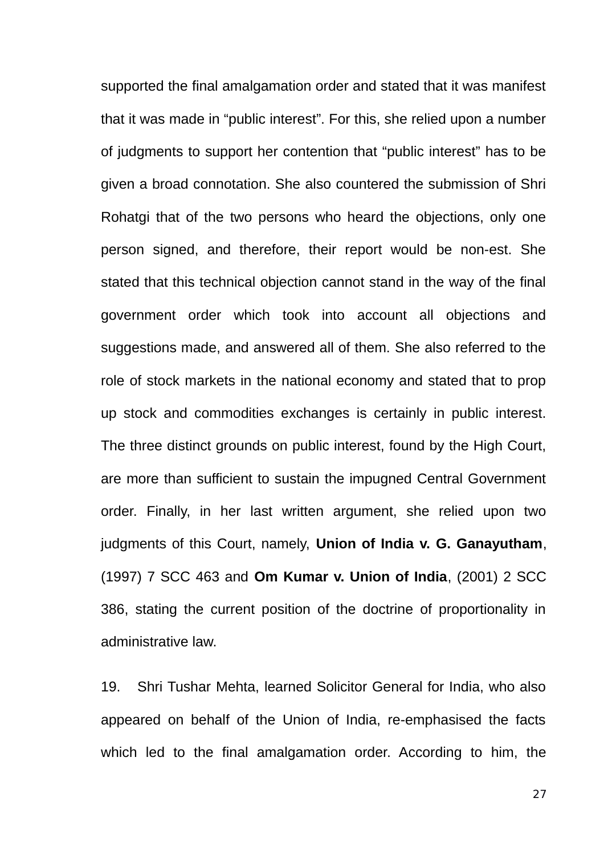supported the final amalgamation order and stated that it was manifest that it was made in "public interest". For this, she relied upon a number of judgments to support her contention that "public interest" has to be given a broad connotation. She also countered the submission of Shri Rohatgi that of the two persons who heard the objections, only one person signed, and therefore, their report would be non-est. She stated that this technical objection cannot stand in the way of the final government order which took into account all objections and suggestions made, and answered all of them. She also referred to the role of stock markets in the national economy and stated that to prop up stock and commodities exchanges is certainly in public interest. The three distinct grounds on public interest, found by the High Court, are more than sufficient to sustain the impugned Central Government order. Finally, in her last written argument, she relied upon two judgments of this Court, namely, **Union of India v. G. Ganayutham**, (1997) 7 SCC 463 and **Om Kumar v. Union of India**, (2001) 2 SCC 386, stating the current position of the doctrine of proportionality in administrative law.

19. Shri Tushar Mehta, learned Solicitor General for India, who also appeared on behalf of the Union of India, re-emphasised the facts which led to the final amalgamation order. According to him, the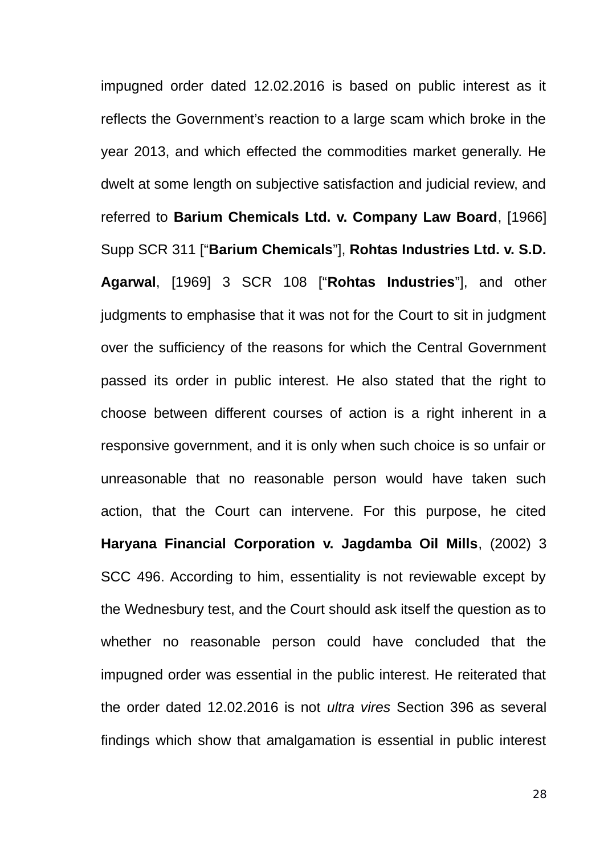impugned order dated 12.02.2016 is based on public interest as it reflects the Government's reaction to a large scam which broke in the year 2013, and which effected the commodities market generally. He dwelt at some length on subjective satisfaction and judicial review, and referred to **Barium Chemicals Ltd. v. Company Law Board**, [1966] Supp SCR 311 ["**Barium Chemicals**"], **Rohtas Industries Ltd. v. S.D. Agarwal**, [1969] 3 SCR 108 ["**Rohtas Industries**"], and other judgments to emphasise that it was not for the Court to sit in judgment over the sufficiency of the reasons for which the Central Government passed its order in public interest. He also stated that the right to choose between different courses of action is a right inherent in a responsive government, and it is only when such choice is so unfair or unreasonable that no reasonable person would have taken such action, that the Court can intervene. For this purpose, he cited **Haryana Financial Corporation v. Jagdamba Oil Mills**, (2002) 3 SCC 496. According to him, essentiality is not reviewable except by the Wednesbury test, and the Court should ask itself the question as to whether no reasonable person could have concluded that the impugned order was essential in the public interest. He reiterated that the order dated 12.02.2016 is not *ultra vires* Section 396 as several findings which show that amalgamation is essential in public interest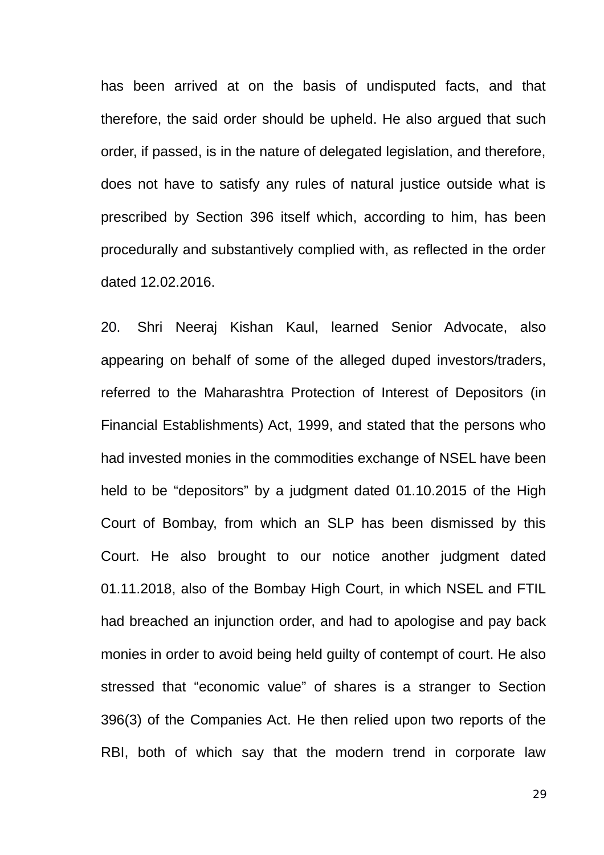has been arrived at on the basis of undisputed facts, and that therefore, the said order should be upheld. He also argued that such order, if passed, is in the nature of delegated legislation, and therefore, does not have to satisfy any rules of natural justice outside what is prescribed by Section 396 itself which, according to him, has been procedurally and substantively complied with, as reflected in the order dated 12.02.2016.

20. Shri Neeraj Kishan Kaul, learned Senior Advocate, also appearing on behalf of some of the alleged duped investors/traders, referred to the Maharashtra Protection of Interest of Depositors (in Financial Establishments) Act, 1999, and stated that the persons who had invested monies in the commodities exchange of NSEL have been held to be "depositors" by a judgment dated 01.10.2015 of the High Court of Bombay, from which an SLP has been dismissed by this Court. He also brought to our notice another judgment dated 01.11.2018, also of the Bombay High Court, in which NSEL and FTIL had breached an injunction order, and had to apologise and pay back monies in order to avoid being held guilty of contempt of court. He also stressed that "economic value" of shares is a stranger to Section 396(3) of the Companies Act. He then relied upon two reports of the RBI, both of which say that the modern trend in corporate law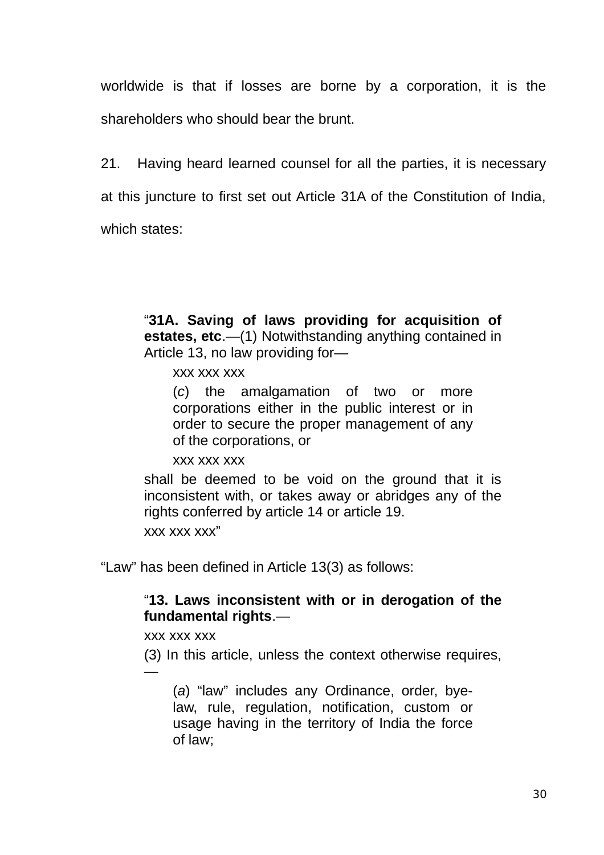worldwide is that if losses are borne by a corporation, it is the shareholders who should bear the brunt.

21. Having heard learned counsel for all the parties, it is necessary at this juncture to first set out Article 31A of the Constitution of India, which states:

"**31A. Saving of laws providing for acquisition of estates, etc**.—(1) Notwithstanding anything contained in Article 13, no law providing for—

xxx xxx xxx

(*c*) the amalgamation of two or more corporations either in the public interest or in order to secure the proper management of any of the corporations, or

xxx xxx xxx

shall be deemed to be void on the ground that it is inconsistent with, or takes away or abridges any of the rights conferred by article 14 or article 19.

xxx xxx xxx"

"Law" has been defined in Article 13(3) as follows:

## "**13. Laws inconsistent with or in derogation of the fundamental rights**.—

xxx xxx xxx

—

(3) In this article, unless the context otherwise requires,

(*a*) "law" includes any Ordinance, order, byelaw, rule, regulation, notification, custom or usage having in the territory of India the force of law;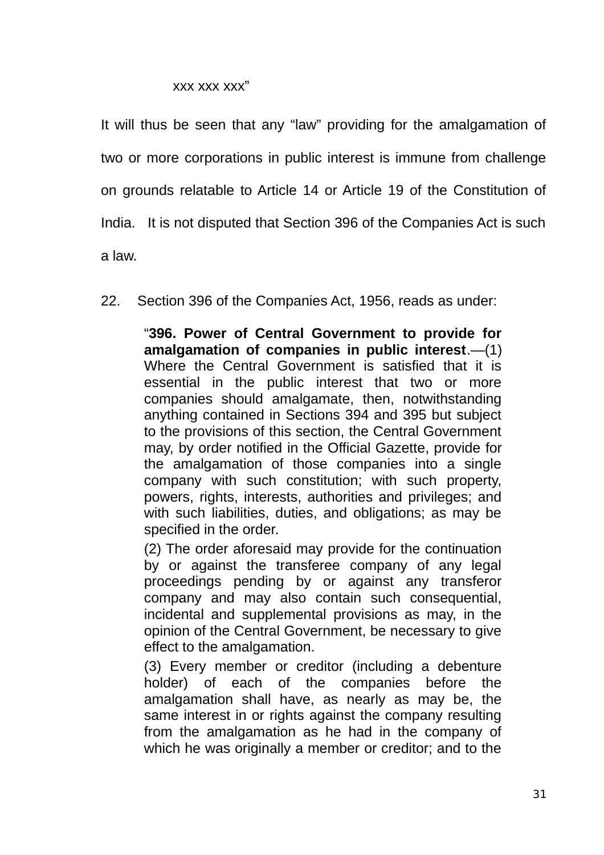#### xxx xxx xxx"

It will thus be seen that any "law" providing for the amalgamation of two or more corporations in public interest is immune from challenge on grounds relatable to Article 14 or Article 19 of the Constitution of India. It is not disputed that Section 396 of the Companies Act is such a law.

22. Section 396 of the Companies Act, 1956, reads as under:

"**396. Power of Central Government to provide for amalgamation of companies in public interest**.—(1) Where the Central Government is satisfied that it is essential in the public interest that two or more companies should amalgamate, then, notwithstanding anything contained in Sections 394 and 395 but subject to the provisions of this section, the Central Government may, by order notified in the Official Gazette, provide for the amalgamation of those companies into a single company with such constitution; with such property, powers, rights, interests, authorities and privileges; and with such liabilities, duties, and obligations; as may be specified in the order.

(2) The order aforesaid may provide for the continuation by or against the transferee company of any legal proceedings pending by or against any transferor company and may also contain such consequential, incidental and supplemental provisions as may, in the opinion of the Central Government, be necessary to give effect to the amalgamation.

(3) Every member or creditor (including a debenture holder) of each of the companies before the amalgamation shall have, as nearly as may be, the same interest in or rights against the company resulting from the amalgamation as he had in the company of which he was originally a member or creditor; and to the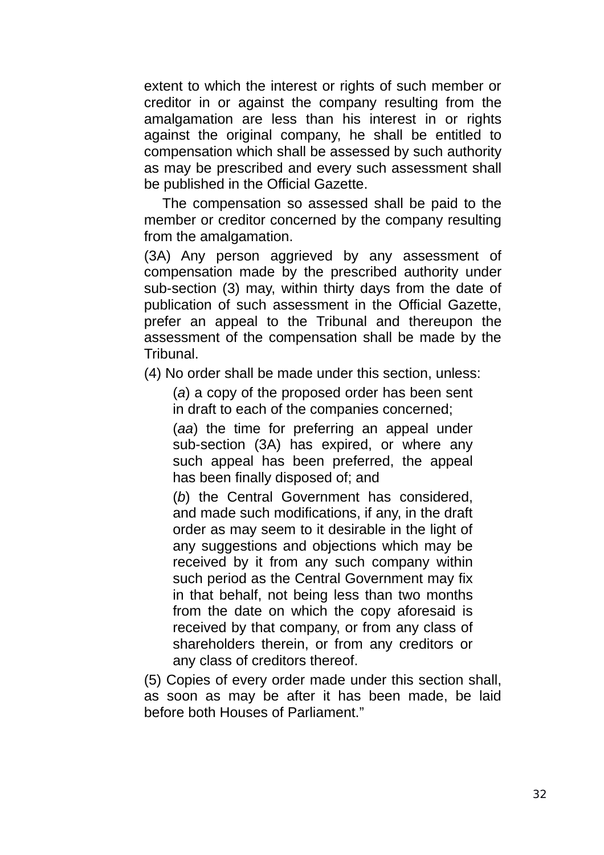extent to which the interest or rights of such member or creditor in or against the company resulting from the amalgamation are less than his interest in or rights against the original company, he shall be entitled to compensation which shall be assessed by such authority as may be prescribed and every such assessment shall be published in the Official Gazette.

The compensation so assessed shall be paid to the member or creditor concerned by the company resulting from the amalgamation.

(3A) Any person aggrieved by any assessment of compensation made by the prescribed authority under sub-section (3) may, within thirty days from the date of publication of such assessment in the Official Gazette, prefer an appeal to the Tribunal and thereupon the assessment of the compensation shall be made by the Tribunal.

(4) No order shall be made under this section, unless:

(*a*) a copy of the proposed order has been sent in draft to each of the companies concerned;

(*aa*) the time for preferring an appeal under sub-section (3A) has expired, or where any such appeal has been preferred, the appeal has been finally disposed of; and

(*b*) the Central Government has considered, and made such modifications, if any, in the draft order as may seem to it desirable in the light of any suggestions and objections which may be received by it from any such company within such period as the Central Government may fix in that behalf, not being less than two months from the date on which the copy aforesaid is received by that company, or from any class of shareholders therein, or from any creditors or any class of creditors thereof.

(5) Copies of every order made under this section shall, as soon as may be after it has been made, be laid before both Houses of Parliament."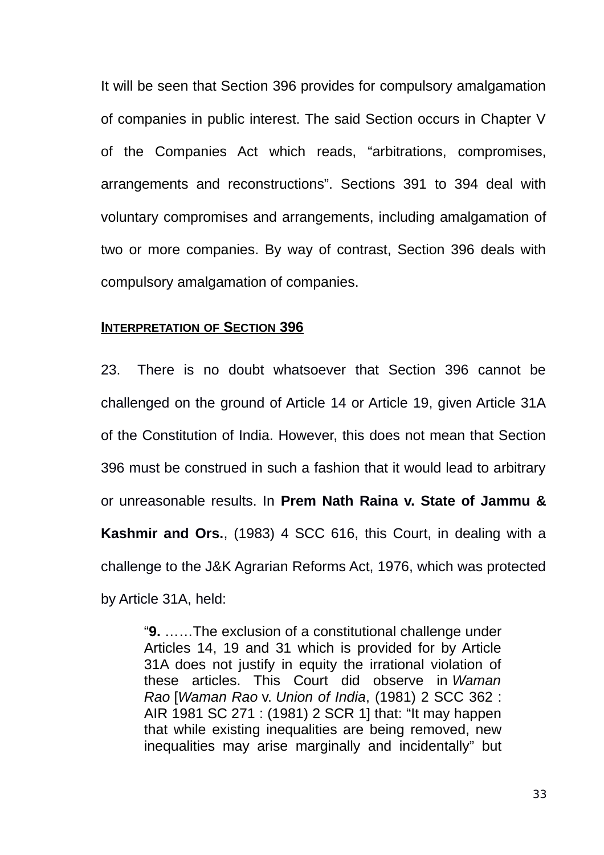It will be seen that Section 396 provides for compulsory amalgamation of companies in public interest. The said Section occurs in Chapter V of the Companies Act which reads, "arbitrations, compromises, arrangements and reconstructions". Sections 391 to 394 deal with voluntary compromises and arrangements, including amalgamation of two or more companies. By way of contrast, Section 396 deals with compulsory amalgamation of companies.

#### **INTERPRETATION OF SECTION 396**

23. There is no doubt whatsoever that Section 396 cannot be challenged on the ground of Article 14 or Article 19, given Article 31A of the Constitution of India. However, this does not mean that Section 396 must be construed in such a fashion that it would lead to arbitrary or unreasonable results. In **Prem Nath Raina v. State of Jammu & Kashmir and Ors.**, (1983) 4 SCC 616, this Court, in dealing with a challenge to the J&K Agrarian Reforms Act, 1976, which was protected by Article 31A, held:

"**9.** ……The exclusion of a constitutional challenge under Articles 14, 19 and 31 which is provided for by Article 31A does not justify in equity the irrational violation of these articles. This Court did observe in *Waman Rao* [*Waman Rao* v. *Union of India*, (1981) 2 SCC 362 : AIR 1981 SC 271 : (1981) 2 SCR 1] that: "It may happen that while existing inequalities are being removed, new inequalities may arise marginally and incidentally" but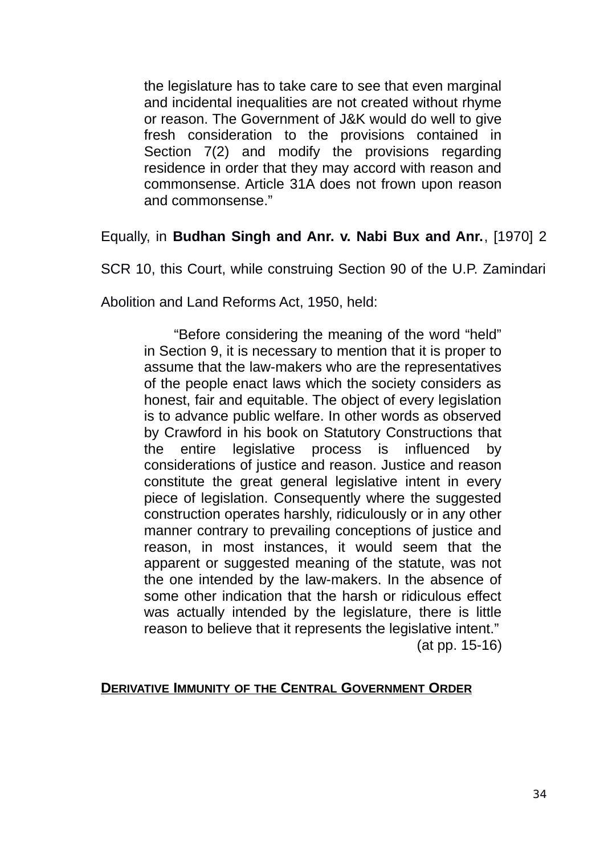the legislature has to take care to see that even marginal and incidental inequalities are not created without rhyme or reason. The Government of J&K would do well to give fresh consideration to the provisions contained in Section 7(2) and modify the provisions regarding residence in order that they may accord with reason and commonsense. Article 31A does not frown upon reason and commonsense."

### Equally, in **Budhan Singh and Anr. v. Nabi Bux and Anr.**, [1970] 2

SCR 10, this Court, while construing Section 90 of the U.P. Zamindari

Abolition and Land Reforms Act, 1950, held:

"Before considering the meaning of the word "held" in Section 9, it is necessary to mention that it is proper to assume that the law-makers who are the representatives of the people enact laws which the society considers as honest, fair and equitable. The object of every legislation is to advance public welfare. In other words as observed by Crawford in his book on Statutory Constructions that the entire legislative process is influenced by considerations of justice and reason. Justice and reason constitute the great general legislative intent in every piece of legislation. Consequently where the suggested construction operates harshly, ridiculously or in any other manner contrary to prevailing conceptions of justice and reason, in most instances, it would seem that the apparent or suggested meaning of the statute, was not the one intended by the law-makers. In the absence of some other indication that the harsh or ridiculous effect was actually intended by the legislature, there is little reason to believe that it represents the legislative intent." (at pp. 15-16)

#### **DERIVATIVE IMMUNITY OF THE CENTRAL GOVERNMENT ORDER**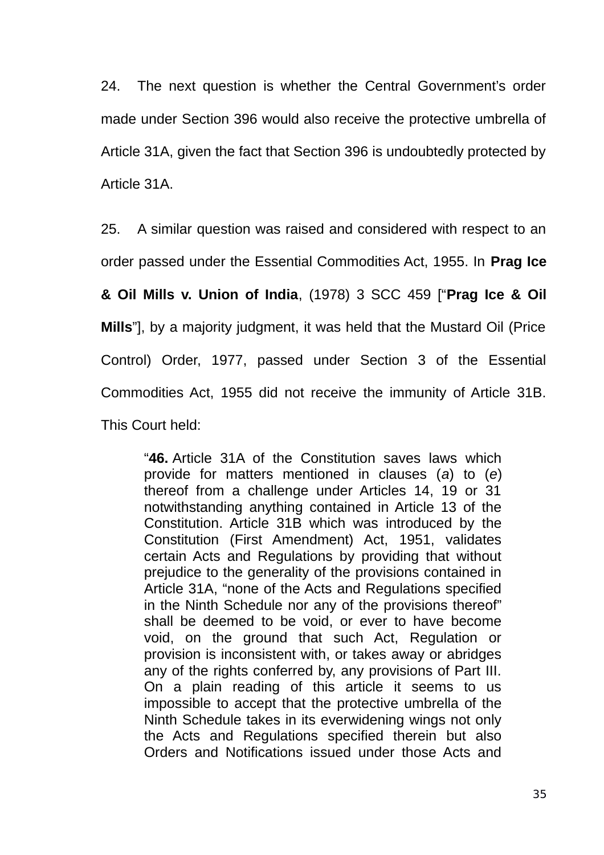24. The next question is whether the Central Government's order made under Section 396 would also receive the protective umbrella of Article 31A, given the fact that Section 396 is undoubtedly protected by Article 31A.

25. A similar question was raised and considered with respect to an order passed under the Essential Commodities Act, 1955. In **Prag Ice & Oil Mills v. Union of India**, (1978) 3 SCC 459 ["**Prag Ice & Oil Mills**"], by a majority judgment, it was held that the Mustard Oil (Price Control) Order, 1977, passed under Section 3 of the Essential Commodities Act, 1955 did not receive the immunity of Article 31B. This Court held:

"**46.** Article 31A of the Constitution saves laws which provide for matters mentioned in clauses (*a*) to (*e*) thereof from a challenge under Articles 14, 19 or 31 notwithstanding anything contained in Article 13 of the Constitution. Article 31B which was introduced by the Constitution (First Amendment) Act, 1951, validates certain Acts and Regulations by providing that without prejudice to the generality of the provisions contained in Article 31A, "none of the Acts and Regulations specified in the Ninth Schedule nor any of the provisions thereof" shall be deemed to be void, or ever to have become void, on the ground that such Act, Regulation or provision is inconsistent with, or takes away or abridges any of the rights conferred by, any provisions of Part III. On a plain reading of this article it seems to us impossible to accept that the protective umbrella of the Ninth Schedule takes in its everwidening wings not only the Acts and Regulations specified therein but also Orders and Notifications issued under those Acts and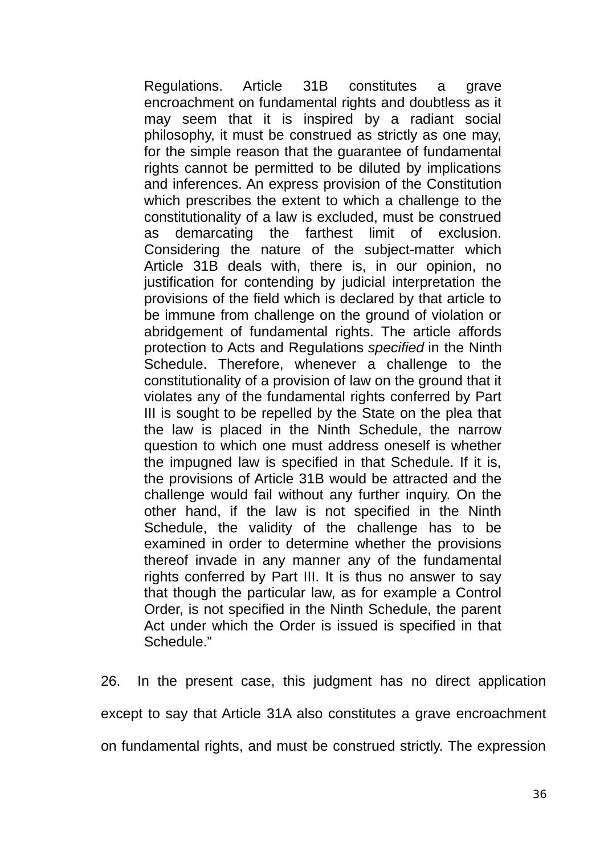Regulations. Article 31B constitutes a grave encroachment on fundamental rights and doubtless as it may seem that it is inspired by a radiant social philosophy, it must be construed as strictly as one may, for the simple reason that the guarantee of fundamental rights cannot be permitted to be diluted by implications and inferences. An express provision of the Constitution which prescribes the extent to which a challenge to the constitutionality of a law is excluded, must be construed as demarcating the farthest limit of exclusion. Considering the nature of the subject-matter which Article 31B deals with, there is, in our opinion, no justification for contending by judicial interpretation the provisions of the field which is declared by that article to be immune from challenge on the ground of violation or abridgement of fundamental rights. The article affords protection to Acts and Regulations *specified* in the Ninth Schedule. Therefore, whenever a challenge to the constitutionality of a provision of law on the ground that it violates any of the fundamental rights conferred by Part III is sought to be repelled by the State on the plea that the law is placed in the Ninth Schedule, the narrow question to which one must address oneself is whether the impugned law is specified in that Schedule. If it is, the provisions of Article 31B would be attracted and the challenge would fail without any further inquiry. On the other hand, if the law is not specified in the Ninth Schedule, the validity of the challenge has to be examined in order to determine whether the provisions thereof invade in any manner any of the fundamental rights conferred by Part III. It is thus no answer to say that though the particular law, as for example a Control Order, is not specified in the Ninth Schedule, the parent Act under which the Order is issued is specified in that Schedule."

26. In the present case, this judgment has no direct application except to say that Article 31A also constitutes a grave encroachment on fundamental rights, and must be construed strictly. The expression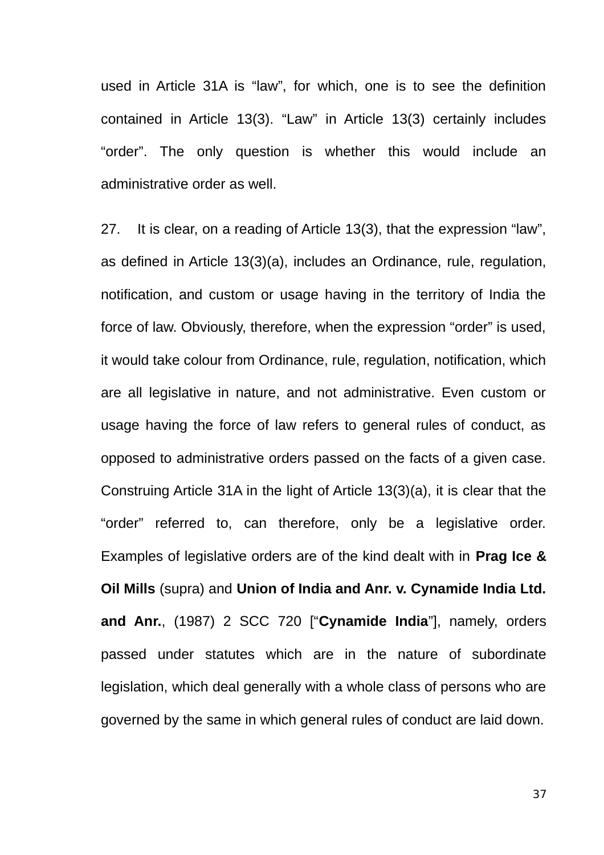used in Article 31A is "law", for which, one is to see the definition contained in Article 13(3). "Law" in Article 13(3) certainly includes "order". The only question is whether this would include an administrative order as well.

27. It is clear, on a reading of Article 13(3), that the expression "law", as defined in Article 13(3)(a), includes an Ordinance, rule, regulation, notification, and custom or usage having in the territory of India the force of law. Obviously, therefore, when the expression "order" is used, it would take colour from Ordinance, rule, regulation, notification, which are all legislative in nature, and not administrative. Even custom or usage having the force of law refers to general rules of conduct, as opposed to administrative orders passed on the facts of a given case. Construing Article 31A in the light of Article 13(3)(a), it is clear that the "order" referred to, can therefore, only be a legislative order. Examples of legislative orders are of the kind dealt with in **Prag Ice & Oil Mills** (supra) and **Union of India and Anr. v. Cynamide India Ltd. and Anr.**, (1987) 2 SCC 720 ["**Cynamide India**"], namely, orders passed under statutes which are in the nature of subordinate legislation, which deal generally with a whole class of persons who are governed by the same in which general rules of conduct are laid down.

37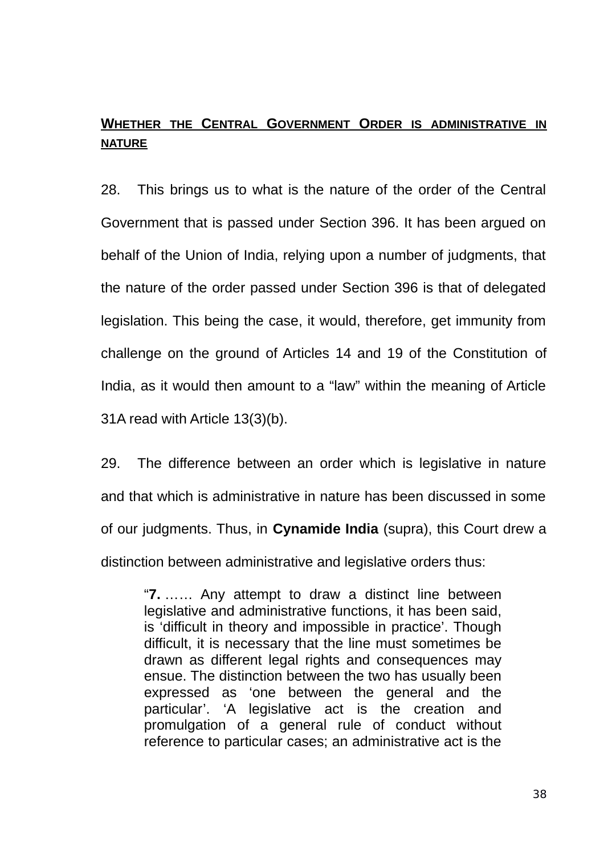# **WHETHER THE CENTRAL GOVERNMENT ORDER IS ADMINISTRATIVE IN NATURE**

28. This brings us to what is the nature of the order of the Central Government that is passed under Section 396. It has been argued on behalf of the Union of India, relying upon a number of judgments, that the nature of the order passed under Section 396 is that of delegated legislation. This being the case, it would, therefore, get immunity from challenge on the ground of Articles 14 and 19 of the Constitution of India, as it would then amount to a "law" within the meaning of Article 31A read with Article 13(3)(b).

29. The difference between an order which is legislative in nature and that which is administrative in nature has been discussed in some of our judgments. Thus, in **Cynamide India** (supra), this Court drew a distinction between administrative and legislative orders thus:

"**7.** …… Any attempt to draw a distinct line between legislative and administrative functions, it has been said, is 'difficult in theory and impossible in practice'. Though difficult, it is necessary that the line must sometimes be drawn as different legal rights and consequences may ensue. The distinction between the two has usually been expressed as 'one between the general and the particular'. 'A legislative act is the creation and promulgation of a general rule of conduct without reference to particular cases; an administrative act is the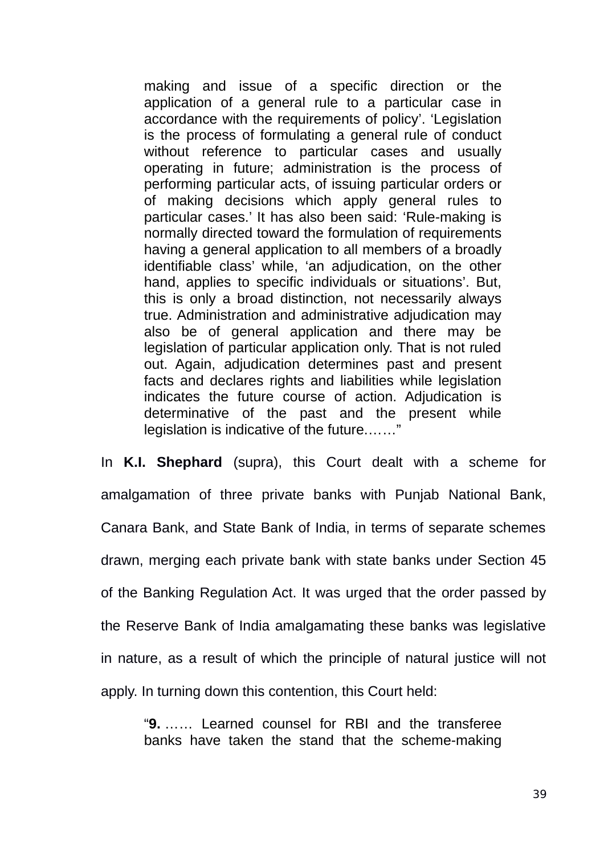making and issue of a specific direction or the application of a general rule to a particular case in accordance with the requirements of policy'. 'Legislation is the process of formulating a general rule of conduct without reference to particular cases and usually operating in future; administration is the process of performing particular acts, of issuing particular orders or of making decisions which apply general rules to particular cases.' It has also been said: 'Rule-making is normally directed toward the formulation of requirements having a general application to all members of a broadly identifiable class' while, 'an adjudication, on the other hand, applies to specific individuals or situations'. But, this is only a broad distinction, not necessarily always true. Administration and administrative adjudication may also be of general application and there may be legislation of particular application only. That is not ruled out. Again, adjudication determines past and present facts and declares rights and liabilities while legislation indicates the future course of action. Adjudication is determinative of the past and the present while legislation is indicative of the future.……"

In **K.I. Shephard** (supra), this Court dealt with a scheme for amalgamation of three private banks with Punjab National Bank, Canara Bank, and State Bank of India, in terms of separate schemes drawn, merging each private bank with state banks under Section 45 of the Banking Regulation Act. It was urged that the order passed by the Reserve Bank of India amalgamating these banks was legislative in nature, as a result of which the principle of natural justice will not apply. In turning down this contention, this Court held:

"**9.** …… Learned counsel for RBI and the transferee banks have taken the stand that the scheme-making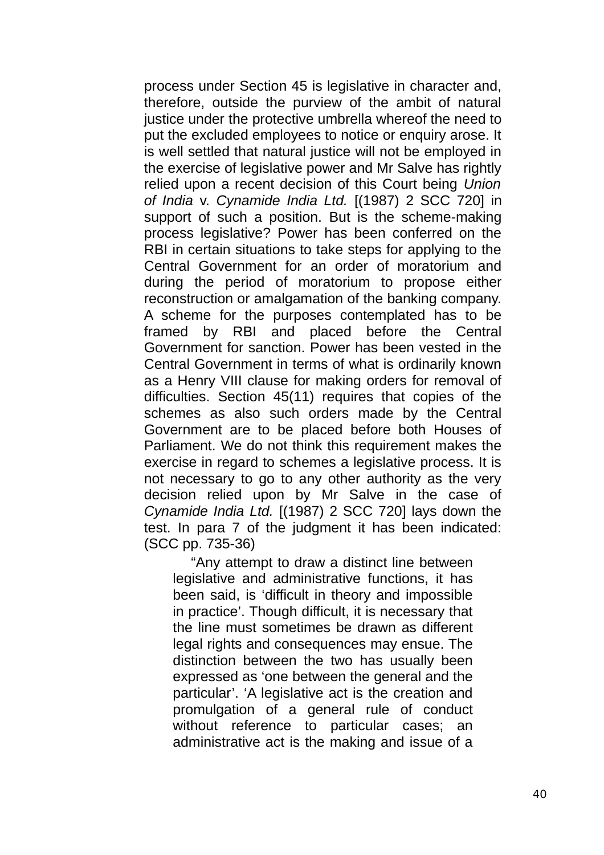process under Section 45 is legislative in character and, therefore, outside the purview of the ambit of natural justice under the protective umbrella whereof the need to put the excluded employees to notice or enquiry arose. It is well settled that natural justice will not be employed in the exercise of legislative power and Mr Salve has rightly relied upon a recent decision of this Court being *Union of India* v. *Cynamide India Ltd.* [(1987) 2 SCC 720] in support of such a position. But is the scheme-making process legislative? Power has been conferred on the RBI in certain situations to take steps for applying to the Central Government for an order of moratorium and during the period of moratorium to propose either reconstruction or amalgamation of the banking company. A scheme for the purposes contemplated has to be framed by RBI and placed before the Central Government for sanction. Power has been vested in the Central Government in terms of what is ordinarily known as a Henry VIII clause for making orders for removal of difficulties. Section 45(11) requires that copies of the schemes as also such orders made by the Central Government are to be placed before both Houses of Parliament. We do not think this requirement makes the exercise in regard to schemes a legislative process. It is not necessary to go to any other authority as the very decision relied upon by Mr Salve in the case of *Cynamide India Ltd.* [(1987) 2 SCC 720] lays down the test. In para 7 of the judgment it has been indicated: (SCC pp. 735-36)

"Any attempt to draw a distinct line between legislative and administrative functions, it has been said, is 'difficult in theory and impossible in practice'. Though difficult, it is necessary that the line must sometimes be drawn as different legal rights and consequences may ensue. The distinction between the two has usually been expressed as 'one between the general and the particular'. 'A legislative act is the creation and promulgation of a general rule of conduct without reference to particular cases; an administrative act is the making and issue of a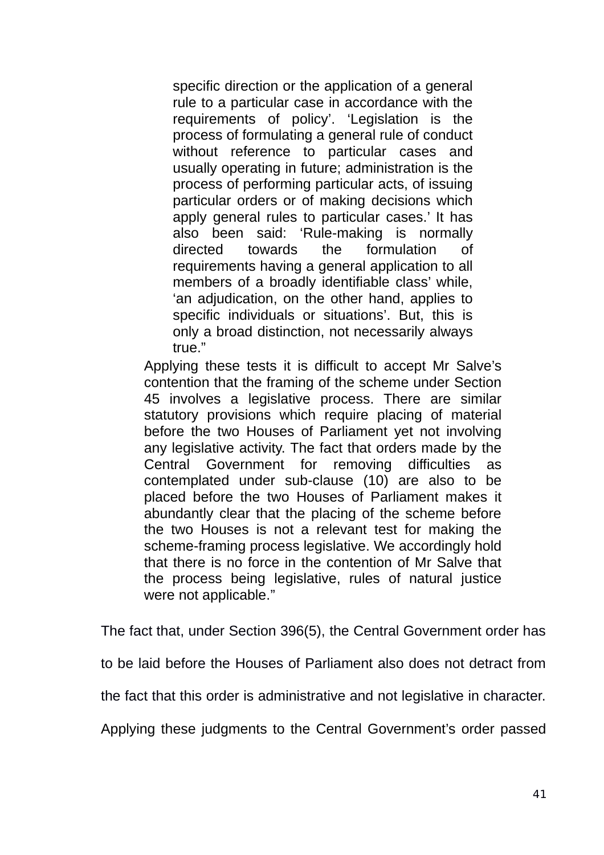specific direction or the application of a general rule to a particular case in accordance with the requirements of policy'. 'Legislation is the process of formulating a general rule of conduct without reference to particular cases and usually operating in future; administration is the process of performing particular acts, of issuing particular orders or of making decisions which apply general rules to particular cases.' It has also been said: 'Rule-making is normally directed towards the formulation of requirements having a general application to all members of a broadly identifiable class' while, 'an adjudication, on the other hand, applies to specific individuals or situations'. But, this is only a broad distinction, not necessarily always true."

Applying these tests it is difficult to accept Mr Salve's contention that the framing of the scheme under Section 45 involves a legislative process. There are similar statutory provisions which require placing of material before the two Houses of Parliament yet not involving any legislative activity. The fact that orders made by the Central Government for removing difficulties as contemplated under sub-clause (10) are also to be placed before the two Houses of Parliament makes it abundantly clear that the placing of the scheme before the two Houses is not a relevant test for making the scheme-framing process legislative. We accordingly hold that there is no force in the contention of Mr Salve that the process being legislative, rules of natural justice were not applicable."

The fact that, under Section 396(5), the Central Government order has

to be laid before the Houses of Parliament also does not detract from

the fact that this order is administrative and not legislative in character.

Applying these judgments to the Central Government's order passed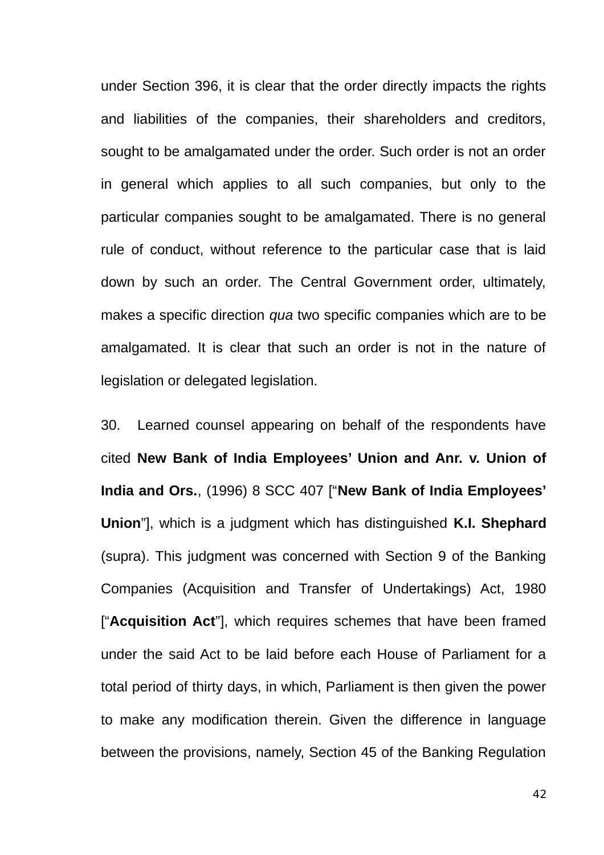under Section 396, it is clear that the order directly impacts the rights and liabilities of the companies, their shareholders and creditors, sought to be amalgamated under the order. Such order is not an order in general which applies to all such companies, but only to the particular companies sought to be amalgamated. There is no general rule of conduct, without reference to the particular case that is laid down by such an order. The Central Government order, ultimately, makes a specific direction *qua* two specific companies which are to be amalgamated. It is clear that such an order is not in the nature of legislation or delegated legislation.

30. Learned counsel appearing on behalf of the respondents have cited **New Bank of India Employees' Union and Anr. v. Union of India and Ors.**, (1996) 8 SCC 407 ["**New Bank of India Employees' Union**"], which is a judgment which has distinguished **K.I. Shephard** (supra). This judgment was concerned with Section 9 of the Banking Companies (Acquisition and Transfer of Undertakings) Act, 1980 ["**Acquisition Act**"], which requires schemes that have been framed under the said Act to be laid before each House of Parliament for a total period of thirty days, in which, Parliament is then given the power to make any modification therein. Given the difference in language between the provisions, namely, Section 45 of the Banking Regulation

42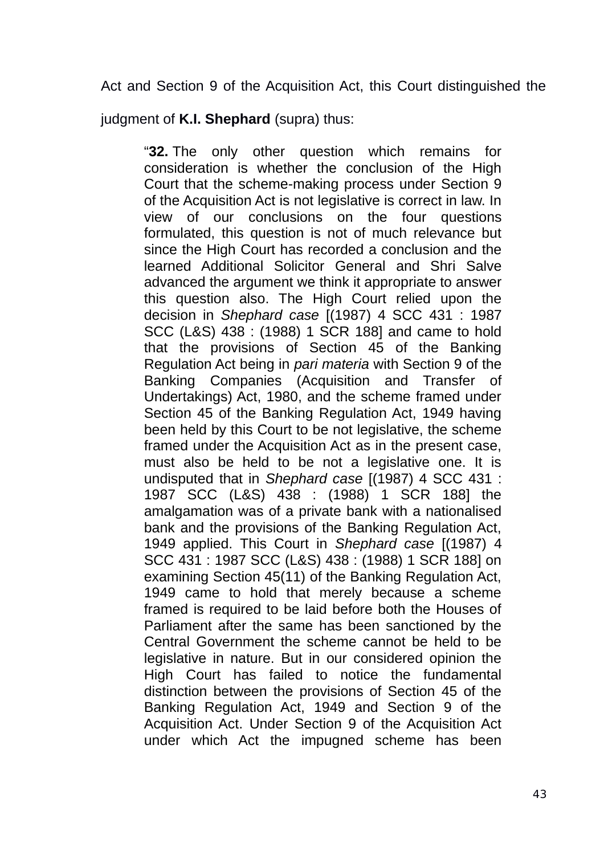Act and Section 9 of the Acquisition Act, this Court distinguished the

judgment of **K.I. Shephard** (supra) thus:

"**32.** The only other question which remains for consideration is whether the conclusion of the High Court that the scheme-making process under Section 9 of the Acquisition Act is not legislative is correct in law. In view of our conclusions on the four questions formulated, this question is not of much relevance but since the High Court has recorded a conclusion and the learned Additional Solicitor General and Shri Salve advanced the argument we think it appropriate to answer this question also. The High Court relied upon the decision in *Shephard case* [(1987) 4 SCC 431 : 1987 SCC (L&S) 438 : (1988) 1 SCR 188] and came to hold that the provisions of Section 45 of the Banking Regulation Act being in *pari materia* with Section 9 of the Banking Companies (Acquisition and Transfer of Undertakings) Act, 1980, and the scheme framed under Section 45 of the Banking Regulation Act, 1949 having been held by this Court to be not legislative, the scheme framed under the Acquisition Act as in the present case, must also be held to be not a legislative one. It is undisputed that in *Shephard case* [(1987) 4 SCC 431 : 1987 SCC (L&S) 438 : (1988) 1 SCR 188] the amalgamation was of a private bank with a nationalised bank and the provisions of the Banking Regulation Act, 1949 applied. This Court in *Shephard case* [(1987) 4 SCC 431 : 1987 SCC (L&S) 438 : (1988) 1 SCR 188] on examining Section 45(11) of the Banking Regulation Act, 1949 came to hold that merely because a scheme framed is required to be laid before both the Houses of Parliament after the same has been sanctioned by the Central Government the scheme cannot be held to be legislative in nature. But in our considered opinion the High Court has failed to notice the fundamental distinction between the provisions of Section 45 of the Banking Regulation Act, 1949 and Section 9 of the Acquisition Act. Under Section 9 of the Acquisition Act under which Act the impugned scheme has been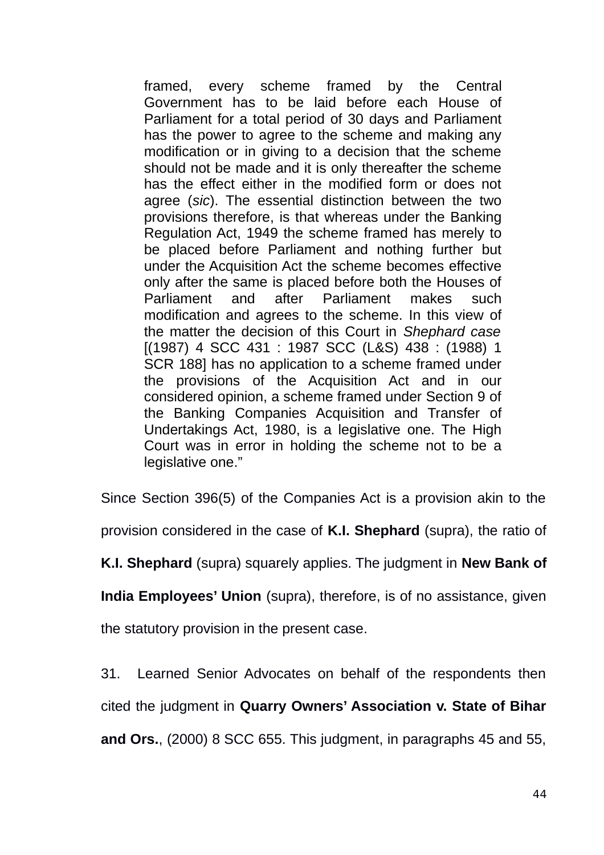framed, every scheme framed by the Central Government has to be laid before each House of Parliament for a total period of 30 days and Parliament has the power to agree to the scheme and making any modification or in giving to a decision that the scheme should not be made and it is only thereafter the scheme has the effect either in the modified form or does not agree (*sic*). The essential distinction between the two provisions therefore, is that whereas under the Banking Regulation Act, 1949 the scheme framed has merely to be placed before Parliament and nothing further but under the Acquisition Act the scheme becomes effective only after the same is placed before both the Houses of Parliament and after Parliament makes such modification and agrees to the scheme. In this view of the matter the decision of this Court in *Shephard case* [(1987) 4 SCC 431 : 1987 SCC (L&S) 438 : (1988) 1 SCR 188] has no application to a scheme framed under the provisions of the Acquisition Act and in our considered opinion, a scheme framed under Section 9 of the Banking Companies Acquisition and Transfer of Undertakings Act, 1980, is a legislative one. The High Court was in error in holding the scheme not to be a legislative one."

Since Section 396(5) of the Companies Act is a provision akin to the

provision considered in the case of **K.I. Shephard** (supra), the ratio of

**K.I. Shephard** (supra) squarely applies. The judgment in **New Bank of**

**India Employees' Union** (supra), therefore, is of no assistance, given

the statutory provision in the present case.

31. Learned Senior Advocates on behalf of the respondents then

cited the judgment in **Quarry Owners' Association v. State of Bihar**

**and Ors.**, (2000) 8 SCC 655. This judgment, in paragraphs 45 and 55,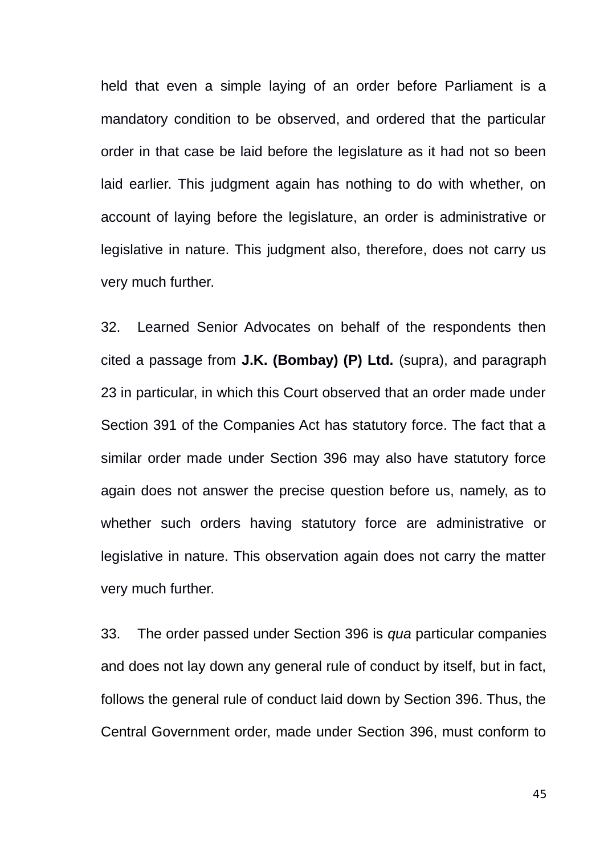held that even a simple laying of an order before Parliament is a mandatory condition to be observed, and ordered that the particular order in that case be laid before the legislature as it had not so been laid earlier. This judgment again has nothing to do with whether, on account of laying before the legislature, an order is administrative or legislative in nature. This judgment also, therefore, does not carry us very much further.

32. Learned Senior Advocates on behalf of the respondents then cited a passage from **J.K. (Bombay) (P) Ltd.** (supra), and paragraph 23 in particular, in which this Court observed that an order made under Section 391 of the Companies Act has statutory force. The fact that a similar order made under Section 396 may also have statutory force again does not answer the precise question before us, namely, as to whether such orders having statutory force are administrative or legislative in nature. This observation again does not carry the matter very much further.

33. The order passed under Section 396 is *qua* particular companies and does not lay down any general rule of conduct by itself, but in fact, follows the general rule of conduct laid down by Section 396. Thus, the Central Government order, made under Section 396, must conform to

45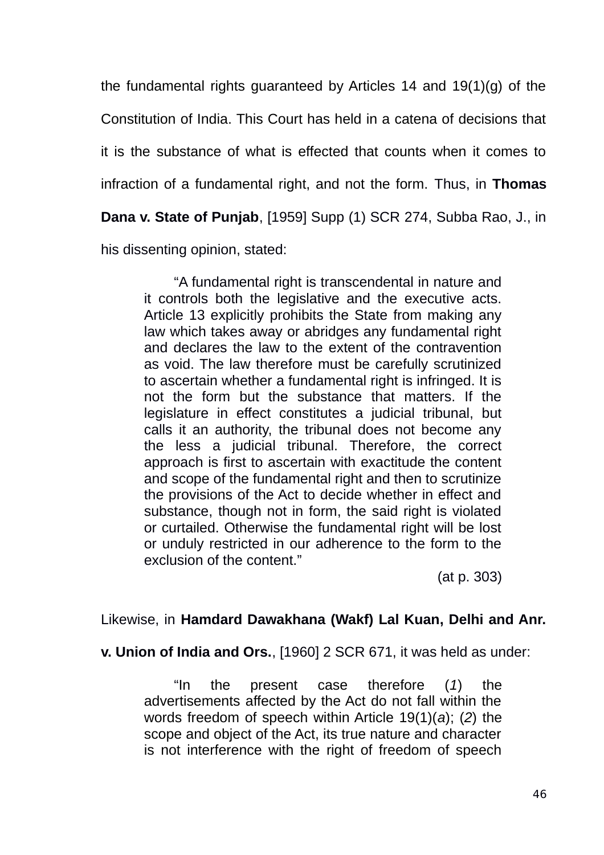the fundamental rights guaranteed by Articles 14 and 19(1)(g) of the Constitution of India. This Court has held in a catena of decisions that it is the substance of what is effected that counts when it comes to infraction of a fundamental right, and not the form. Thus, in **Thomas Dana v. State of Punjab**, [1959] Supp (1) SCR 274, Subba Rao, J., in

his dissenting opinion, stated:

"A fundamental right is transcendental in nature and it controls both the legislative and the executive acts. Article 13 explicitly prohibits the State from making any law which takes away or abridges any fundamental right and declares the law to the extent of the contravention as void. The law therefore must be carefully scrutinized to ascertain whether a fundamental right is infringed. It is not the form but the substance that matters. If the legislature in effect constitutes a judicial tribunal, but calls it an authority, the tribunal does not become any the less a judicial tribunal. Therefore, the correct approach is first to ascertain with exactitude the content and scope of the fundamental right and then to scrutinize the provisions of the Act to decide whether in effect and substance, though not in form, the said right is violated or curtailed. Otherwise the fundamental right will be lost or unduly restricted in our adherence to the form to the exclusion of the content."

(at p. 303)

## Likewise, in **Hamdard Dawakhana (Wakf) Lal Kuan, Delhi and Anr.**

**v. Union of India and Ors.**, [1960] 2 SCR 671, it was held as under:

"In the present case therefore (*1*) the advertisements affected by the Act do not fall within the words freedom of speech within Article 19(1)(*a*); (*2*) the scope and object of the Act, its true nature and character is not interference with the right of freedom of speech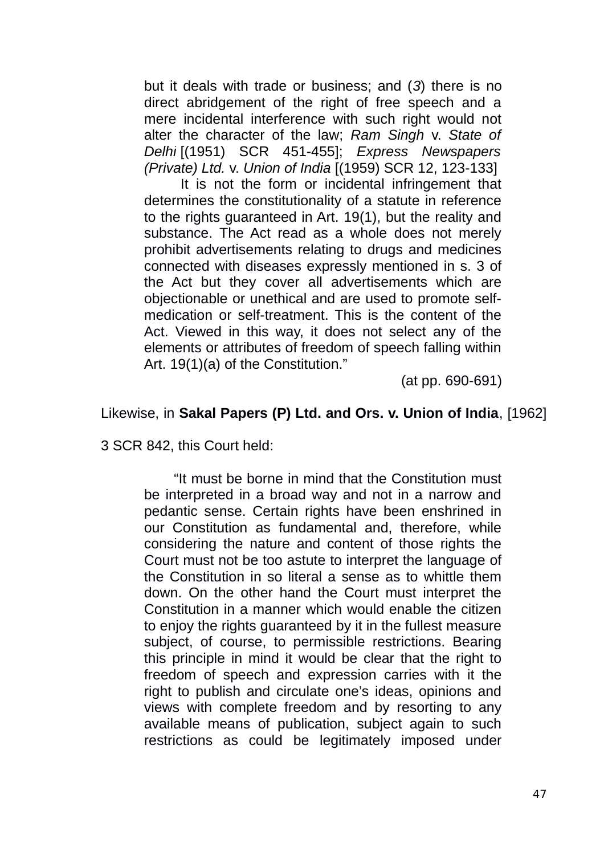but it deals with trade or business; and (*3*) there is no direct abridgement of the right of free speech and a mere incidental interference with such right would not alter the character of the law; *Ram Singh* v. *State of Delhi* [(1951) SCR 451-455]; *Express Newspapers (Private) Ltd.* v. *Union of India* [(1959) SCR 12, 123-133]

It is not the form or incidental infringement that determines the constitutionality of a statute in reference to the rights guaranteed in Art. 19(1), but the reality and substance. The Act read as a whole does not merely prohibit advertisements relating to drugs and medicines connected with diseases expressly mentioned in s. 3 of the Act but they cover all advertisements which are objectionable or unethical and are used to promote selfmedication or self-treatment. This is the content of the Act. Viewed in this way, it does not select any of the elements or attributes of freedom of speech falling within Art. 19(1)(a) of the Constitution."

(at pp. 690-691)

#### Likewise, in **Sakal Papers (P) Ltd. and Ors. v. Union of India**, [1962]

3 SCR 842, this Court held:

"It must be borne in mind that the Constitution must be interpreted in a broad way and not in a narrow and pedantic sense. Certain rights have been enshrined in our Constitution as fundamental and, therefore, while considering the nature and content of those rights the Court must not be too astute to interpret the language of the Constitution in so literal a sense as to whittle them down. On the other hand the Court must interpret the Constitution in a manner which would enable the citizen to enjoy the rights guaranteed by it in the fullest measure subject, of course, to permissible restrictions. Bearing this principle in mind it would be clear that the right to freedom of speech and expression carries with it the right to publish and circulate one's ideas, opinions and views with complete freedom and by resorting to any available means of publication, subject again to such restrictions as could be legitimately imposed under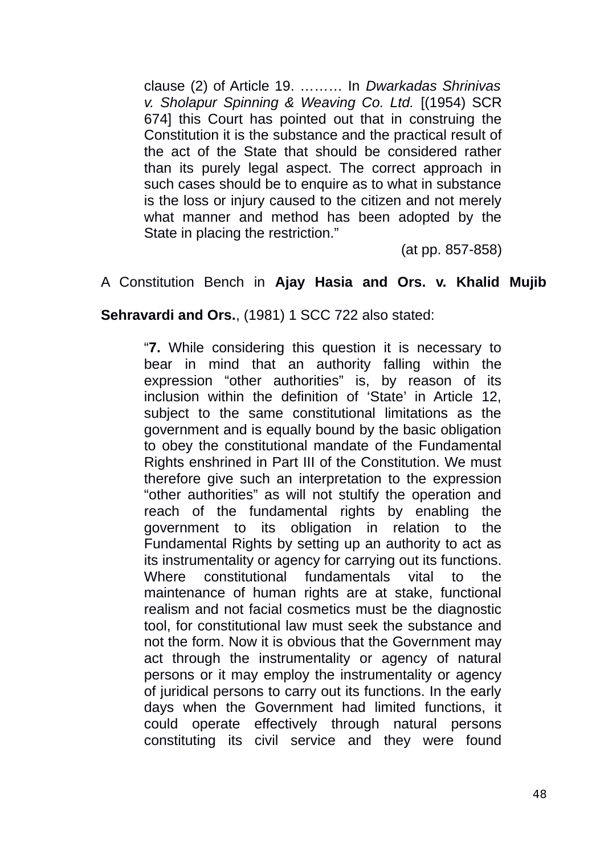clause (2) of Article 19. ……… In *Dwarkadas Shrinivas v. Sholapur Spinning & Weaving Co. Ltd.* [(1954) SCR 674] this Court has pointed out that in construing the Constitution it is the substance and the practical result of the act of the State that should be considered rather than its purely legal aspect. The correct approach in such cases should be to enquire as to what in substance is the loss or injury caused to the citizen and not merely what manner and method has been adopted by the State in placing the restriction."

(at pp. 857-858)

### A Constitution Bench in **Ajay Hasia and Ors. v. Khalid Mujib**

#### **Sehravardi and Ors.**, (1981) 1 SCC 722 also stated:

"**7.** While considering this question it is necessary to bear in mind that an authority falling within the expression "other authorities" is, by reason of its inclusion within the definition of 'State' in Article 12, subject to the same constitutional limitations as the government and is equally bound by the basic obligation to obey the constitutional mandate of the Fundamental Rights enshrined in Part III of the Constitution. We must therefore give such an interpretation to the expression "other authorities" as will not stultify the operation and reach of the fundamental rights by enabling the government to its obligation in relation to the Fundamental Rights by setting up an authority to act as its instrumentality or agency for carrying out its functions. Where constitutional fundamentals vital to the maintenance of human rights are at stake, functional realism and not facial cosmetics must be the diagnostic tool, for constitutional law must seek the substance and not the form. Now it is obvious that the Government may act through the instrumentality or agency of natural persons or it may employ the instrumentality or agency of juridical persons to carry out its functions. In the early days when the Government had limited functions, it could operate effectively through natural persons constituting its civil service and they were found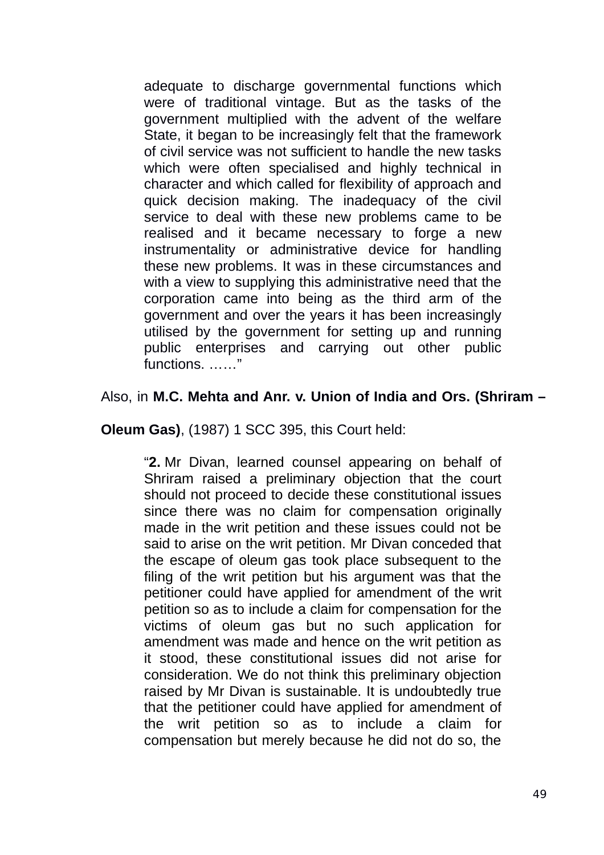adequate to discharge governmental functions which were of traditional vintage. But as the tasks of the government multiplied with the advent of the welfare State, it began to be increasingly felt that the framework of civil service was not sufficient to handle the new tasks which were often specialised and highly technical in character and which called for flexibility of approach and quick decision making. The inadequacy of the civil service to deal with these new problems came to be realised and it became necessary to forge a new instrumentality or administrative device for handling these new problems. It was in these circumstances and with a view to supplying this administrative need that the corporation came into being as the third arm of the government and over the years it has been increasingly utilised by the government for setting up and running public enterprises and carrying out other public functions. ……"

### Also, in **M.C. Mehta and Anr. v. Union of India and Ors. (Shriram –**

**Oleum Gas)**, (1987) 1 SCC 395, this Court held:

"**2.** Mr Divan, learned counsel appearing on behalf of Shriram raised a preliminary objection that the court should not proceed to decide these constitutional issues since there was no claim for compensation originally made in the writ petition and these issues could not be said to arise on the writ petition. Mr Divan conceded that the escape of oleum gas took place subsequent to the filing of the writ petition but his argument was that the petitioner could have applied for amendment of the writ petition so as to include a claim for compensation for the victims of oleum gas but no such application for amendment was made and hence on the writ petition as it stood, these constitutional issues did not arise for consideration. We do not think this preliminary objection raised by Mr Divan is sustainable. It is undoubtedly true that the petitioner could have applied for amendment of the writ petition so as to include a claim for compensation but merely because he did not do so, the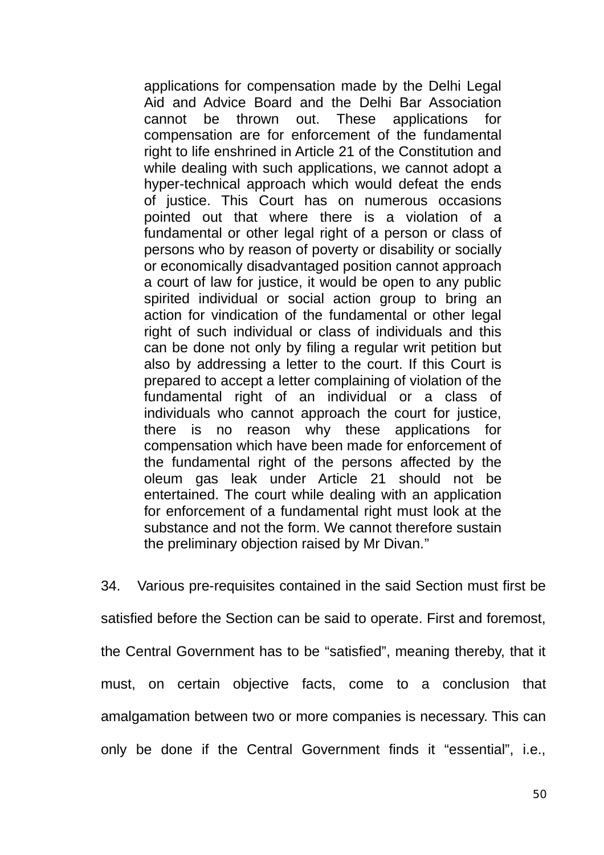applications for compensation made by the Delhi Legal Aid and Advice Board and the Delhi Bar Association cannot be thrown out. These applications for compensation are for enforcement of the fundamental right to life enshrined in Article 21 of the Constitution and while dealing with such applications, we cannot adopt a hyper-technical approach which would defeat the ends of justice. This Court has on numerous occasions pointed out that where there is a violation of a fundamental or other legal right of a person or class of persons who by reason of poverty or disability or socially or economically disadvantaged position cannot approach a court of law for justice, it would be open to any public spirited individual or social action group to bring an action for vindication of the fundamental or other legal right of such individual or class of individuals and this can be done not only by filing a regular writ petition but also by addressing a letter to the court. If this Court is prepared to accept a letter complaining of violation of the fundamental right of an individual or a class of individuals who cannot approach the court for justice, there is no reason why these applications for compensation which have been made for enforcement of the fundamental right of the persons affected by the oleum gas leak under Article 21 should not be entertained. The court while dealing with an application for enforcement of a fundamental right must look at the substance and not the form. We cannot therefore sustain the preliminary objection raised by Mr Divan."

34. Various pre-requisites contained in the said Section must first be satisfied before the Section can be said to operate. First and foremost, the Central Government has to be "satisfied", meaning thereby, that it must, on certain objective facts, come to a conclusion that amalgamation between two or more companies is necessary. This can only be done if the Central Government finds it "essential", i.e.,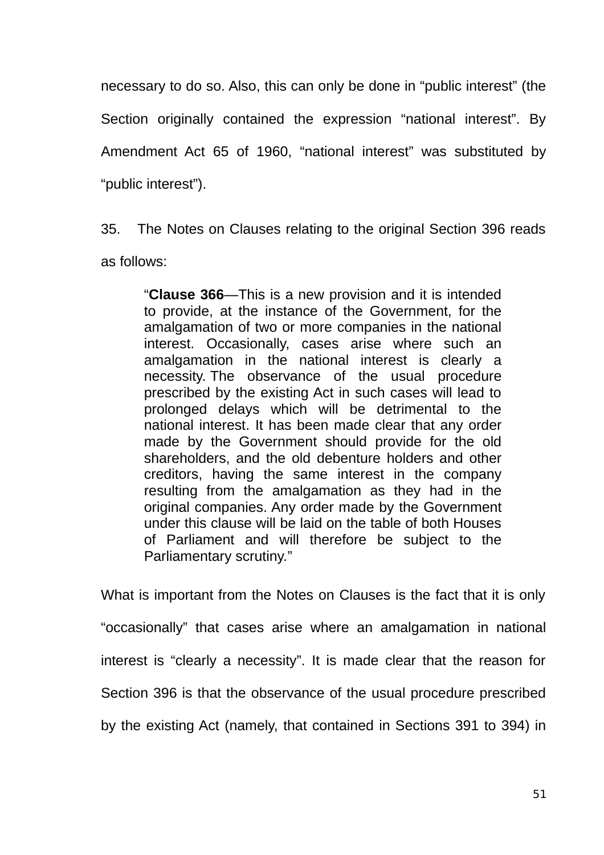necessary to do so. Also, this can only be done in "public interest" (the Section originally contained the expression "national interest". By Amendment Act 65 of 1960, "national interest" was substituted by "public interest").

35. The Notes on Clauses relating to the original Section 396 reads as follows:

"**Clause 366**—This is a new provision and it is intended to provide, at the instance of the Government, for the amalgamation of two or more companies in the national interest. Occasionally, cases arise where such an amalgamation in the national interest is clearly a necessity. The observance of the usual procedure prescribed by the existing Act in such cases will lead to prolonged delays which will be detrimental to the national interest. It has been made clear that any order made by the Government should provide for the old shareholders, and the old debenture holders and other creditors, having the same interest in the company resulting from the amalgamation as they had in the original companies. Any order made by the Government under this clause will be laid on the table of both Houses of Parliament and will therefore be subject to the Parliamentary scrutiny."

What is important from the Notes on Clauses is the fact that it is only "occasionally" that cases arise where an amalgamation in national interest is "clearly a necessity". It is made clear that the reason for Section 396 is that the observance of the usual procedure prescribed by the existing Act (namely, that contained in Sections 391 to 394) in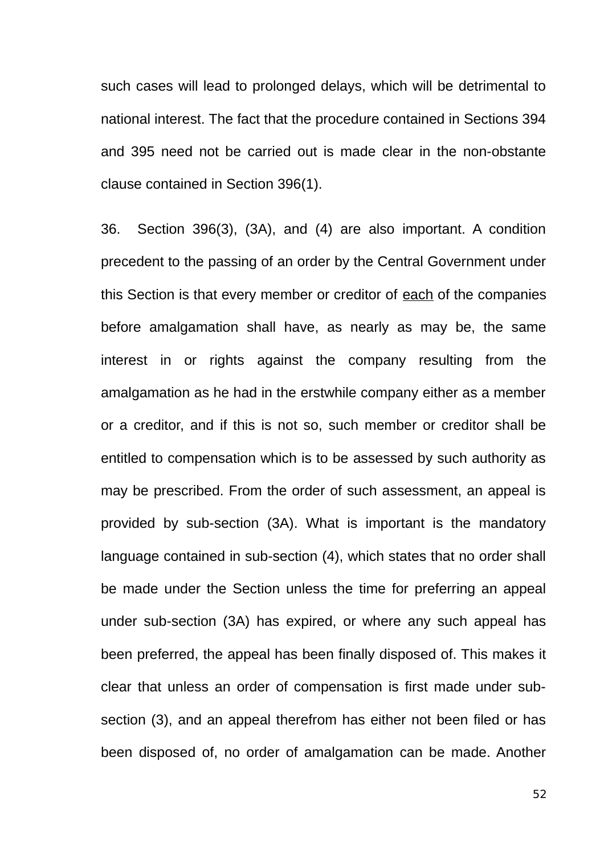such cases will lead to prolonged delays, which will be detrimental to national interest. The fact that the procedure contained in Sections 394 and 395 need not be carried out is made clear in the non-obstante clause contained in Section 396(1).

36. Section 396(3), (3A), and (4) are also important. A condition precedent to the passing of an order by the Central Government under this Section is that every member or creditor of each of the companies before amalgamation shall have, as nearly as may be, the same interest in or rights against the company resulting from the amalgamation as he had in the erstwhile company either as a member or a creditor, and if this is not so, such member or creditor shall be entitled to compensation which is to be assessed by such authority as may be prescribed. From the order of such assessment, an appeal is provided by sub-section (3A). What is important is the mandatory language contained in sub-section (4), which states that no order shall be made under the Section unless the time for preferring an appeal under sub-section (3A) has expired, or where any such appeal has been preferred, the appeal has been finally disposed of. This makes it clear that unless an order of compensation is first made under subsection (3), and an appeal therefrom has either not been filed or has been disposed of, no order of amalgamation can be made. Another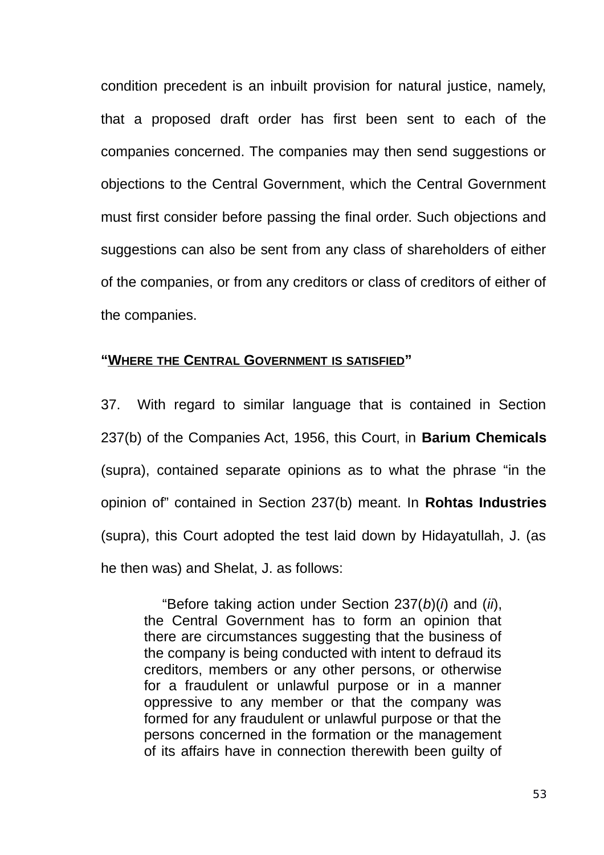condition precedent is an inbuilt provision for natural justice, namely, that a proposed draft order has first been sent to each of the companies concerned. The companies may then send suggestions or objections to the Central Government, which the Central Government must first consider before passing the final order. Such objections and suggestions can also be sent from any class of shareholders of either of the companies, or from any creditors or class of creditors of either of the companies.

#### **" WHERE THE CENTRAL GOVERNMENT IS SATISFIED"**

37. With regard to similar language that is contained in Section 237(b) of the Companies Act, 1956, this Court, in **Barium Chemicals** (supra), contained separate opinions as to what the phrase "in the opinion of" contained in Section 237(b) meant. In **Rohtas Industries** (supra), this Court adopted the test laid down by Hidayatullah, J. (as he then was) and Shelat, J. as follows:

"Before taking action under Section 237(*b*)(*i*) and (*ii*), the Central Government has to form an opinion that there are circumstances suggesting that the business of the company is being conducted with intent to defraud its creditors, members or any other persons, or otherwise for a fraudulent or unlawful purpose or in a manner oppressive to any member or that the company was formed for any fraudulent or unlawful purpose or that the persons concerned in the formation or the management of its affairs have in connection therewith been guilty of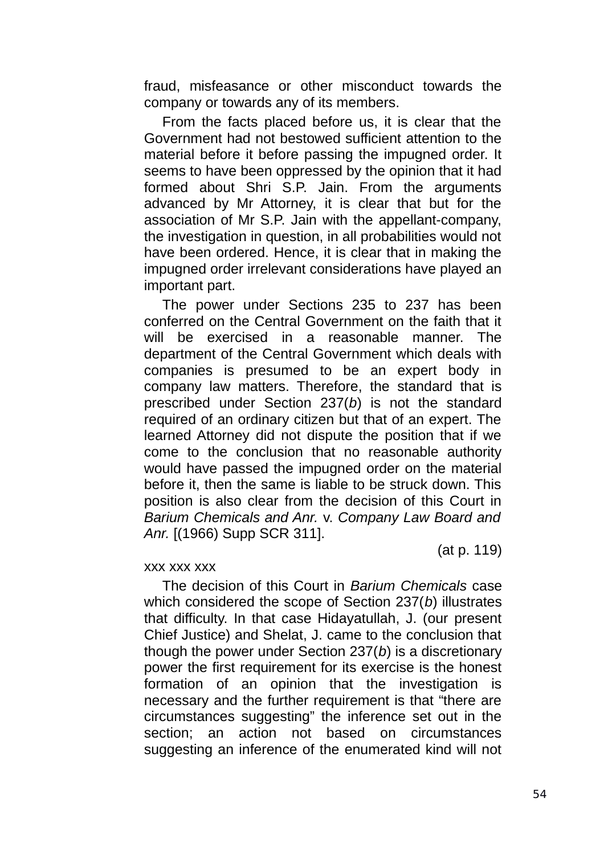fraud, misfeasance or other misconduct towards the company or towards any of its members.

From the facts placed before us, it is clear that the Government had not bestowed sufficient attention to the material before it before passing the impugned order. It seems to have been oppressed by the opinion that it had formed about Shri S.P. Jain. From the arguments advanced by Mr Attorney, it is clear that but for the association of Mr S.P. Jain with the appellant-company, the investigation in question, in all probabilities would not have been ordered. Hence, it is clear that in making the impugned order irrelevant considerations have played an important part.

The power under Sections 235 to 237 has been conferred on the Central Government on the faith that it will be exercised in a reasonable manner. The department of the Central Government which deals with companies is presumed to be an expert body in company law matters. Therefore, the standard that is prescribed under Section 237(*b*) is not the standard required of an ordinary citizen but that of an expert. The learned Attorney did not dispute the position that if we come to the conclusion that no reasonable authority would have passed the impugned order on the material before it, then the same is liable to be struck down. This position is also clear from the decision of this Court in *Barium Chemicals and Anr.* v. *Company Law Board and Anr.* [(1966) Supp SCR 311].

(at p. 119)

#### xxx xxx xxx

The decision of this Court in *Barium Chemicals* case which considered the scope of Section 237(*b*) illustrates that difficulty. In that case Hidayatullah, J. (our present Chief Justice) and Shelat, J. came to the conclusion that though the power under Section 237(*b*) is a discretionary power the first requirement for its exercise is the honest formation of an opinion that the investigation is necessary and the further requirement is that "there are circumstances suggesting" the inference set out in the section; an action not based on circumstances suggesting an inference of the enumerated kind will not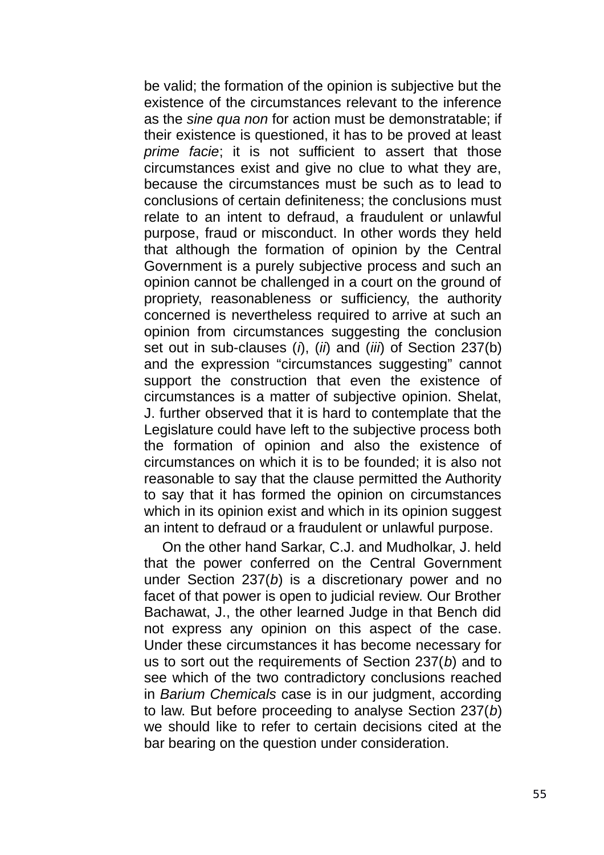be valid; the formation of the opinion is subjective but the existence of the circumstances relevant to the inference as the *sine qua non* for action must be demonstratable; if their existence is questioned, it has to be proved at least *prime facie*; it is not sufficient to assert that those circumstances exist and give no clue to what they are, because the circumstances must be such as to lead to conclusions of certain definiteness; the conclusions must relate to an intent to defraud, a fraudulent or unlawful purpose, fraud or misconduct. In other words they held that although the formation of opinion by the Central Government is a purely subjective process and such an opinion cannot be challenged in a court on the ground of propriety, reasonableness or sufficiency, the authority concerned is nevertheless required to arrive at such an opinion from circumstances suggesting the conclusion set out in sub-clauses (*i*), (*ii*) and (*iii*) of Section 237(b) and the expression "circumstances suggesting" cannot support the construction that even the existence of circumstances is a matter of subjective opinion. Shelat, J. further observed that it is hard to contemplate that the Legislature could have left to the subjective process both the formation of opinion and also the existence of circumstances on which it is to be founded; it is also not reasonable to say that the clause permitted the Authority to say that it has formed the opinion on circumstances which in its opinion exist and which in its opinion suggest an intent to defraud or a fraudulent or unlawful purpose.

On the other hand Sarkar, C.J. and Mudholkar, J. held that the power conferred on the Central Government under Section 237(*b*) is a discretionary power and no facet of that power is open to judicial review. Our Brother Bachawat, J., the other learned Judge in that Bench did not express any opinion on this aspect of the case. Under these circumstances it has become necessary for us to sort out the requirements of Section 237(*b*) and to see which of the two contradictory conclusions reached in *Barium Chemicals* case is in our judgment, according to law. But before proceeding to analyse Section 237(*b*) we should like to refer to certain decisions cited at the bar bearing on the question under consideration.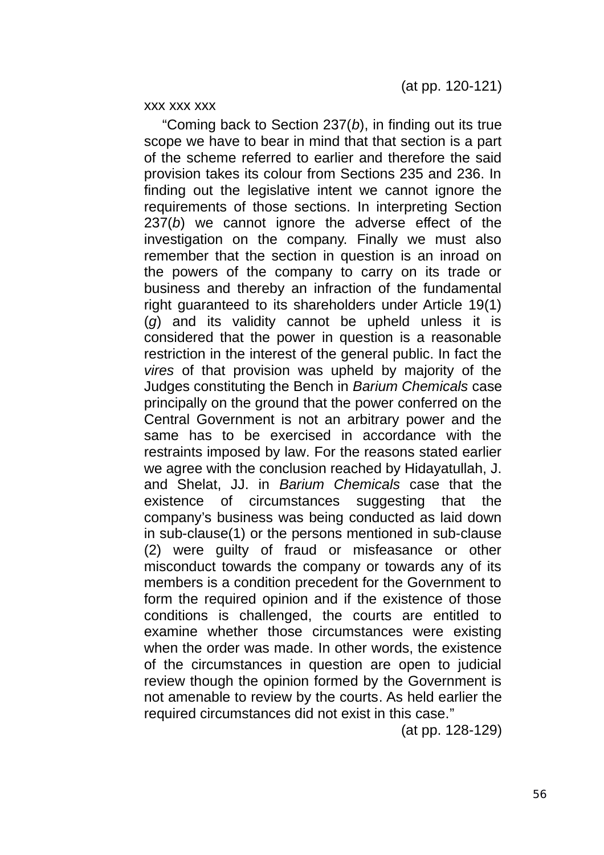#### xxx xxx xxx

"Coming back to Section 237(*b*), in finding out its true scope we have to bear in mind that that section is a part of the scheme referred to earlier and therefore the said provision takes its colour from Sections 235 and 236. In finding out the legislative intent we cannot ignore the requirements of those sections. In interpreting Section 237(*b*) we cannot ignore the adverse effect of the investigation on the company. Finally we must also remember that the section in question is an inroad on the powers of the company to carry on its trade or business and thereby an infraction of the fundamental right guaranteed to its shareholders under Article 19(1) (*g*) and its validity cannot be upheld unless it is considered that the power in question is a reasonable restriction in the interest of the general public. In fact the *vires* of that provision was upheld by majority of the Judges constituting the Bench in *Barium Chemicals* case principally on the ground that the power conferred on the Central Government is not an arbitrary power and the same has to be exercised in accordance with the restraints imposed by law. For the reasons stated earlier we agree with the conclusion reached by Hidayatullah, J. and Shelat, JJ. in *Barium Chemicals* case that the existence of circumstances suggesting that the company's business was being conducted as laid down in sub-clause(1) or the persons mentioned in sub-clause (2) were guilty of fraud or misfeasance or other misconduct towards the company or towards any of its members is a condition precedent for the Government to form the required opinion and if the existence of those conditions is challenged, the courts are entitled to examine whether those circumstances were existing when the order was made. In other words, the existence of the circumstances in question are open to judicial review though the opinion formed by the Government is not amenable to review by the courts. As held earlier the required circumstances did not exist in this case."

(at pp. 128-129)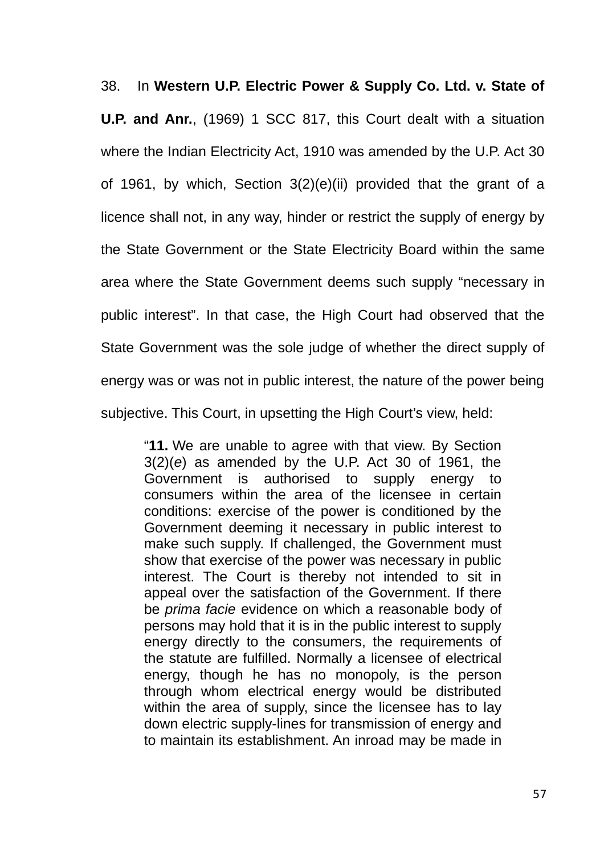38. In **Western U.P. Electric Power & Supply Co. Ltd. v. State of U.P. and Anr.**, (1969) 1 SCC 817, this Court dealt with a situation where the Indian Electricity Act, 1910 was amended by the U.P. Act 30 of 1961, by which, Section 3(2)(e)(ii) provided that the grant of a licence shall not, in any way, hinder or restrict the supply of energy by the State Government or the State Electricity Board within the same area where the State Government deems such supply "necessary in public interest". In that case, the High Court had observed that the State Government was the sole judge of whether the direct supply of energy was or was not in public interest, the nature of the power being subjective. This Court, in upsetting the High Court's view, held:

"**11.** We are unable to agree with that view. By Section 3(2)(*e*) as amended by the U.P. Act 30 of 1961, the Government is authorised to supply energy to consumers within the area of the licensee in certain conditions: exercise of the power is conditioned by the Government deeming it necessary in public interest to make such supply. If challenged, the Government must show that exercise of the power was necessary in public interest. The Court is thereby not intended to sit in appeal over the satisfaction of the Government. If there be *prima facie* evidence on which a reasonable body of persons may hold that it is in the public interest to supply energy directly to the consumers, the requirements of the statute are fulfilled. Normally a licensee of electrical energy, though he has no monopoly, is the person through whom electrical energy would be distributed within the area of supply, since the licensee has to lay down electric supply-lines for transmission of energy and to maintain its establishment. An inroad may be made in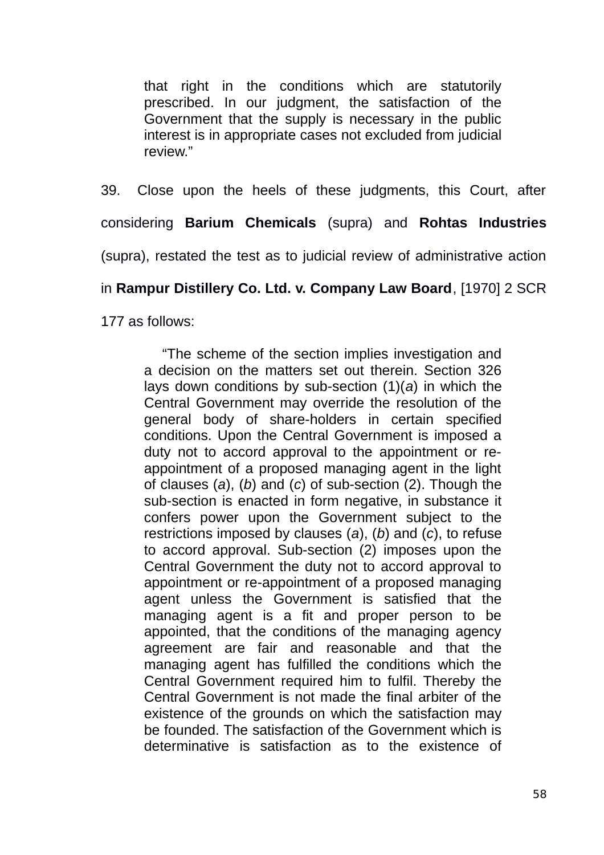that right in the conditions which are statutorily prescribed. In our judgment, the satisfaction of the Government that the supply is necessary in the public interest is in appropriate cases not excluded from judicial review."

39. Close upon the heels of these judgments, this Court, after

considering **Barium Chemicals** (supra) and **Rohtas Industries**

(supra), restated the test as to judicial review of administrative action

in **Rampur Distillery Co. Ltd. v. Company Law Board**, [1970] 2 SCR

177 as follows:

"The scheme of the section implies investigation and a decision on the matters set out therein. Section 326 lays down conditions by sub-section (1)(*a*) in which the Central Government may override the resolution of the general body of share-holders in certain specified conditions. Upon the Central Government is imposed a duty not to accord approval to the appointment or reappointment of a proposed managing agent in the light of clauses (*a*), (*b*) and (*c*) of sub-section (2). Though the sub-section is enacted in form negative, in substance it confers power upon the Government subject to the restrictions imposed by clauses (*a*), (*b*) and (*c*), to refuse to accord approval. Sub-section (2) imposes upon the Central Government the duty not to accord approval to appointment or re-appointment of a proposed managing agent unless the Government is satisfied that the managing agent is a fit and proper person to be appointed, that the conditions of the managing agency agreement are fair and reasonable and that the managing agent has fulfilled the conditions which the Central Government required him to fulfil. Thereby the Central Government is not made the final arbiter of the existence of the grounds on which the satisfaction may be founded. The satisfaction of the Government which is determinative is satisfaction as to the existence of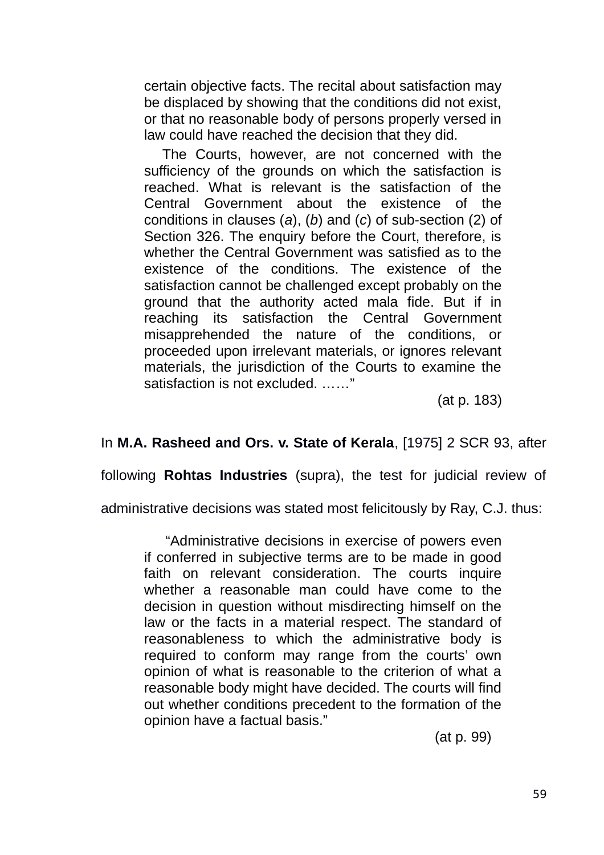certain objective facts. The recital about satisfaction may be displaced by showing that the conditions did not exist, or that no reasonable body of persons properly versed in law could have reached the decision that they did.

The Courts, however, are not concerned with the sufficiency of the grounds on which the satisfaction is reached. What is relevant is the satisfaction of the Central Government about the existence of the conditions in clauses (*a*), (*b*) and (*c*) of sub-section (2) of Section 326. The enquiry before the Court, therefore, is whether the Central Government was satisfied as to the existence of the conditions. The existence of the satisfaction cannot be challenged except probably on the ground that the authority acted mala fide. But if in reaching its satisfaction the Central Government misapprehended the nature of the conditions, or proceeded upon irrelevant materials, or ignores relevant materials, the jurisdiction of the Courts to examine the satisfaction is not excluded. ……"

(at p. 183)

### In **M.A. Rasheed and Ors. v. State of Kerala**, [1975] 2 SCR 93, after

following **Rohtas Industries** (supra), the test for judicial review of

administrative decisions was stated most felicitously by Ray, C.J. thus:

"Administrative decisions in exercise of powers even if conferred in subjective terms are to be made in good faith on relevant consideration. The courts inquire whether a reasonable man could have come to the decision in question without misdirecting himself on the law or the facts in a material respect. The standard of reasonableness to which the administrative body is required to conform may range from the courts' own opinion of what is reasonable to the criterion of what a reasonable body might have decided. The courts will find out whether conditions precedent to the formation of the opinion have a factual basis."

(at p. 99)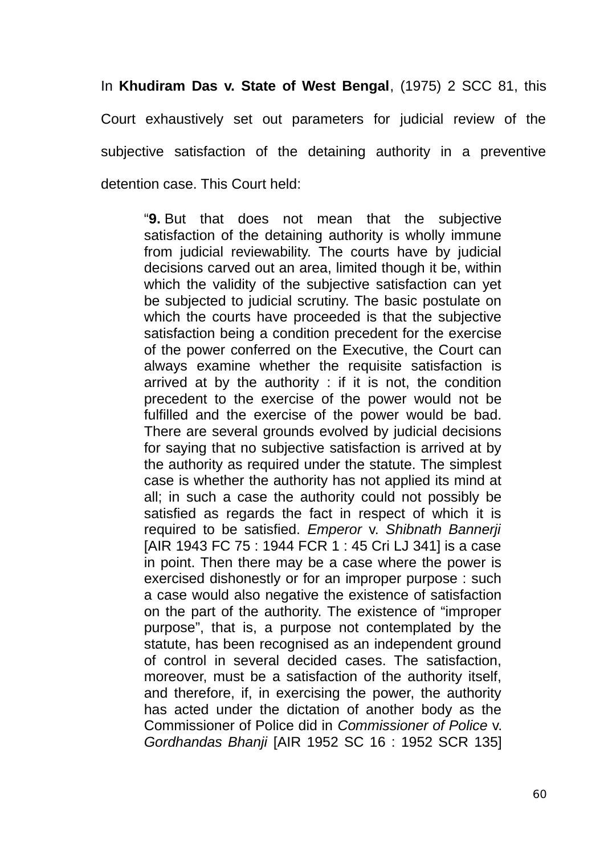In **Khudiram Das v. State of West Bengal**, (1975) 2 SCC 81, this Court exhaustively set out parameters for judicial review of the subjective satisfaction of the detaining authority in a preventive detention case. This Court held:

"**9.** But that does not mean that the subjective satisfaction of the detaining authority is wholly immune from judicial reviewability. The courts have by judicial decisions carved out an area, limited though it be, within which the validity of the subjective satisfaction can yet be subjected to judicial scrutiny. The basic postulate on which the courts have proceeded is that the subjective satisfaction being a condition precedent for the exercise of the power conferred on the Executive, the Court can always examine whether the requisite satisfaction is arrived at by the authority : if it is not, the condition precedent to the exercise of the power would not be fulfilled and the exercise of the power would be bad. There are several grounds evolved by judicial decisions for saying that no subjective satisfaction is arrived at by the authority as required under the statute. The simplest case is whether the authority has not applied its mind at all; in such a case the authority could not possibly be satisfied as regards the fact in respect of which it is required to be satisfied. *Emperor* v. *Shibnath Bannerji* [AIR 1943 FC 75 : 1944 FCR 1 : 45 Cri LJ 341] is a case in point. Then there may be a case where the power is exercised dishonestly or for an improper purpose : such a case would also negative the existence of satisfaction on the part of the authority. The existence of "improper purpose", that is, a purpose not contemplated by the statute, has been recognised as an independent ground of control in several decided cases. The satisfaction, moreover, must be a satisfaction of the authority itself, and therefore, if, in exercising the power, the authority has acted under the dictation of another body as the Commissioner of Police did in *Commissioner of Police* v. *Gordhandas Bhanji* [AIR 1952 SC 16 : 1952 SCR 135]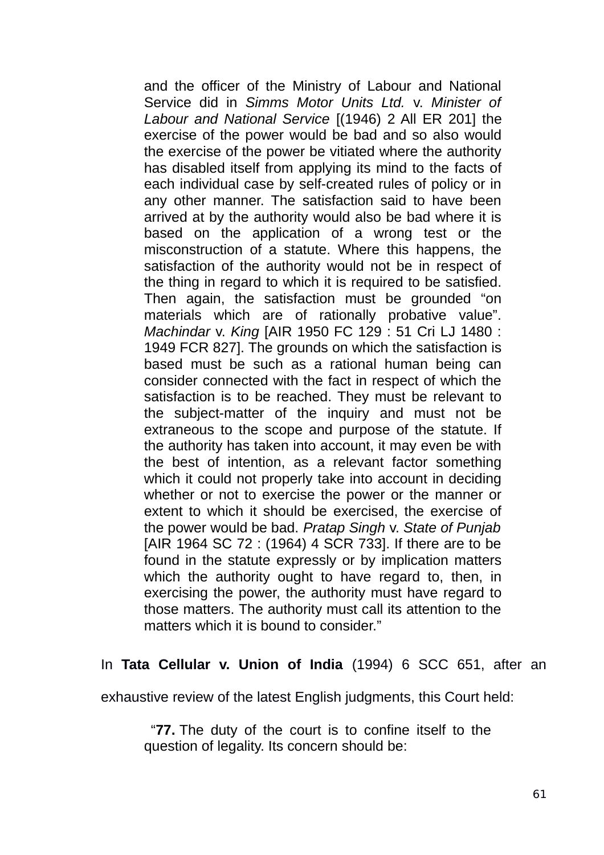and the officer of the Ministry of Labour and National Service did in *Simms Motor Units Ltd.* v. *Minister of Labour and National Service* [(1946) 2 All ER 201] the exercise of the power would be bad and so also would the exercise of the power be vitiated where the authority has disabled itself from applying its mind to the facts of each individual case by self-created rules of policy or in any other manner. The satisfaction said to have been arrived at by the authority would also be bad where it is based on the application of a wrong test or the misconstruction of a statute. Where this happens, the satisfaction of the authority would not be in respect of the thing in regard to which it is required to be satisfied. Then again, the satisfaction must be grounded "on materials which are of rationally probative value". *Machindar* v. *King* [AIR 1950 FC 129 : 51 Cri LJ 1480 : 1949 FCR 827]. The grounds on which the satisfaction is based must be such as a rational human being can consider connected with the fact in respect of which the satisfaction is to be reached. They must be relevant to the subject-matter of the inquiry and must not be extraneous to the scope and purpose of the statute. If the authority has taken into account, it may even be with the best of intention, as a relevant factor something which it could not properly take into account in deciding whether or not to exercise the power or the manner or extent to which it should be exercised, the exercise of the power would be bad. *Pratap Singh* v. *State of Punjab* [AIR 1964 SC 72 : (1964) 4 SCR 733]. If there are to be found in the statute expressly or by implication matters which the authority ought to have regard to, then, in exercising the power, the authority must have regard to those matters. The authority must call its attention to the matters which it is bound to consider."

## In **Tata Cellular v. Union of India** (1994) 6 SCC 651, after an

exhaustive review of the latest English judgments, this Court held:

 "**77.** The duty of the court is to confine itself to the question of legality. Its concern should be: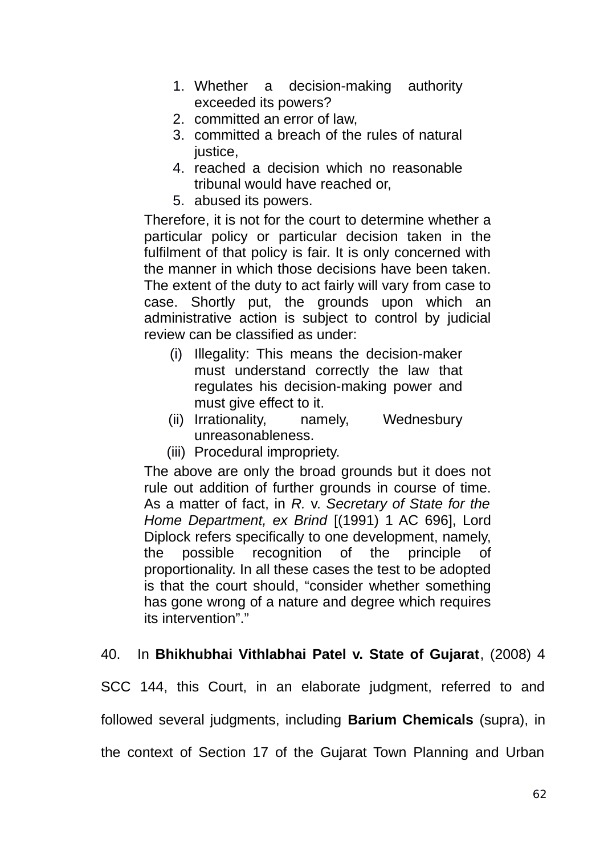- 1. Whether a decision-making authority exceeded its powers?
- 2. committed an error of law,
- 3. committed a breach of the rules of natural justice.
- 4. reached a decision which no reasonable tribunal would have reached or,
- 5. abused its powers.

Therefore, it is not for the court to determine whether a particular policy or particular decision taken in the fulfilment of that policy is fair. It is only concerned with the manner in which those decisions have been taken. The extent of the duty to act fairly will vary from case to case. Shortly put, the grounds upon which an administrative action is subject to control by judicial review can be classified as under:

- (i) Illegality: This means the decision-maker must understand correctly the law that regulates his decision-making power and must give effect to it.
- (ii) Irrationality, namely, Wednesbury unreasonableness.
- (iii) Procedural impropriety.

The above are only the broad grounds but it does not rule out addition of further grounds in course of time. As a matter of fact, in *R.* v. *Secretary of State for the Home Department, ex Brind* [(1991) 1 AC 696], Lord Diplock refers specifically to one development, namely, the possible recognition of the principle of proportionality. In all these cases the test to be adopted is that the court should, "consider whether something has gone wrong of a nature and degree which requires its intervention"."

## 40. In **Bhikhubhai Vithlabhai Patel v. State of Gujarat**, (2008) 4

SCC 144, this Court, in an elaborate judgment, referred to and followed several judgments, including **Barium Chemicals** (supra), in the context of Section 17 of the Gujarat Town Planning and Urban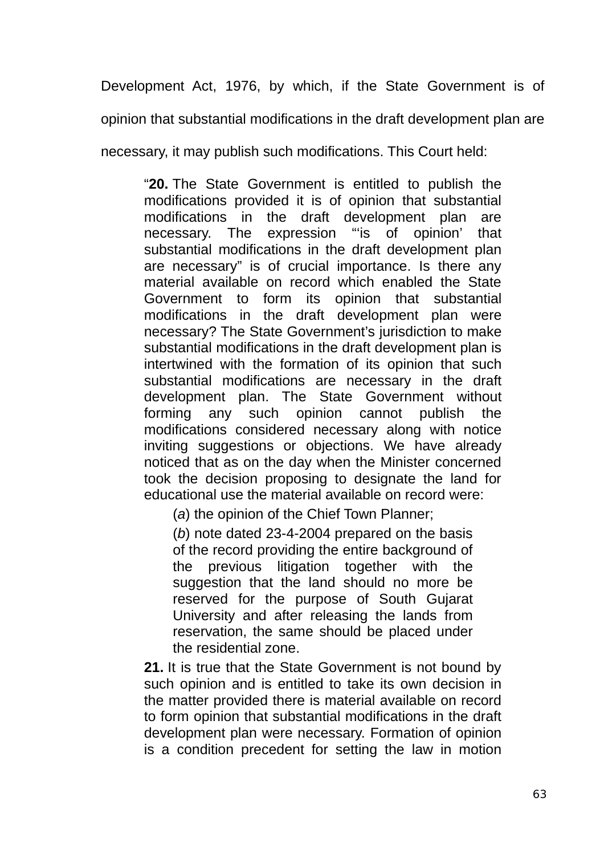Development Act, 1976, by which, if the State Government is of

opinion that substantial modifications in the draft development plan are

necessary, it may publish such modifications. This Court held:

"**20.** The State Government is entitled to publish the modifications provided it is of opinion that substantial modifications in the draft development plan are necessary. The expression "'is of opinion' that substantial modifications in the draft development plan are necessary" is of crucial importance. Is there any material available on record which enabled the State Government to form its opinion that substantial modifications in the draft development plan were necessary? The State Government's jurisdiction to make substantial modifications in the draft development plan is intertwined with the formation of its opinion that such substantial modifications are necessary in the draft development plan. The State Government without forming any such opinion cannot publish the modifications considered necessary along with notice inviting suggestions or objections. We have already noticed that as on the day when the Minister concerned took the decision proposing to designate the land for educational use the material available on record were:

(*a*) the opinion of the Chief Town Planner;

(*b*) note dated 23-4-2004 prepared on the basis of the record providing the entire background of the previous litigation together with the suggestion that the land should no more be reserved for the purpose of South Gujarat University and after releasing the lands from reservation, the same should be placed under the residential zone.

**21.** It is true that the State Government is not bound by such opinion and is entitled to take its own decision in the matter provided there is material available on record to form opinion that substantial modifications in the draft development plan were necessary. Formation of opinion is a condition precedent for setting the law in motion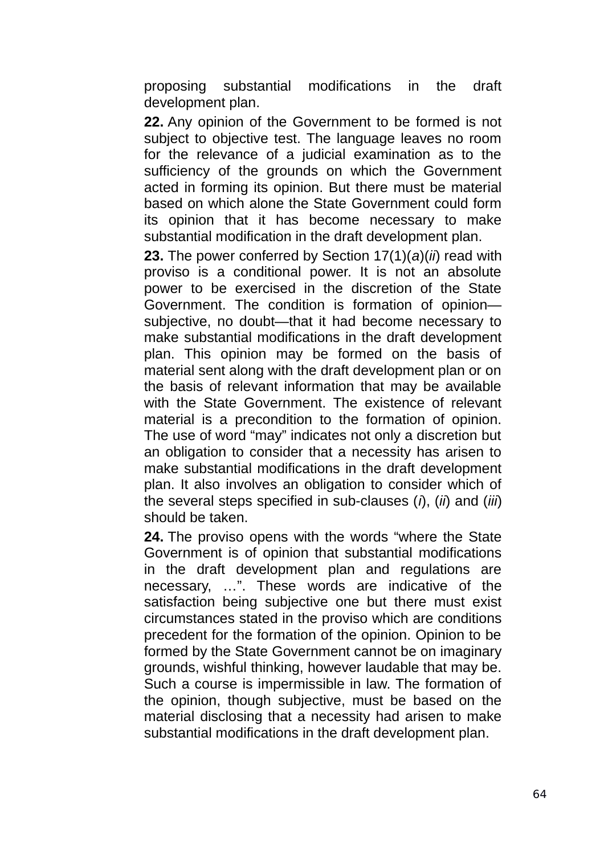proposing substantial modifications in the draft development plan.

**22.** Any opinion of the Government to be formed is not subject to objective test. The language leaves no room for the relevance of a judicial examination as to the sufficiency of the grounds on which the Government acted in forming its opinion. But there must be material based on which alone the State Government could form its opinion that it has become necessary to make substantial modification in the draft development plan.

**23.** The power conferred by Section 17(1)(*a*)(*ii*) read with proviso is a conditional power. It is not an absolute power to be exercised in the discretion of the State Government. The condition is formation of opinion subjective, no doubt—that it had become necessary to make substantial modifications in the draft development plan. This opinion may be formed on the basis of material sent along with the draft development plan or on the basis of relevant information that may be available with the State Government. The existence of relevant material is a precondition to the formation of opinion. The use of word "may" indicates not only a discretion but an obligation to consider that a necessity has arisen to make substantial modifications in the draft development plan. It also involves an obligation to consider which of the several steps specified in sub-clauses (*i*), (*ii*) and (*iii*) should be taken.

**24.** The proviso opens with the words "where the State Government is of opinion that substantial modifications in the draft development plan and regulations are necessary, …". These words are indicative of the satisfaction being subjective one but there must exist circumstances stated in the proviso which are conditions precedent for the formation of the opinion. Opinion to be formed by the State Government cannot be on imaginary grounds, wishful thinking, however laudable that may be. Such a course is impermissible in law. The formation of the opinion, though subjective, must be based on the material disclosing that a necessity had arisen to make substantial modifications in the draft development plan.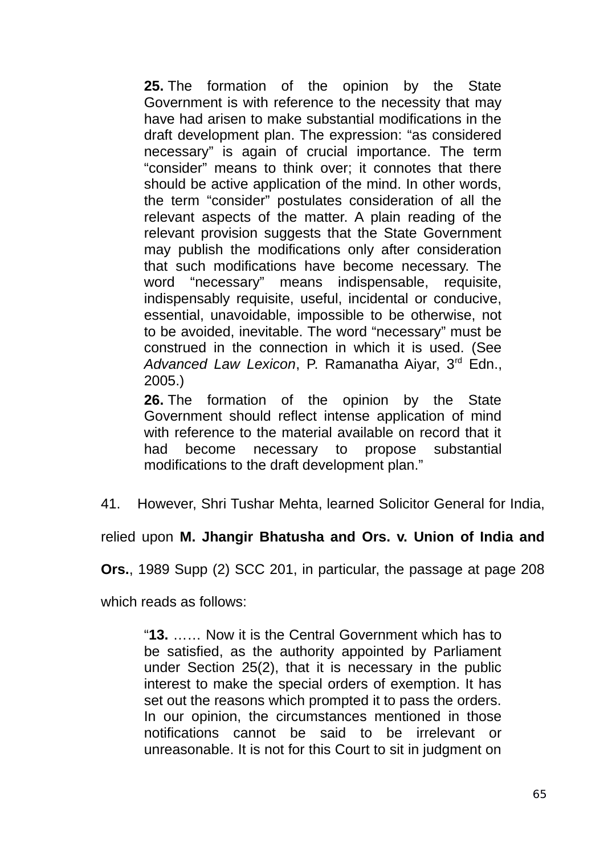**25.** The formation of the opinion by the State Government is with reference to the necessity that may have had arisen to make substantial modifications in the draft development plan. The expression: "as considered necessary" is again of crucial importance. The term "consider" means to think over; it connotes that there should be active application of the mind. In other words, the term "consider" postulates consideration of all the relevant aspects of the matter. A plain reading of the relevant provision suggests that the State Government may publish the modifications only after consideration that such modifications have become necessary. The word "necessary" means indispensable, requisite, indispensably requisite, useful, incidental or conducive, essential, unavoidable, impossible to be otherwise, not to be avoided, inevitable. The word "necessary" must be construed in the connection in which it is used. (See *Advanced Law Lexicon*, P. Ramanatha Aiyar, 3rd Edn., 2005.)

**26.** The formation of the opinion by the State Government should reflect intense application of mind with reference to the material available on record that it had become necessary to propose substantial modifications to the draft development plan."

41. However, Shri Tushar Mehta, learned Solicitor General for India,

relied upon **M. Jhangir Bhatusha and Ors. v. Union of India and**

**Ors.**, 1989 Supp (2) SCC 201, in particular, the passage at page 208

which reads as follows:

"**13.** …… Now it is the Central Government which has to be satisfied, as the authority appointed by Parliament under Section 25(2), that it is necessary in the public interest to make the special orders of exemption. It has set out the reasons which prompted it to pass the orders. In our opinion, the circumstances mentioned in those notifications cannot be said to be irrelevant or unreasonable. It is not for this Court to sit in judgment on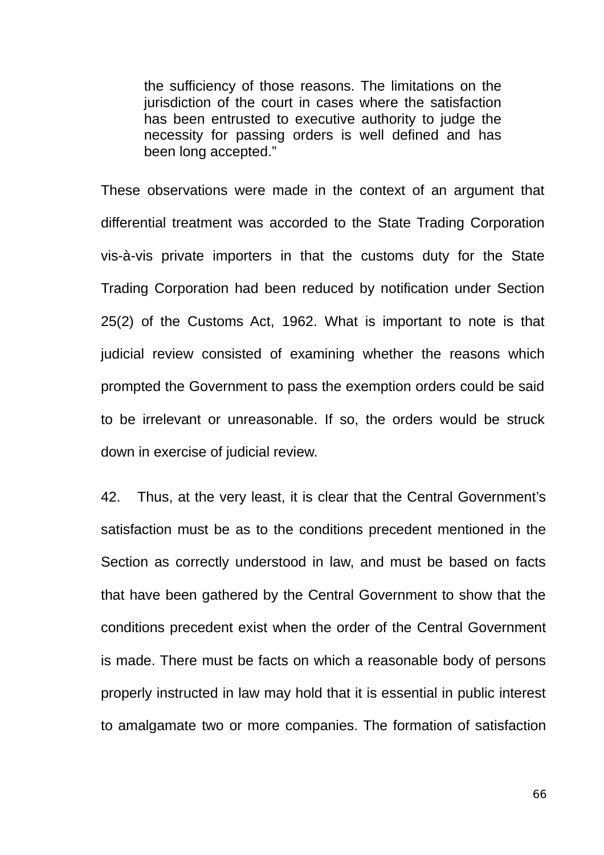the sufficiency of those reasons. The limitations on the jurisdiction of the court in cases where the satisfaction has been entrusted to executive authority to judge the necessity for passing orders is well defined and has been long accepted."

These observations were made in the context of an argument that differential treatment was accorded to the State Trading Corporation vis-à-vis private importers in that the customs duty for the State Trading Corporation had been reduced by notification under Section 25(2) of the Customs Act, 1962. What is important to note is that judicial review consisted of examining whether the reasons which prompted the Government to pass the exemption orders could be said to be irrelevant or unreasonable. If so, the orders would be struck down in exercise of judicial review.

42. Thus, at the very least, it is clear that the Central Government's satisfaction must be as to the conditions precedent mentioned in the Section as correctly understood in law, and must be based on facts that have been gathered by the Central Government to show that the conditions precedent exist when the order of the Central Government is made. There must be facts on which a reasonable body of persons properly instructed in law may hold that it is essential in public interest to amalgamate two or more companies. The formation of satisfaction

66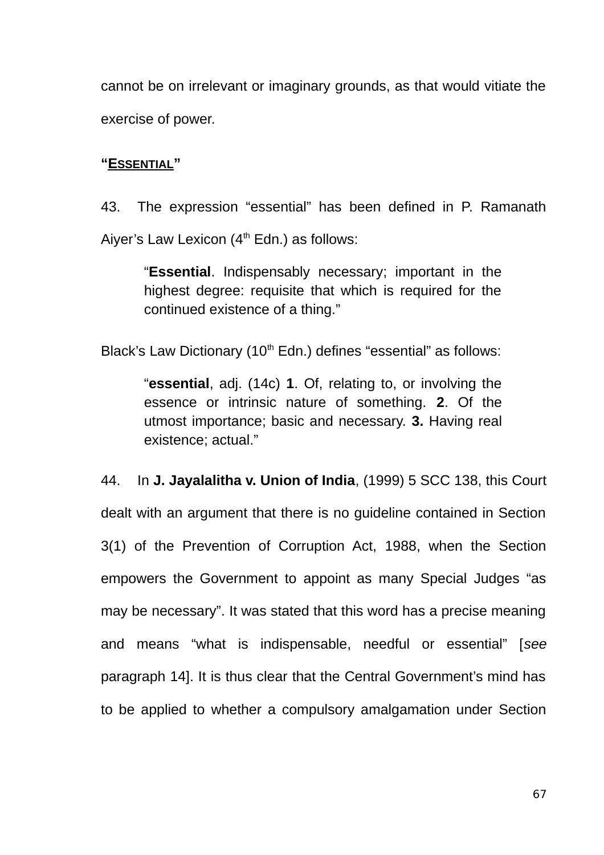cannot be on irrelevant or imaginary grounds, as that would vitiate the exercise of power.

#### **" ESSENTIAL"**

43. The expression "essential" has been defined in P. Ramanath Aiyer's Law Lexicon  $(4<sup>th</sup>$  Edn.) as follows:

"**Essential**. Indispensably necessary; important in the highest degree: requisite that which is required for the continued existence of a thing."

Black's Law Dictionary  $(10<sup>th</sup>$  Edn.) defines "essential" as follows:

"**essential**, adj. (14c) **1**. Of, relating to, or involving the essence or intrinsic nature of something. **2**. Of the utmost importance; basic and necessary. **3.** Having real existence; actual."

44. In **J. Jayalalitha v. Union of India**, (1999) 5 SCC 138, this Court dealt with an argument that there is no guideline contained in Section 3(1) of the Prevention of Corruption Act, 1988, when the Section empowers the Government to appoint as many Special Judges "as may be necessary". It was stated that this word has a precise meaning and means "what is indispensable, needful or essential" [*see* paragraph 14]. It is thus clear that the Central Government's mind has to be applied to whether a compulsory amalgamation under Section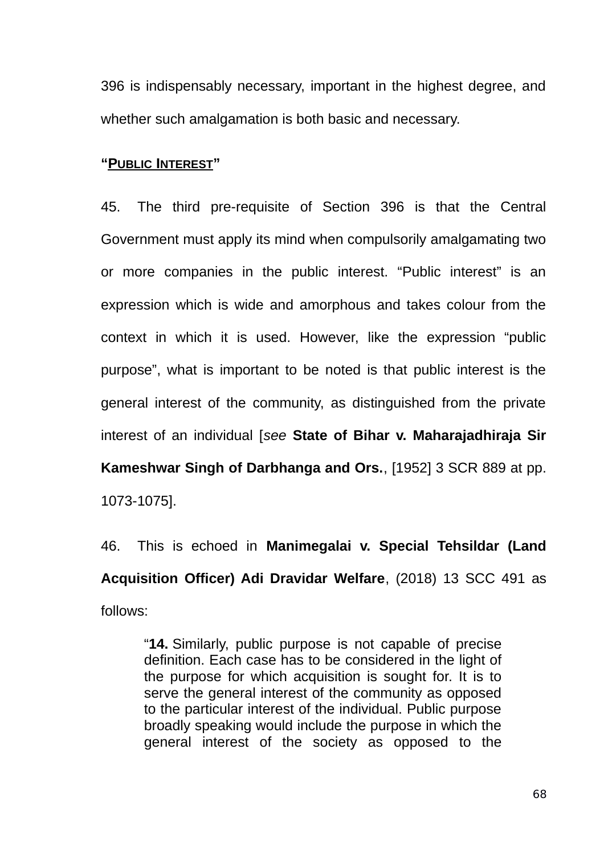396 is indispensably necessary, important in the highest degree, and whether such amalgamation is both basic and necessary.

#### **" PUBLIC INTEREST"**

45. The third pre-requisite of Section 396 is that the Central Government must apply its mind when compulsorily amalgamating two or more companies in the public interest. "Public interest" is an expression which is wide and amorphous and takes colour from the context in which it is used. However, like the expression "public purpose", what is important to be noted is that public interest is the general interest of the community, as distinguished from the private interest of an individual [*see* **State of Bihar v. Maharajadhiraja Sir Kameshwar Singh of Darbhanga and Ors.**, [1952] 3 SCR 889 at pp. 1073-1075].

46. This is echoed in **Manimegalai v. Special Tehsildar (Land Acquisition Officer) Adi Dravidar Welfare**, (2018) 13 SCC 491 as follows:

"**14.** Similarly, public purpose is not capable of precise definition. Each case has to be considered in the light of the purpose for which acquisition is sought for. It is to serve the general interest of the community as opposed to the particular interest of the individual. Public purpose broadly speaking would include the purpose in which the general interest of the society as opposed to the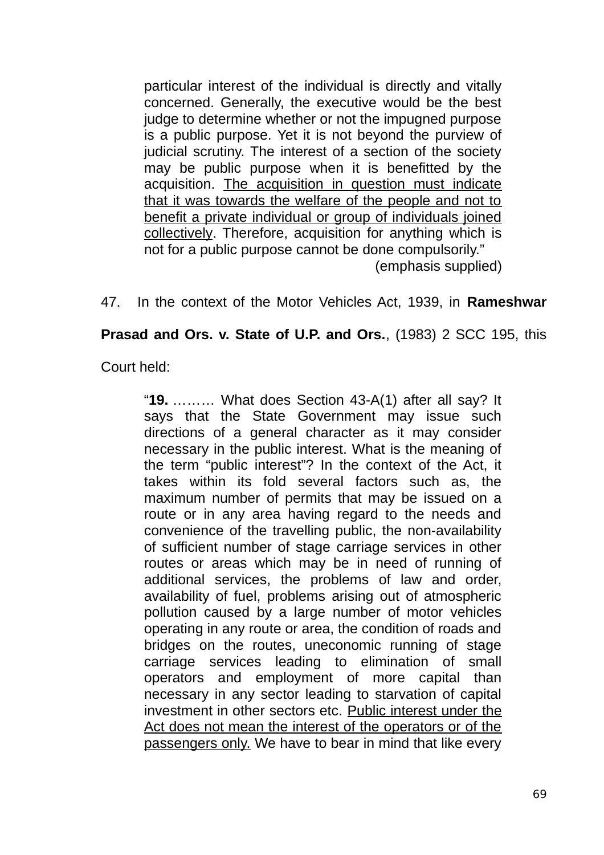particular interest of the individual is directly and vitally concerned. Generally, the executive would be the best judge to determine whether or not the impugned purpose is a public purpose. Yet it is not beyond the purview of judicial scrutiny. The interest of a section of the society may be public purpose when it is benefitted by the acquisition. The acquisition in question must indicate that it was towards the welfare of the people and not to benefit a private individual or group of individuals joined collectively. Therefore, acquisition for anything which is not for a public purpose cannot be done compulsorily." (emphasis supplied)

## 47. In the context of the Motor Vehicles Act, 1939, in **Rameshwar**

### **Prasad and Ors. v. State of U.P. and Ors.**, (1983) 2 SCC 195, this

Court held:

"**19.** ……… What does Section 43-A(1) after all say? It says that the State Government may issue such directions of a general character as it may consider necessary in the public interest. What is the meaning of the term "public interest"? In the context of the Act, it takes within its fold several factors such as, the maximum number of permits that may be issued on a route or in any area having regard to the needs and convenience of the travelling public, the non-availability of sufficient number of stage carriage services in other routes or areas which may be in need of running of additional services, the problems of law and order, availability of fuel, problems arising out of atmospheric pollution caused by a large number of motor vehicles operating in any route or area, the condition of roads and bridges on the routes, uneconomic running of stage carriage services leading to elimination of small operators and employment of more capital than necessary in any sector leading to starvation of capital investment in other sectors etc. Public interest under the Act does not mean the interest of the operators or of the passengers only. We have to bear in mind that like every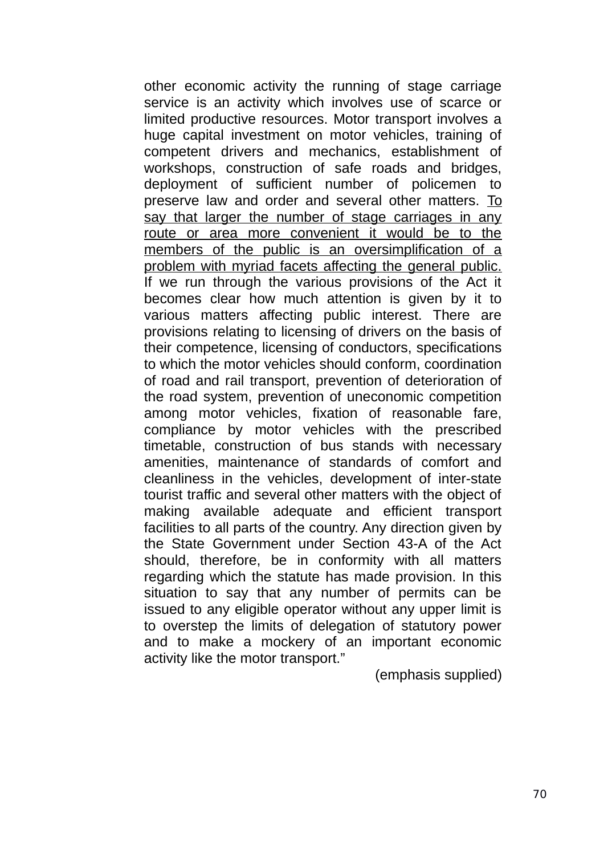other economic activity the running of stage carriage service is an activity which involves use of scarce or limited productive resources. Motor transport involves a huge capital investment on motor vehicles, training of competent drivers and mechanics, establishment of workshops, construction of safe roads and bridges, deployment of sufficient number of policemen to preserve law and order and several other matters. To say that larger the number of stage carriages in any route or area more convenient it would be to the members of the public is an oversimplification of a problem with myriad facets affecting the general public. If we run through the various provisions of the Act it becomes clear how much attention is given by it to various matters affecting public interest. There are provisions relating to licensing of drivers on the basis of their competence, licensing of conductors, specifications to which the motor vehicles should conform, coordination of road and rail transport, prevention of deterioration of the road system, prevention of uneconomic competition among motor vehicles, fixation of reasonable fare, compliance by motor vehicles with the prescribed timetable, construction of bus stands with necessary amenities, maintenance of standards of comfort and cleanliness in the vehicles, development of inter-state tourist traffic and several other matters with the object of making available adequate and efficient transport facilities to all parts of the country. Any direction given by the State Government under Section 43-A of the Act should, therefore, be in conformity with all matters regarding which the statute has made provision. In this situation to say that any number of permits can be issued to any eligible operator without any upper limit is to overstep the limits of delegation of statutory power and to make a mockery of an important economic activity like the motor transport."

(emphasis supplied)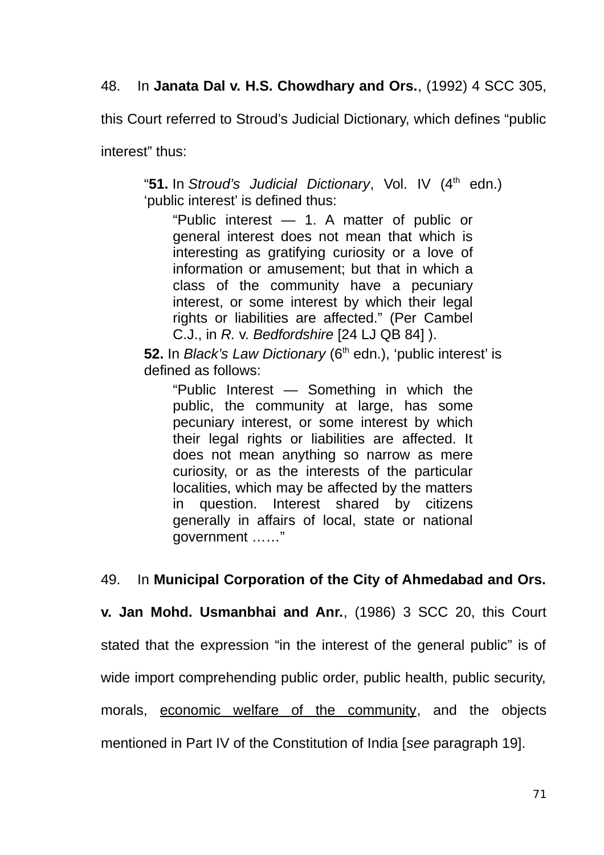## 48. In **Janata Dal v. H.S. Chowdhary and Ors.**, (1992) 4 SCC 305,

this Court referred to Stroud's Judicial Dictionary, which defines "public

interest" thus:

"**51.** In *Stroud's Judicial Dictionary*, Vol. IV (4th edn.) 'public interest' is defined thus:

"Public interest — 1. A matter of public or general interest does not mean that which is interesting as gratifying curiosity or a love of information or amusement; but that in which a class of the community have a pecuniary interest, or some interest by which their legal rights or liabilities are affected." (Per Cambel C.J., in *R.* v. *Bedfordshire* [24 LJ QB 84] ).

**52.** In *Black's Law Dictionary* (6<sup>th</sup> edn.), 'public interest' is defined as follows:

"Public Interest — Something in which the public, the community at large, has some pecuniary interest, or some interest by which their legal rights or liabilities are affected. It does not mean anything so narrow as mere curiosity, or as the interests of the particular localities, which may be affected by the matters in question. Interest shared by citizens generally in affairs of local, state or national government ……"

## 49. In **Municipal Corporation of the City of Ahmedabad and Ors.**

**v. Jan Mohd. Usmanbhai and Anr.**, (1986) 3 SCC 20, this Court

stated that the expression "in the interest of the general public" is of

wide import comprehending public order, public health, public security,

morals, economic welfare of the community, and the objects

mentioned in Part IV of the Constitution of India [*see* paragraph 19].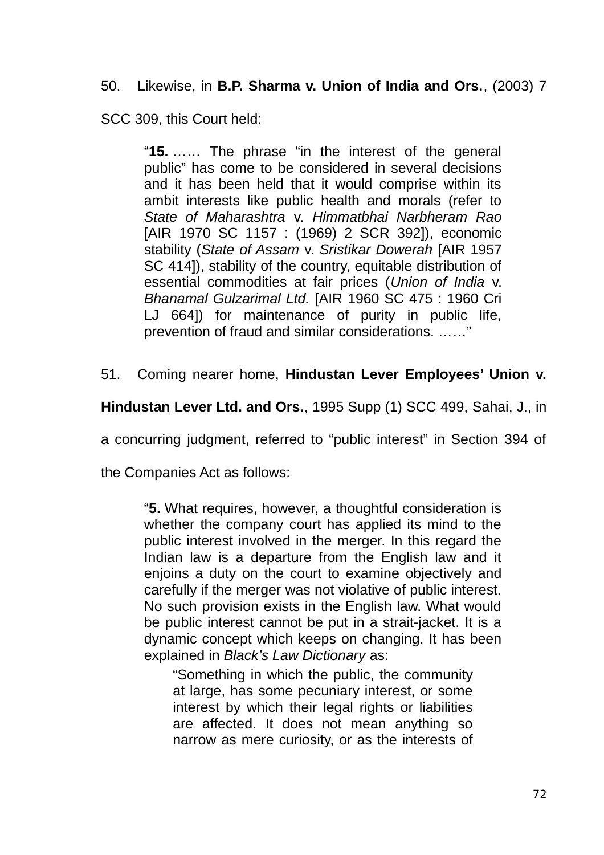### 50. Likewise, in **B.P. Sharma v. Union of India and Ors.**, (2003) 7

SCC 309, this Court held:

"**15.** …… The phrase "in the interest of the general public" has come to be considered in several decisions and it has been held that it would comprise within its ambit interests like public health and morals (refer to *State of Maharashtra* v. *Himmatbhai Narbheram Rao* [AIR 1970 SC 1157 : (1969) 2 SCR 392]), economic stability (*State of Assam* v. *Sristikar Dowerah* [AIR 1957 SC 414]), stability of the country, equitable distribution of essential commodities at fair prices (*Union of India* v. *Bhanamal Gulzarimal Ltd.* [AIR 1960 SC 475 : 1960 Cri LJ 664]) for maintenance of purity in public life, prevention of fraud and similar considerations. ……"

51. Coming nearer home, **Hindustan Lever Employees' Union v.**

**Hindustan Lever Ltd. and Ors.**, 1995 Supp (1) SCC 499, Sahai, J., in

a concurring judgment, referred to "public interest" in Section 394 of

the Companies Act as follows:

"**5.** What requires, however, a thoughtful consideration is whether the company court has applied its mind to the public interest involved in the merger. In this regard the Indian law is a departure from the English law and it enjoins a duty on the court to examine objectively and carefully if the merger was not violative of public interest. No such provision exists in the English law. What would be public interest cannot be put in a strait-jacket. It is a dynamic concept which keeps on changing. It has been explained in *Black's Law Dictionary* as:

"Something in which the public, the community at large, has some pecuniary interest, or some interest by which their legal rights or liabilities are affected. It does not mean anything so narrow as mere curiosity, or as the interests of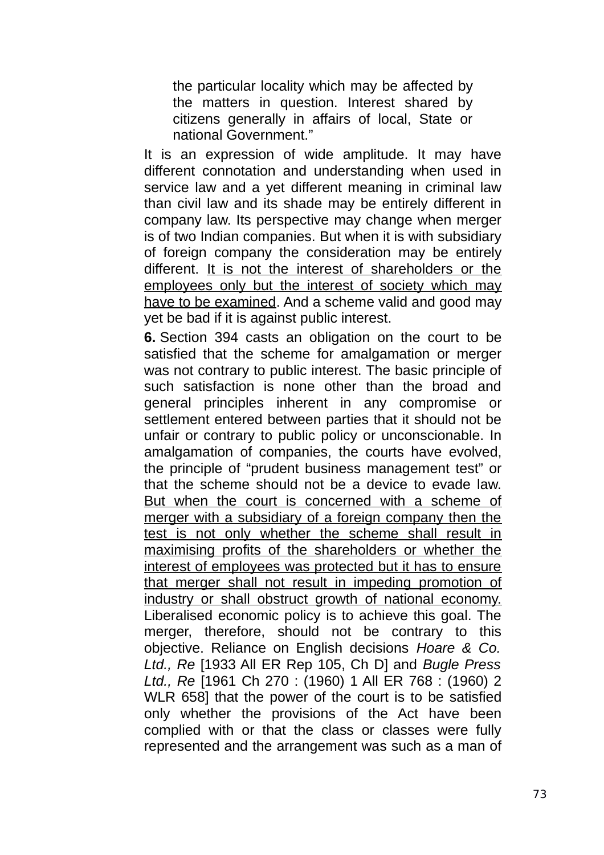the particular locality which may be affected by the matters in question. Interest shared by citizens generally in affairs of local, State or national Government."

It is an expression of wide amplitude. It may have different connotation and understanding when used in service law and a yet different meaning in criminal law than civil law and its shade may be entirely different in company law. Its perspective may change when merger is of two Indian companies. But when it is with subsidiary of foreign company the consideration may be entirely different. It is not the interest of shareholders or the employees only but the interest of society which may have to be examined. And a scheme valid and good may yet be bad if it is against public interest.

**6.** Section 394 casts an obligation on the court to be satisfied that the scheme for amalgamation or merger was not contrary to public interest. The basic principle of such satisfaction is none other than the broad and general principles inherent in any compromise or settlement entered between parties that it should not be unfair or contrary to public policy or unconscionable. In amalgamation of companies, the courts have evolved, the principle of "prudent business management test" or that the scheme should not be a device to evade law. But when the court is concerned with a scheme of merger with a subsidiary of a foreign company then the test is not only whether the scheme shall result in maximising profits of the shareholders or whether the interest of employees was protected but it has to ensure that merger shall not result in impeding promotion of industry or shall obstruct growth of national economy. Liberalised economic policy is to achieve this goal. The merger, therefore, should not be contrary to this objective. Reliance on English decisions *Hoare & Co. Ltd., Re* [1933 All ER Rep 105, Ch D] and *Bugle Press Ltd., Re* [1961 Ch 270 : (1960) 1 All ER 768 : (1960) 2 WLR 658] that the power of the court is to be satisfied only whether the provisions of the Act have been complied with or that the class or classes were fully represented and the arrangement was such as a man of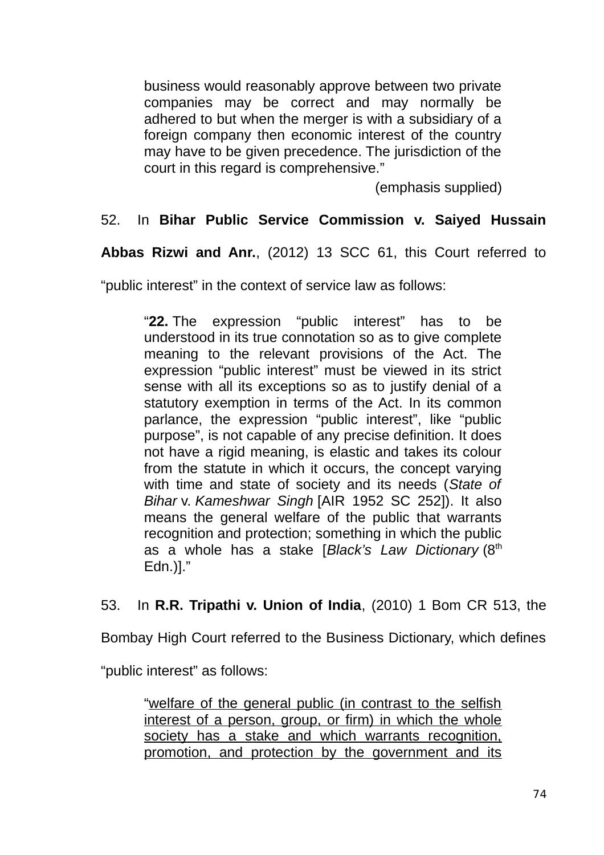business would reasonably approve between two private companies may be correct and may normally be adhered to but when the merger is with a subsidiary of a foreign company then economic interest of the country may have to be given precedence. The jurisdiction of the court in this regard is comprehensive."

(emphasis supplied)

# 52. In **Bihar Public Service Commission v. Saiyed Hussain**

**Abbas Rizwi and Anr.**, (2012) 13 SCC 61, this Court referred to

"public interest" in the context of service law as follows:

"**22.** The expression "public interest" has to be understood in its true connotation so as to give complete meaning to the relevant provisions of the Act. The expression "public interest" must be viewed in its strict sense with all its exceptions so as to justify denial of a statutory exemption in terms of the Act. In its common parlance, the expression "public interest", like "public purpose", is not capable of any precise definition. It does not have a rigid meaning, is elastic and takes its colour from the statute in which it occurs, the concept varying with time and state of society and its needs (*State of Bihar* v. *Kameshwar Singh* [AIR 1952 SC 252]). It also means the general welfare of the public that warrants recognition and protection; something in which the public as a whole has a stake [*Black's Law Dictionary* (8th Edn.)]."

# 53. In **R.R. Tripathi v. Union of India**, (2010) 1 Bom CR 513, the

Bombay High Court referred to the Business Dictionary, which defines

"public interest" as follows:

"welfare of the general public (in contrast to the selfish interest of a person, group, or firm) in which the whole society has a stake and which warrants recognition, promotion, and protection by the government and its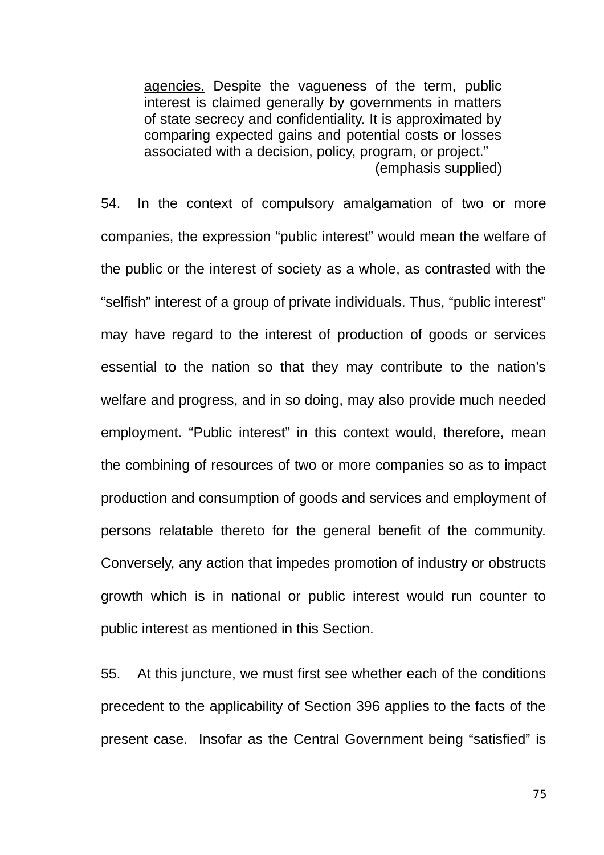agencies. Despite the vagueness of the term, public interest is claimed generally by governments in matters of state secrecy and confidentiality. It is approximated by comparing expected gains and potential costs or losses associated with a decision, policy, program, or project." (emphasis supplied)

54. In the context of compulsory amalgamation of two or more companies, the expression "public interest" would mean the welfare of the public or the interest of society as a whole, as contrasted with the "selfish" interest of a group of private individuals. Thus, "public interest" may have regard to the interest of production of goods or services essential to the nation so that they may contribute to the nation's welfare and progress, and in so doing, may also provide much needed employment. "Public interest" in this context would, therefore, mean the combining of resources of two or more companies so as to impact production and consumption of goods and services and employment of persons relatable thereto for the general benefit of the community. Conversely, any action that impedes promotion of industry or obstructs growth which is in national or public interest would run counter to public interest as mentioned in this Section.

55. At this juncture, we must first see whether each of the conditions precedent to the applicability of Section 396 applies to the facts of the present case. Insofar as the Central Government being "satisfied" is

75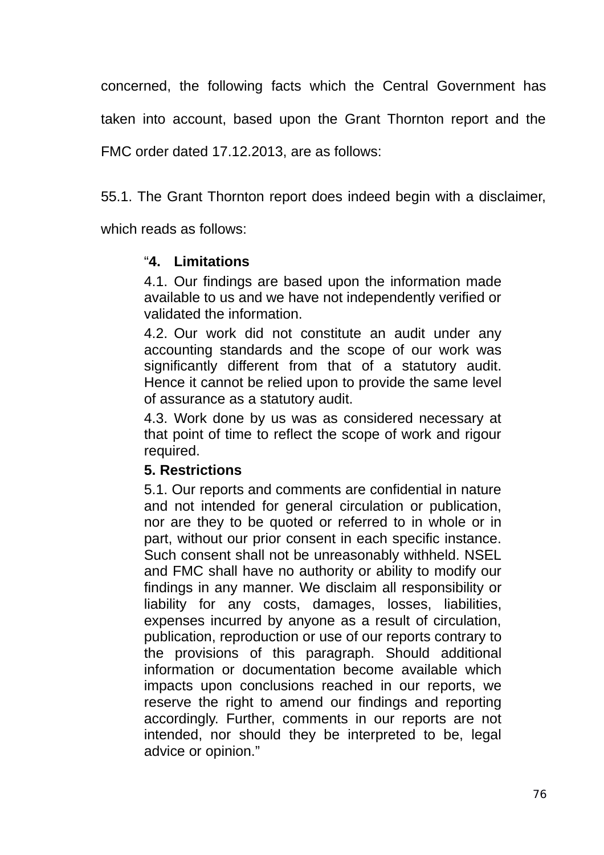concerned, the following facts which the Central Government has

taken into account, based upon the Grant Thornton report and the

FMC order dated 17.12.2013, are as follows:

55.1. The Grant Thornton report does indeed begin with a disclaimer,

which reads as follows:

# "**4. Limitations**

4.1. Our findings are based upon the information made available to us and we have not independently verified or validated the information.

4.2. Our work did not constitute an audit under any accounting standards and the scope of our work was significantly different from that of a statutory audit. Hence it cannot be relied upon to provide the same level of assurance as a statutory audit.

4.3. Work done by us was as considered necessary at that point of time to reflect the scope of work and rigour required.

# **5. Restrictions**

5.1. Our reports and comments are confidential in nature and not intended for general circulation or publication, nor are they to be quoted or referred to in whole or in part, without our prior consent in each specific instance. Such consent shall not be unreasonably withheld. NSEL and FMC shall have no authority or ability to modify our findings in any manner. We disclaim all responsibility or liability for any costs, damages, losses, liabilities, expenses incurred by anyone as a result of circulation, publication, reproduction or use of our reports contrary to the provisions of this paragraph. Should additional information or documentation become available which impacts upon conclusions reached in our reports, we reserve the right to amend our findings and reporting accordingly. Further, comments in our reports are not intended, nor should they be interpreted to be, legal advice or opinion."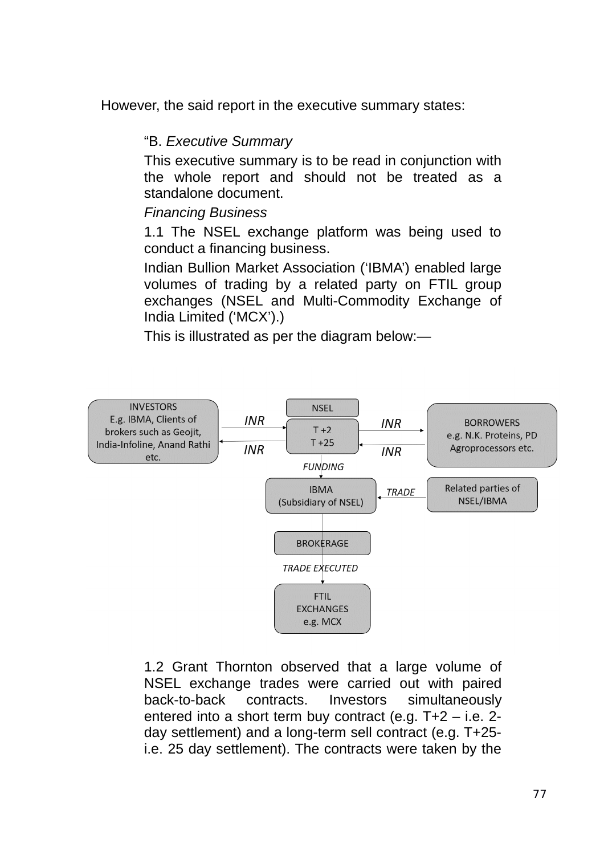However, the said report in the executive summary states:

## "B. *Executive Summary*

This executive summary is to be read in conjunction with the whole report and should not be treated as a standalone document.

## *Financing Business*

1.1 The NSEL exchange platform was being used to conduct a financing business.

Indian Bullion Market Association ('IBMA') enabled large volumes of trading by a related party on FTIL group exchanges (NSEL and Multi-Commodity Exchange of India Limited ('MCX').)

This is illustrated as per the diagram below:—



1.2 Grant Thornton observed that a large volume of NSEL exchange trades were carried out with paired back-to-back contracts. Investors simultaneously entered into a short term buy contract (e.g. T+2 – i.e. 2 day settlement) and a long-term sell contract (e.g. T+25 i.e. 25 day settlement). The contracts were taken by the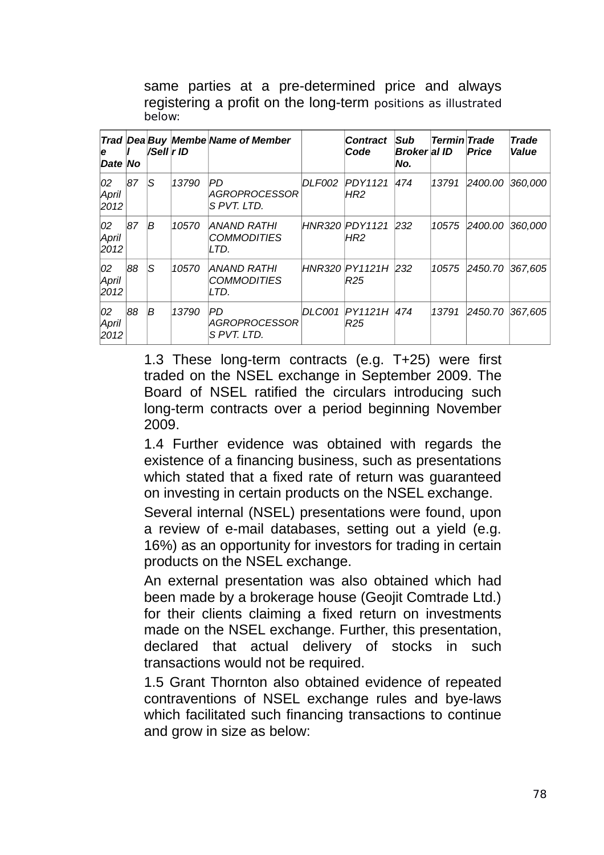same parties at a pre-determined price and always registering a profit on the long-term positions as illustrated below:

| le.<br><b>Date No</b> |    | <b>/Sell</b> r ID |       | <b>Trad Dea Buy Membe Name of Member</b>         |        | <b>Contract</b><br>Code      | <b>Sub</b><br><b>Broker</b> al ID<br>No. | <b>Termin</b> Trade | <b>Price</b> | <b>Trade</b><br>Value |
|-----------------------|----|-------------------|-------|--------------------------------------------------|--------|------------------------------|------------------------------------------|---------------------|--------------|-----------------------|
| 02<br>April<br>2012   | 87 | lS                | 13790 | PD.<br><b>AGROPROCESSOR</b><br>S PVT. LTD.       | DLF002 | <b>PDY1121</b><br>HR2        | 474                                      | 13791               | 2400.00      | 360,000               |
| 02 <br>April<br>2012  | 87 | B                 | 10570 | ANAND RATHI<br><i>COMMODITIES</i><br>LTD.        |        | <b>HNR320 PDY1121</b><br>HR2 | 232                                      | 10575               | 2400.00      | 360,000               |
| 02 <br>April<br>2012  | 88 | lS                | 10570 | <b>ANAND RATHI</b><br><b>COMMODITIES</b><br>LTD. |        | HNR320 PY1121H 232<br>R25    |                                          | 10575               | 2450.70      | 367,605               |
| 02<br>April<br>2012   | 88 | <b>B</b>          | 13790 | PD<br><i>AGROPROCESSOR</i><br>S PVT. LTD.        | DLC001 | PY1121H<br>R25               | 474                                      | 13791               | 2450.70      | 367.605               |

1.3 These long-term contracts (e.g. T+25) were first traded on the NSEL exchange in September 2009. The Board of NSEL ratified the circulars introducing such long-term contracts over a period beginning November 2009.

1.4 Further evidence was obtained with regards the existence of a financing business, such as presentations which stated that a fixed rate of return was guaranteed on investing in certain products on the NSEL exchange.

Several internal (NSEL) presentations were found, upon a review of e-mail databases, setting out a yield (e.g. 16%) as an opportunity for investors for trading in certain products on the NSEL exchange.

An external presentation was also obtained which had been made by a brokerage house (Geojit Comtrade Ltd.) for their clients claiming a fixed return on investments made on the NSEL exchange. Further, this presentation, declared that actual delivery of stocks in such transactions would not be required.

1.5 Grant Thornton also obtained evidence of repeated contraventions of NSEL exchange rules and bye-laws which facilitated such financing transactions to continue and grow in size as below: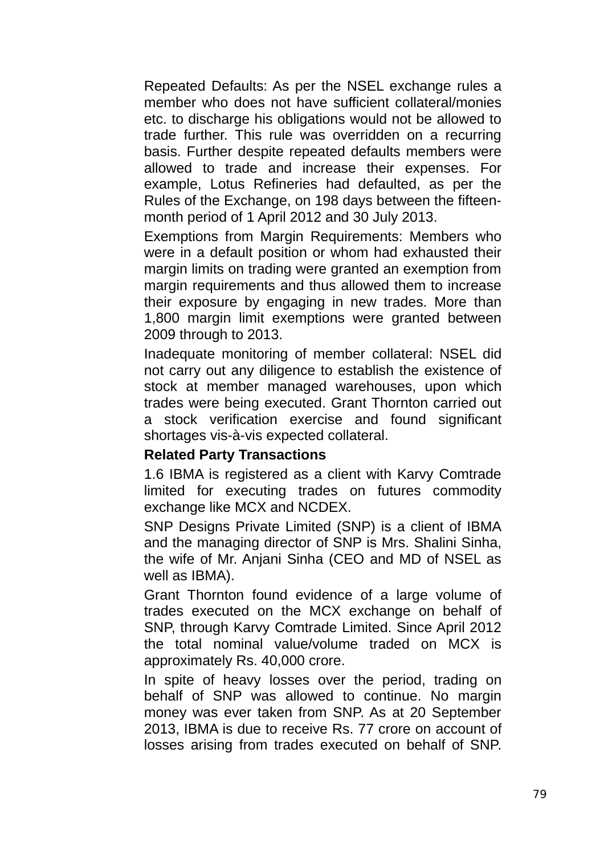Repeated Defaults: As per the NSEL exchange rules a member who does not have sufficient collateral/monies etc. to discharge his obligations would not be allowed to trade further. This rule was overridden on a recurring basis. Further despite repeated defaults members were allowed to trade and increase their expenses. For example, Lotus Refineries had defaulted, as per the Rules of the Exchange, on 198 days between the fifteenmonth period of 1 April 2012 and 30 July 2013.

Exemptions from Margin Requirements: Members who were in a default position or whom had exhausted their margin limits on trading were granted an exemption from margin requirements and thus allowed them to increase their exposure by engaging in new trades. More than 1,800 margin limit exemptions were granted between 2009 through to 2013.

Inadequate monitoring of member collateral: NSEL did not carry out any diligence to establish the existence of stock at member managed warehouses, upon which trades were being executed. Grant Thornton carried out a stock verification exercise and found significant shortages vis-à-vis expected collateral.

### **Related Party Transactions**

1.6 IBMA is registered as a client with Karvy Comtrade limited for executing trades on futures commodity exchange like MCX and NCDEX.

SNP Designs Private Limited (SNP) is a client of IBMA and the managing director of SNP is Mrs. Shalini Sinha, the wife of Mr. Anjani Sinha (CEO and MD of NSEL as well as IBMA).

Grant Thornton found evidence of a large volume of trades executed on the MCX exchange on behalf of SNP, through Karvy Comtrade Limited. Since April 2012 the total nominal value/volume traded on MCX is approximately Rs. 40,000 crore.

In spite of heavy losses over the period, trading on behalf of SNP was allowed to continue. No margin money was ever taken from SNP. As at 20 September 2013, IBMA is due to receive Rs. 77 crore on account of losses arising from trades executed on behalf of SNP.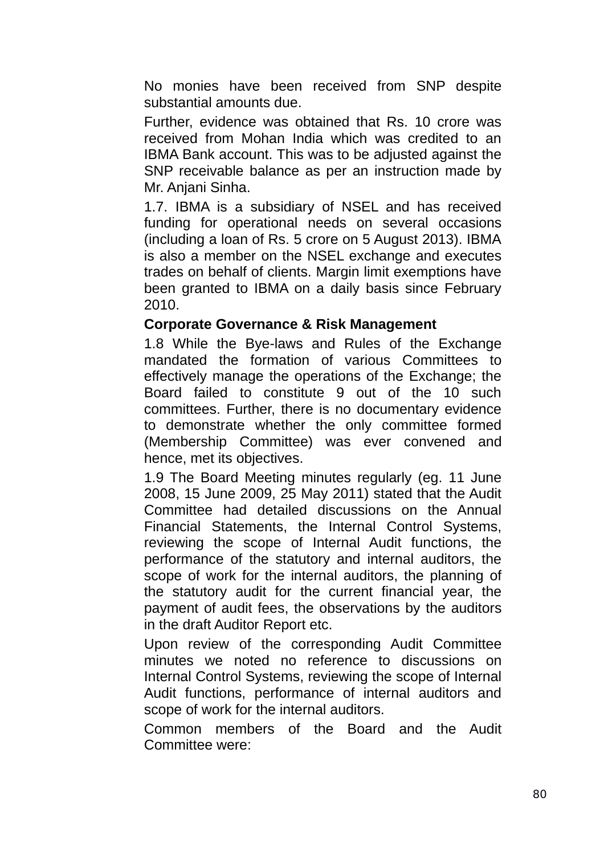No monies have been received from SNP despite substantial amounts due.

Further, evidence was obtained that Rs. 10 crore was received from Mohan India which was credited to an IBMA Bank account. This was to be adjusted against the SNP receivable balance as per an instruction made by Mr. Anjani Sinha.

1.7. IBMA is a subsidiary of NSEL and has received funding for operational needs on several occasions (including a loan of Rs. 5 crore on 5 August 2013). IBMA is also a member on the NSEL exchange and executes trades on behalf of clients. Margin limit exemptions have been granted to IBMA on a daily basis since February 2010.

#### **Corporate Governance & Risk Management**

1.8 While the Bye-laws and Rules of the Exchange mandated the formation of various Committees to effectively manage the operations of the Exchange; the Board failed to constitute 9 out of the 10 such committees. Further, there is no documentary evidence to demonstrate whether the only committee formed (Membership Committee) was ever convened and hence, met its objectives.

1.9 The Board Meeting minutes regularly (eg. 11 June 2008, 15 June 2009, 25 May 2011) stated that the Audit Committee had detailed discussions on the Annual Financial Statements, the Internal Control Systems, reviewing the scope of Internal Audit functions, the performance of the statutory and internal auditors, the scope of work for the internal auditors, the planning of the statutory audit for the current financial year, the payment of audit fees, the observations by the auditors in the draft Auditor Report etc.

Upon review of the corresponding Audit Committee minutes we noted no reference to discussions on Internal Control Systems, reviewing the scope of Internal Audit functions, performance of internal auditors and scope of work for the internal auditors.

Common members of the Board and the Audit Committee were: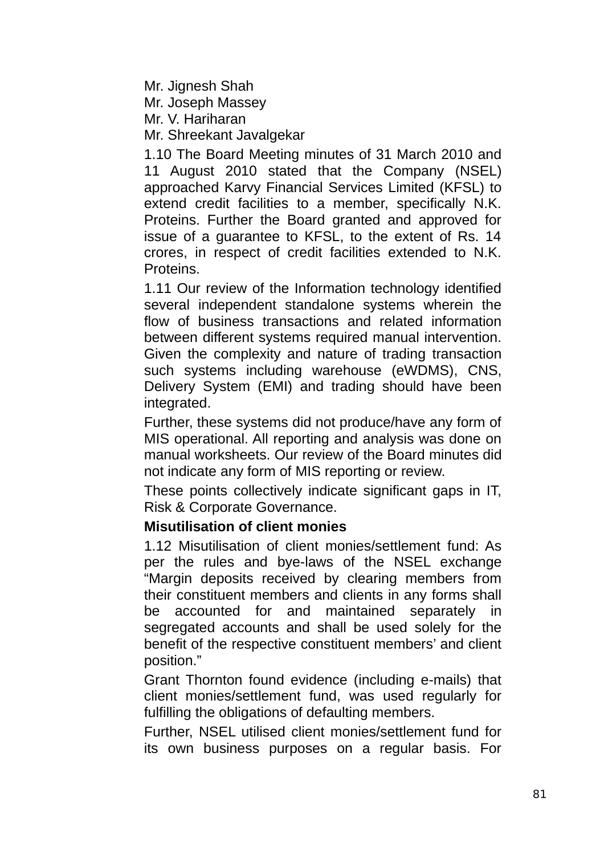Mr. Jignesh Shah

Mr. Joseph Massey

Mr. V. Hariharan

Mr. Shreekant Javalgekar

1.10 The Board Meeting minutes of 31 March 2010 and 11 August 2010 stated that the Company (NSEL) approached Karvy Financial Services Limited (KFSL) to extend credit facilities to a member, specifically N.K. Proteins. Further the Board granted and approved for issue of a guarantee to KFSL, to the extent of Rs. 14 crores, in respect of credit facilities extended to N.K. Proteins.

1.11 Our review of the Information technology identified several independent standalone systems wherein the flow of business transactions and related information between different systems required manual intervention. Given the complexity and nature of trading transaction such systems including warehouse (eWDMS), CNS, Delivery System (EMI) and trading should have been integrated.

Further, these systems did not produce/have any form of MIS operational. All reporting and analysis was done on manual worksheets. Our review of the Board minutes did not indicate any form of MIS reporting or review.

These points collectively indicate significant gaps in IT, Risk & Corporate Governance.

# **Misutilisation of client monies**

1.12 Misutilisation of client monies/settlement fund: As per the rules and bye-laws of the NSEL exchange "Margin deposits received by clearing members from their constituent members and clients in any forms shall be accounted for and maintained separately in segregated accounts and shall be used solely for the benefit of the respective constituent members' and client position."

Grant Thornton found evidence (including e-mails) that client monies/settlement fund, was used regularly for fulfilling the obligations of defaulting members.

Further, NSEL utilised client monies/settlement fund for its own business purposes on a regular basis. For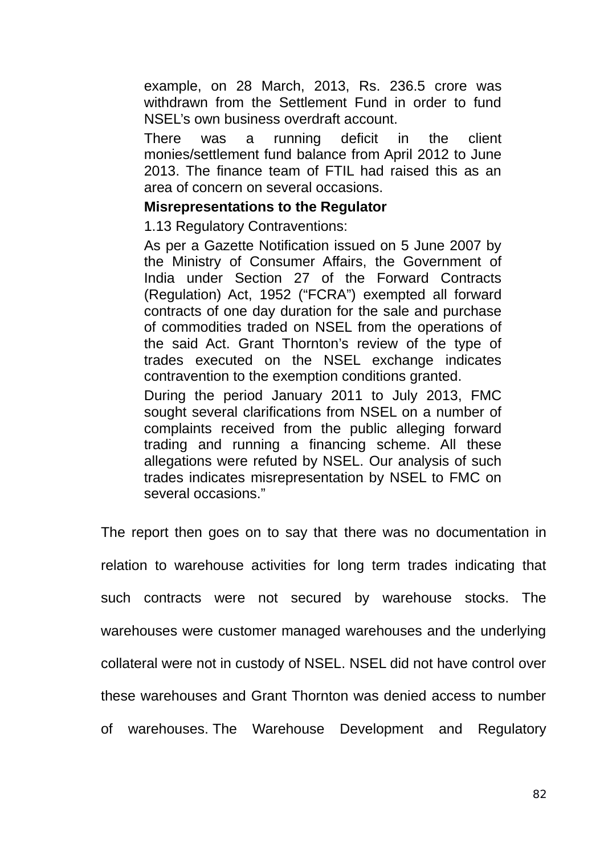example, on 28 March, 2013, Rs. 236.5 crore was withdrawn from the Settlement Fund in order to fund NSEL's own business overdraft account.

There was a running deficit in the client monies/settlement fund balance from April 2012 to June 2013. The finance team of FTIL had raised this as an area of concern on several occasions.

#### **Misrepresentations to the Regulator**

1.13 Regulatory Contraventions:

As per a Gazette Notification issued on 5 June 2007 by the Ministry of Consumer Affairs, the Government of India under Section 27 of the Forward Contracts (Regulation) Act, 1952 ("FCRA") exempted all forward contracts of one day duration for the sale and purchase of commodities traded on NSEL from the operations of the said Act. Grant Thornton's review of the type of trades executed on the NSEL exchange indicates contravention to the exemption conditions granted.

During the period January 2011 to July 2013, FMC sought several clarifications from NSEL on a number of complaints received from the public alleging forward trading and running a financing scheme. All these allegations were refuted by NSEL. Our analysis of such trades indicates misrepresentation by NSEL to FMC on several occasions."

The report then goes on to say that there was no documentation in

relation to warehouse activities for long term trades indicating that such contracts were not secured by warehouse stocks. The warehouses were customer managed warehouses and the underlying collateral were not in custody of NSEL. NSEL did not have control over these warehouses and Grant Thornton was denied access to number of warehouses. The Warehouse Development and Regulatory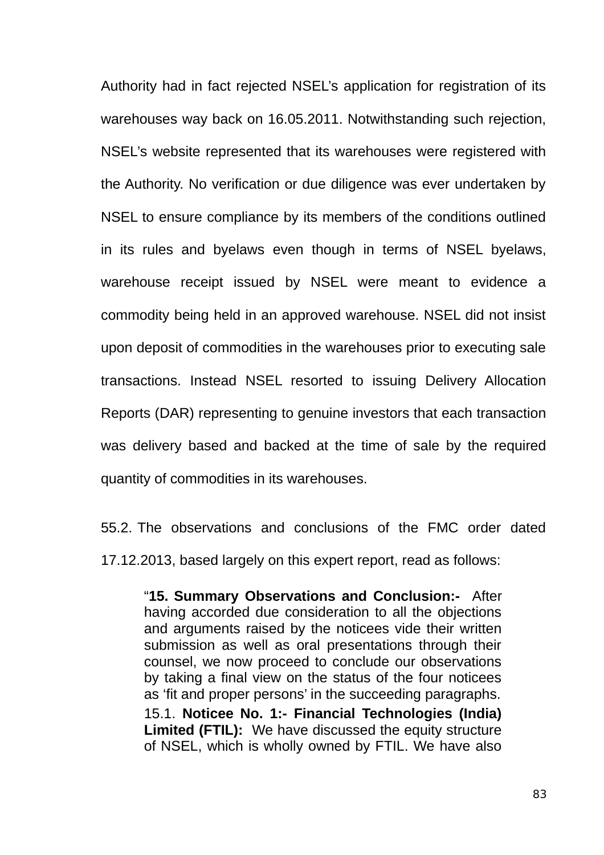Authority had in fact rejected NSEL's application for registration of its warehouses way back on 16.05.2011. Notwithstanding such rejection, NSEL's website represented that its warehouses were registered with the Authority. No verification or due diligence was ever undertaken by NSEL to ensure compliance by its members of the conditions outlined in its rules and byelaws even though in terms of NSEL byelaws, warehouse receipt issued by NSEL were meant to evidence a commodity being held in an approved warehouse. NSEL did not insist upon deposit of commodities in the warehouses prior to executing sale transactions. Instead NSEL resorted to issuing Delivery Allocation Reports (DAR) representing to genuine investors that each transaction was delivery based and backed at the time of sale by the required quantity of commodities in its warehouses.

55.2. The observations and conclusions of the FMC order dated 17.12.2013, based largely on this expert report, read as follows:

"**15. Summary Observations and Conclusion:-** After having accorded due consideration to all the objections and arguments raised by the noticees vide their written submission as well as oral presentations through their counsel, we now proceed to conclude our observations by taking a final view on the status of the four noticees as 'fit and proper persons' in the succeeding paragraphs. 15.1. **Noticee No. 1:- Financial Technologies (India) Limited (FTIL):** We have discussed the equity structure of NSEL, which is wholly owned by FTIL. We have also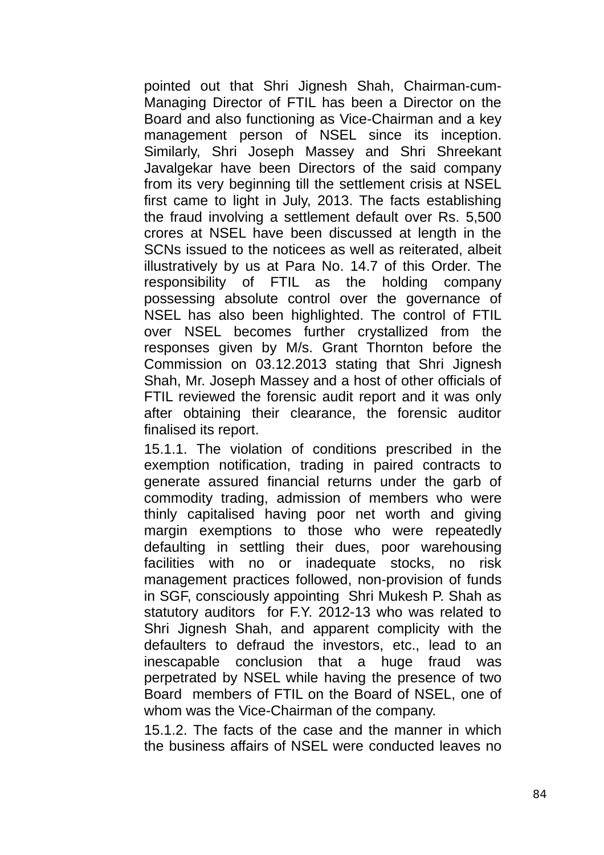pointed out that Shri Jignesh Shah, Chairman-cum-Managing Director of FTIL has been a Director on the Board and also functioning as Vice-Chairman and a key management person of NSEL since its inception. Similarly, Shri Joseph Massey and Shri Shreekant Javalgekar have been Directors of the said company from its very beginning till the settlement crisis at NSEL first came to light in July, 2013. The facts establishing the fraud involving a settlement default over Rs. 5,500 crores at NSEL have been discussed at length in the SCNs issued to the noticees as well as reiterated, albeit illustratively by us at Para No. 14.7 of this Order. The responsibility of FTIL as the holding company possessing absolute control over the governance of NSEL has also been highlighted. The control of FTIL over NSEL becomes further crystallized from the responses given by M/s. Grant Thornton before the Commission on 03.12.2013 stating that Shri Jignesh Shah, Mr. Joseph Massey and a host of other officials of FTIL reviewed the forensic audit report and it was only after obtaining their clearance, the forensic auditor finalised its report.

15.1.1. The violation of conditions prescribed in the exemption notification, trading in paired contracts to generate assured financial returns under the garb of commodity trading, admission of members who were thinly capitalised having poor net worth and giving margin exemptions to those who were repeatedly defaulting in settling their dues, poor warehousing facilities with no or inadequate stocks, no risk management practices followed, non-provision of funds in SGF, consciously appointing Shri Mukesh P. Shah as statutory auditors for F.Y. 2012-13 who was related to Shri Jignesh Shah, and apparent complicity with the defaulters to defraud the investors, etc., lead to an inescapable conclusion that a huge fraud was perpetrated by NSEL while having the presence of two Board members of FTIL on the Board of NSEL, one of whom was the Vice-Chairman of the company.

15.1.2. The facts of the case and the manner in which the business affairs of NSEL were conducted leaves no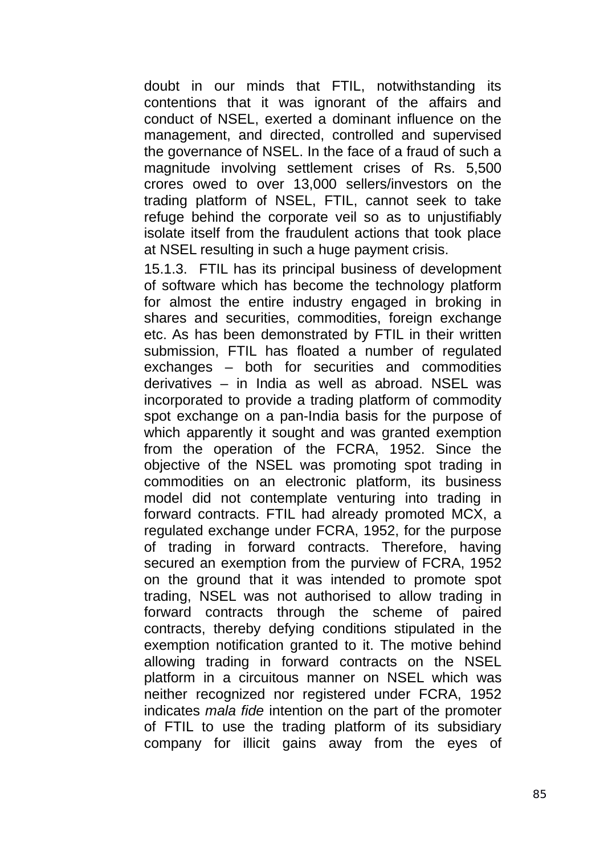doubt in our minds that FTIL, notwithstanding its contentions that it was ignorant of the affairs and conduct of NSEL, exerted a dominant influence on the management, and directed, controlled and supervised the governance of NSEL. In the face of a fraud of such a magnitude involving settlement crises of Rs. 5,500 crores owed to over 13,000 sellers/investors on the trading platform of NSEL, FTIL, cannot seek to take refuge behind the corporate veil so as to unjustifiably isolate itself from the fraudulent actions that took place at NSEL resulting in such a huge payment crisis.

15.1.3. FTIL has its principal business of development of software which has become the technology platform for almost the entire industry engaged in broking in shares and securities, commodities, foreign exchange etc. As has been demonstrated by FTIL in their written submission, FTIL has floated a number of regulated exchanges – both for securities and commodities derivatives – in India as well as abroad. NSEL was incorporated to provide a trading platform of commodity spot exchange on a pan-India basis for the purpose of which apparently it sought and was granted exemption from the operation of the FCRA, 1952. Since the objective of the NSEL was promoting spot trading in commodities on an electronic platform, its business model did not contemplate venturing into trading in forward contracts. FTIL had already promoted MCX, a regulated exchange under FCRA, 1952, for the purpose of trading in forward contracts. Therefore, having secured an exemption from the purview of FCRA, 1952 on the ground that it was intended to promote spot trading, NSEL was not authorised to allow trading in forward contracts through the scheme of paired contracts, thereby defying conditions stipulated in the exemption notification granted to it. The motive behind allowing trading in forward contracts on the NSEL platform in a circuitous manner on NSEL which was neither recognized nor registered under FCRA, 1952 indicates *mala fide* intention on the part of the promoter of FTIL to use the trading platform of its subsidiary company for illicit gains away from the eyes of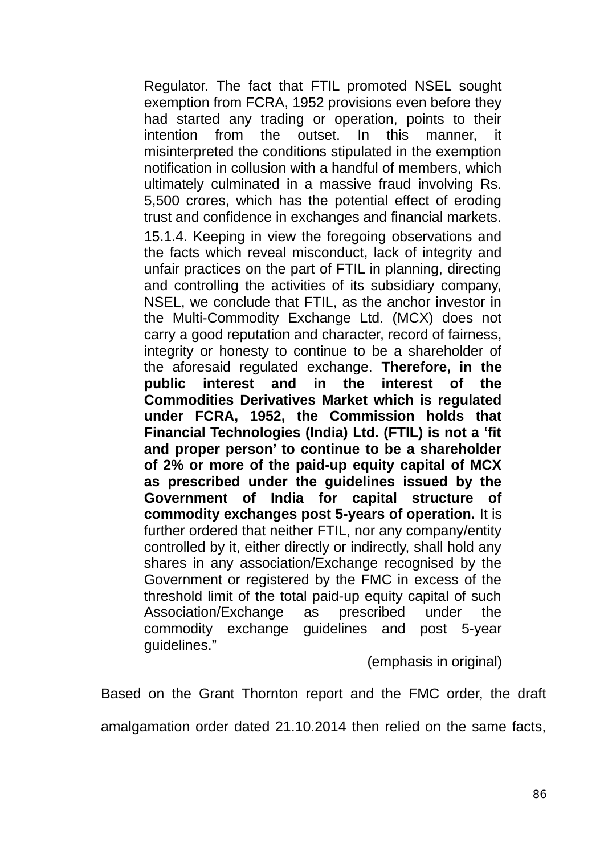Regulator. The fact that FTIL promoted NSEL sought exemption from FCRA, 1952 provisions even before they had started any trading or operation, points to their intention from the outset. In this manner, it misinterpreted the conditions stipulated in the exemption notification in collusion with a handful of members, which ultimately culminated in a massive fraud involving Rs. 5,500 crores, which has the potential effect of eroding trust and confidence in exchanges and financial markets.

15.1.4. Keeping in view the foregoing observations and the facts which reveal misconduct, lack of integrity and unfair practices on the part of FTIL in planning, directing and controlling the activities of its subsidiary company, NSEL, we conclude that FTIL, as the anchor investor in the Multi-Commodity Exchange Ltd. (MCX) does not carry a good reputation and character, record of fairness, integrity or honesty to continue to be a shareholder of the aforesaid regulated exchange. **Therefore, in the public interest and in the interest of the Commodities Derivatives Market which is regulated under FCRA, 1952, the Commission holds that Financial Technologies (India) Ltd. (FTIL) is not a 'fit and proper person' to continue to be a shareholder of 2% or more of the paid-up equity capital of MCX as prescribed under the guidelines issued by the Government of India for capital structure of commodity exchanges post 5-years of operation.** It is further ordered that neither FTIL, nor any company/entity controlled by it, either directly or indirectly, shall hold any shares in any association/Exchange recognised by the Government or registered by the FMC in excess of the threshold limit of the total paid-up equity capital of such Association/Exchange as prescribed under the commodity exchange guidelines and post 5-year guidelines."

(emphasis in original)

Based on the Grant Thornton report and the FMC order, the draft

amalgamation order dated 21.10.2014 then relied on the same facts,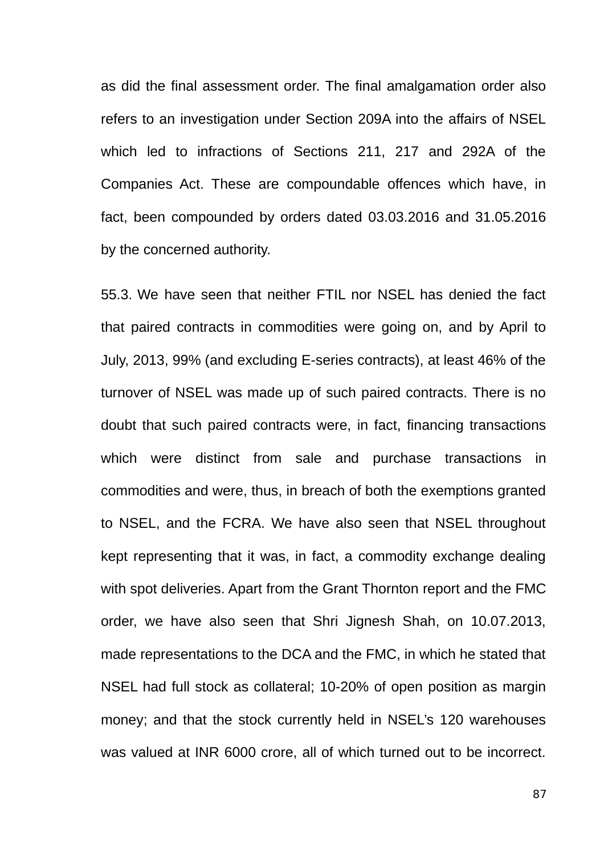as did the final assessment order. The final amalgamation order also refers to an investigation under Section 209A into the affairs of NSEL which led to infractions of Sections 211, 217 and 292A of the Companies Act. These are compoundable offences which have, in fact, been compounded by orders dated 03.03.2016 and 31.05.2016 by the concerned authority.

55.3. We have seen that neither FTIL nor NSEL has denied the fact that paired contracts in commodities were going on, and by April to July, 2013, 99% (and excluding E-series contracts), at least 46% of the turnover of NSEL was made up of such paired contracts. There is no doubt that such paired contracts were, in fact, financing transactions which were distinct from sale and purchase transactions in commodities and were, thus, in breach of both the exemptions granted to NSEL, and the FCRA. We have also seen that NSEL throughout kept representing that it was, in fact, a commodity exchange dealing with spot deliveries. Apart from the Grant Thornton report and the FMC order, we have also seen that Shri Jignesh Shah, on 10.07.2013, made representations to the DCA and the FMC, in which he stated that NSEL had full stock as collateral; 10-20% of open position as margin money; and that the stock currently held in NSEL's 120 warehouses was valued at INR 6000 crore, all of which turned out to be incorrect.

87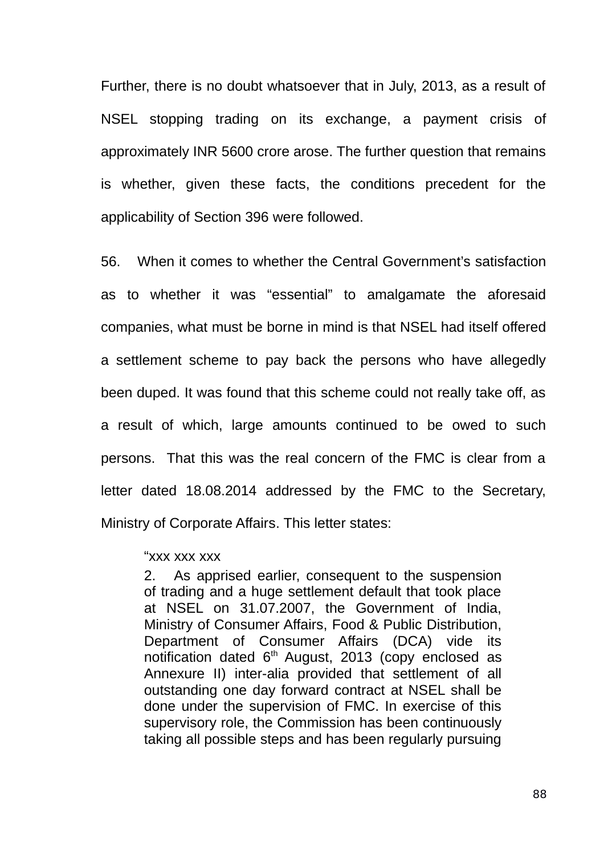Further, there is no doubt whatsoever that in July, 2013, as a result of NSEL stopping trading on its exchange, a payment crisis of approximately INR 5600 crore arose. The further question that remains is whether, given these facts, the conditions precedent for the applicability of Section 396 were followed.

56. When it comes to whether the Central Government's satisfaction as to whether it was "essential" to amalgamate the aforesaid companies, what must be borne in mind is that NSEL had itself offered a settlement scheme to pay back the persons who have allegedly been duped. It was found that this scheme could not really take off, as a result of which, large amounts continued to be owed to such persons. That this was the real concern of the FMC is clear from a letter dated 18.08.2014 addressed by the FMC to the Secretary, Ministry of Corporate Affairs. This letter states:

"xxx xxx xxx

2. As apprised earlier, consequent to the suspension of trading and a huge settlement default that took place at NSEL on 31.07.2007, the Government of India, Ministry of Consumer Affairs, Food & Public Distribution, Department of Consumer Affairs (DCA) vide its notification dated  $6<sup>th</sup>$  August, 2013 (copy enclosed as Annexure II) inter-alia provided that settlement of all outstanding one day forward contract at NSEL shall be done under the supervision of FMC. In exercise of this supervisory role, the Commission has been continuously taking all possible steps and has been regularly pursuing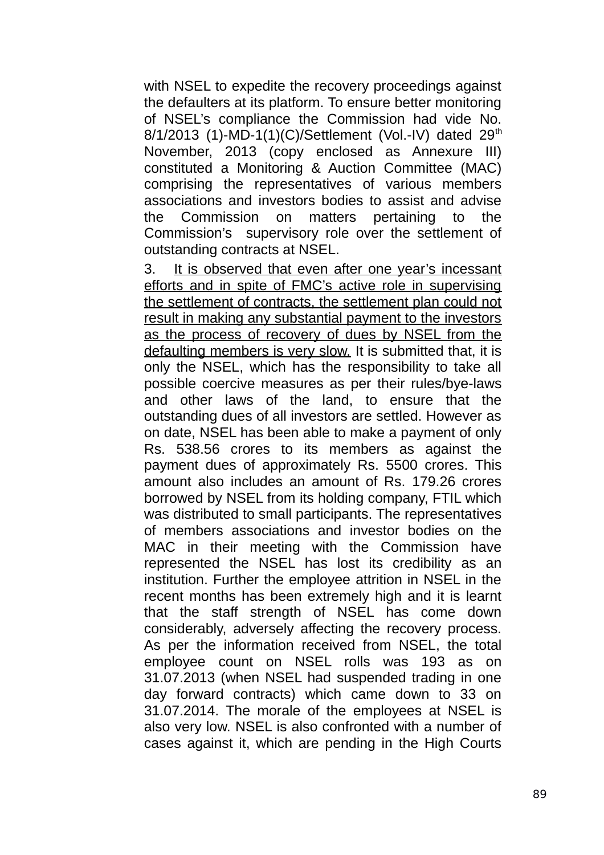with NSEL to expedite the recovery proceedings against the defaulters at its platform. To ensure better monitoring of NSEL's compliance the Commission had vide No. 8/1/2013 (1)-MD-1(1)(C)/Settlement (Vol.-IV) dated  $29<sup>th</sup>$ November, 2013 (copy enclosed as Annexure III) constituted a Monitoring & Auction Committee (MAC) comprising the representatives of various members associations and investors bodies to assist and advise the Commission on matters pertaining to the Commission's supervisory role over the settlement of outstanding contracts at NSEL.

3. It is observed that even after one year's incessant efforts and in spite of FMC's active role in supervising the settlement of contracts, the settlement plan could not result in making any substantial payment to the investors as the process of recovery of dues by NSEL from the defaulting members is very slow. It is submitted that, it is only the NSEL, which has the responsibility to take all possible coercive measures as per their rules/bye-laws and other laws of the land, to ensure that the outstanding dues of all investors are settled. However as on date, NSEL has been able to make a payment of only Rs. 538.56 crores to its members as against the payment dues of approximately Rs. 5500 crores. This amount also includes an amount of Rs. 179.26 crores borrowed by NSEL from its holding company, FTIL which was distributed to small participants. The representatives of members associations and investor bodies on the MAC in their meeting with the Commission have represented the NSEL has lost its credibility as an institution. Further the employee attrition in NSEL in the recent months has been extremely high and it is learnt that the staff strength of NSEL has come down considerably, adversely affecting the recovery process. As per the information received from NSEL, the total employee count on NSEL rolls was 193 as on 31.07.2013 (when NSEL had suspended trading in one day forward contracts) which came down to 33 on 31.07.2014. The morale of the employees at NSEL is also very low. NSEL is also confronted with a number of cases against it, which are pending in the High Courts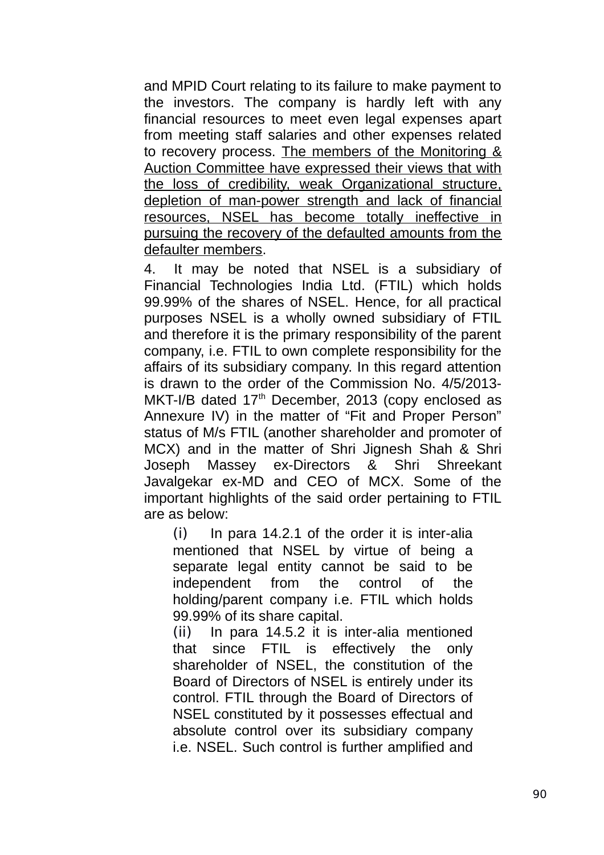and MPID Court relating to its failure to make payment to the investors. The company is hardly left with any financial resources to meet even legal expenses apart from meeting staff salaries and other expenses related to recovery process. The members of the Monitoring & Auction Committee have expressed their views that with the loss of credibility, weak Organizational structure, depletion of man-power strength and lack of financial resources, NSEL has become totally ineffective in pursuing the recovery of the defaulted amounts from the defaulter members.

4. It may be noted that NSEL is a subsidiary of Financial Technologies India Ltd. (FTIL) which holds 99.99% of the shares of NSEL. Hence, for all practical purposes NSEL is a wholly owned subsidiary of FTIL and therefore it is the primary responsibility of the parent company, i.e. FTIL to own complete responsibility for the affairs of its subsidiary company. In this regard attention is drawn to the order of the Commission No. 4/5/2013- MKT-I/B dated 17<sup>th</sup> December, 2013 (copy enclosed as Annexure IV) in the matter of "Fit and Proper Person" status of M/s FTIL (another shareholder and promoter of MCX) and in the matter of Shri Jignesh Shah & Shri Joseph Massey ex-Directors & Shri Shreekant Javalgekar ex-MD and CEO of MCX. Some of the important highlights of the said order pertaining to FTIL are as below:

(i) In para 14.2.1 of the order it is inter-alia mentioned that NSEL by virtue of being a separate legal entity cannot be said to be independent from the control of the holding/parent company i.e. FTIL which holds 99.99% of its share capital.

(ii) In para 14.5.2 it is inter-alia mentioned that since FTIL is effectively the only shareholder of NSEL, the constitution of the Board of Directors of NSEL is entirely under its control. FTIL through the Board of Directors of NSEL constituted by it possesses effectual and absolute control over its subsidiary company i.e. NSEL. Such control is further amplified and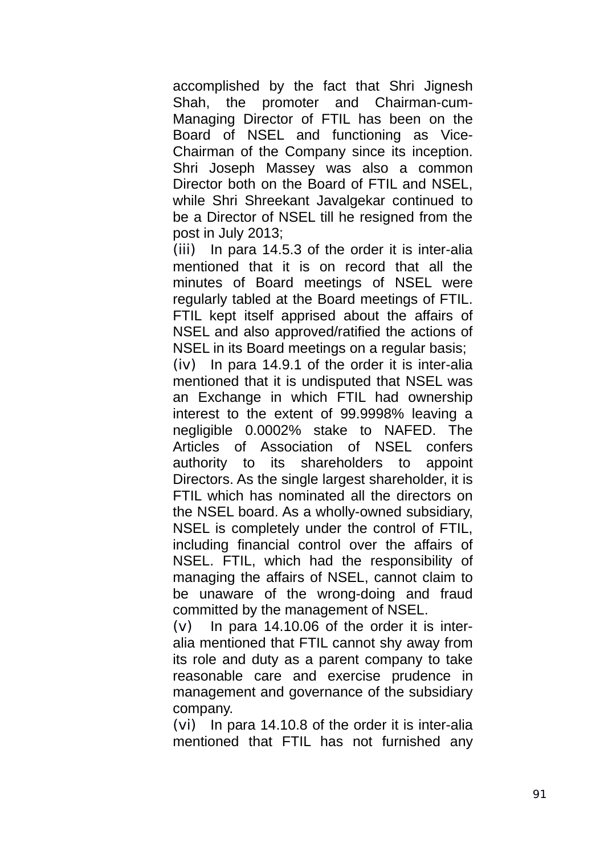accomplished by the fact that Shri Jignesh Shah, the promoter and Chairman-cum-Managing Director of FTIL has been on the Board of NSEL and functioning as Vice-Chairman of the Company since its inception. Shri Joseph Massey was also a common Director both on the Board of FTIL and NSEL, while Shri Shreekant Javalgekar continued to be a Director of NSEL till he resigned from the post in July 2013;

(iii) In para 14.5.3 of the order it is inter-alia mentioned that it is on record that all the minutes of Board meetings of NSEL were regularly tabled at the Board meetings of FTIL. FTIL kept itself apprised about the affairs of NSEL and also approved/ratified the actions of NSEL in its Board meetings on a regular basis;

(iv) In para 14.9.1 of the order it is inter-alia mentioned that it is undisputed that NSEL was an Exchange in which FTIL had ownership interest to the extent of 99.9998% leaving a negligible 0.0002% stake to NAFED. The Articles of Association of NSEL confers authority to its shareholders to appoint Directors. As the single largest shareholder, it is FTIL which has nominated all the directors on the NSEL board. As a wholly-owned subsidiary, NSEL is completely under the control of FTIL, including financial control over the affairs of NSEL. FTIL, which had the responsibility of managing the affairs of NSEL, cannot claim to be unaware of the wrong-doing and fraud committed by the management of NSEL.

 $(v)$  In para 14.10.06 of the order it is interalia mentioned that FTIL cannot shy away from its role and duty as a parent company to take reasonable care and exercise prudence in management and governance of the subsidiary company.

(vi) In para 14.10.8 of the order it is inter-alia mentioned that FTIL has not furnished any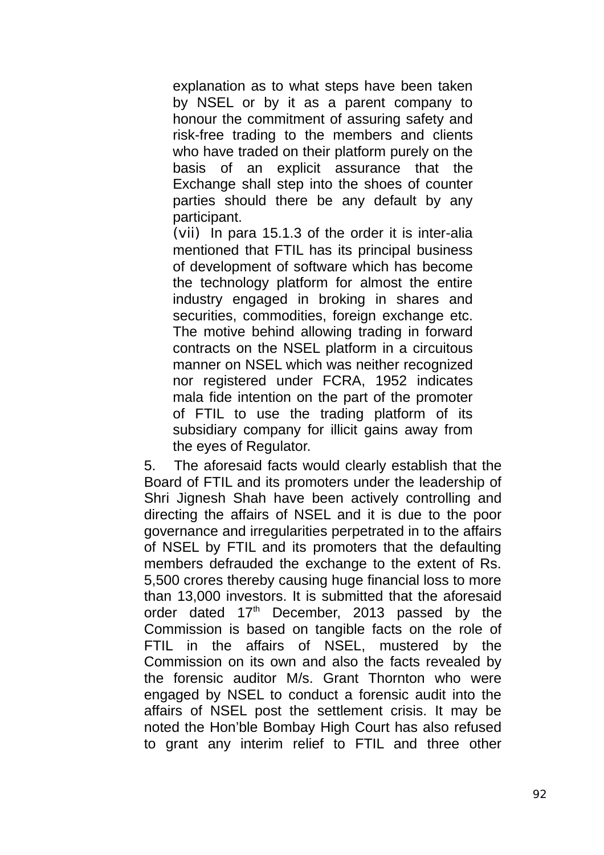explanation as to what steps have been taken by NSEL or by it as a parent company to honour the commitment of assuring safety and risk-free trading to the members and clients who have traded on their platform purely on the basis of an explicit assurance that the Exchange shall step into the shoes of counter parties should there be any default by any participant.

(vii) In para 15.1.3 of the order it is inter-alia mentioned that FTIL has its principal business of development of software which has become the technology platform for almost the entire industry engaged in broking in shares and securities, commodities, foreign exchange etc. The motive behind allowing trading in forward contracts on the NSEL platform in a circuitous manner on NSEL which was neither recognized nor registered under FCRA, 1952 indicates mala fide intention on the part of the promoter of FTIL to use the trading platform of its subsidiary company for illicit gains away from the eyes of Regulator.

5. The aforesaid facts would clearly establish that the Board of FTIL and its promoters under the leadership of Shri Jignesh Shah have been actively controlling and directing the affairs of NSEL and it is due to the poor governance and irregularities perpetrated in to the affairs of NSEL by FTIL and its promoters that the defaulting members defrauded the exchange to the extent of Rs. 5,500 crores thereby causing huge financial loss to more than 13,000 investors. It is submitted that the aforesaid order dated  $17<sup>th</sup>$  December, 2013 passed by the Commission is based on tangible facts on the role of FTIL in the affairs of NSEL, mustered by the Commission on its own and also the facts revealed by the forensic auditor M/s. Grant Thornton who were engaged by NSEL to conduct a forensic audit into the affairs of NSEL post the settlement crisis. It may be noted the Hon'ble Bombay High Court has also refused to grant any interim relief to FTIL and three other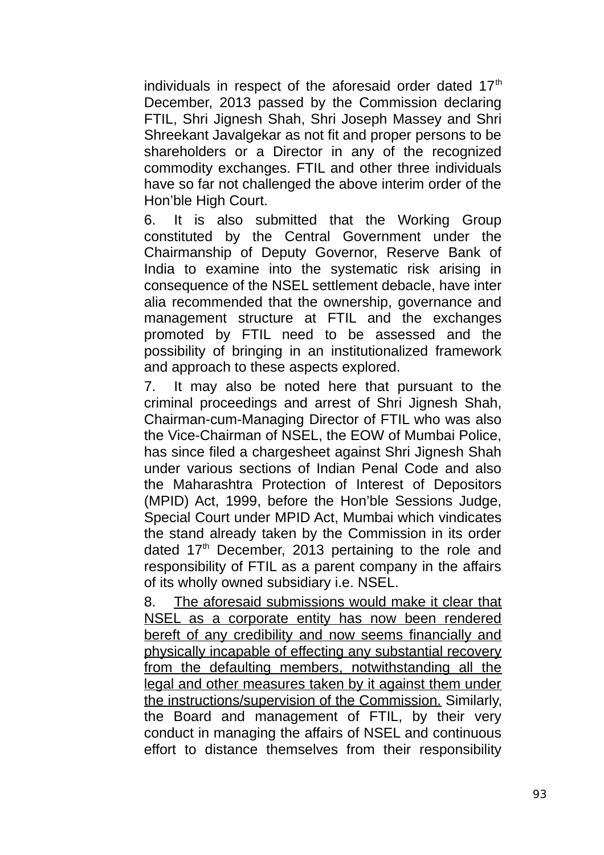individuals in respect of the aforesaid order dated  $17<sup>th</sup>$ December, 2013 passed by the Commission declaring FTIL, Shri Jignesh Shah, Shri Joseph Massey and Shri Shreekant Javalgekar as not fit and proper persons to be shareholders or a Director in any of the recognized commodity exchanges. FTIL and other three individuals have so far not challenged the above interim order of the Hon'ble High Court.

6. It is also submitted that the Working Group constituted by the Central Government under the Chairmanship of Deputy Governor, Reserve Bank of India to examine into the systematic risk arising in consequence of the NSEL settlement debacle, have inter alia recommended that the ownership, governance and management structure at FTIL and the exchanges promoted by FTIL need to be assessed and the possibility of bringing in an institutionalized framework and approach to these aspects explored.

7. It may also be noted here that pursuant to the criminal proceedings and arrest of Shri Jignesh Shah, Chairman-cum-Managing Director of FTIL who was also the Vice-Chairman of NSEL, the EOW of Mumbai Police, has since filed a chargesheet against Shri Jignesh Shah under various sections of Indian Penal Code and also the Maharashtra Protection of Interest of Depositors (MPID) Act, 1999, before the Hon'ble Sessions Judge, Special Court under MPID Act, Mumbai which vindicates the stand already taken by the Commission in its order dated  $17<sup>th</sup>$  December, 2013 pertaining to the role and responsibility of FTIL as a parent company in the affairs of its wholly owned subsidiary i.e. NSEL.

8. The aforesaid submissions would make it clear that NSEL as a corporate entity has now been rendered bereft of any credibility and now seems financially and physically incapable of effecting any substantial recovery from the defaulting members, notwithstanding all the legal and other measures taken by it against them under the instructions/supervision of the Commission. Similarly, the Board and management of FTIL, by their very conduct in managing the affairs of NSEL and continuous effort to distance themselves from their responsibility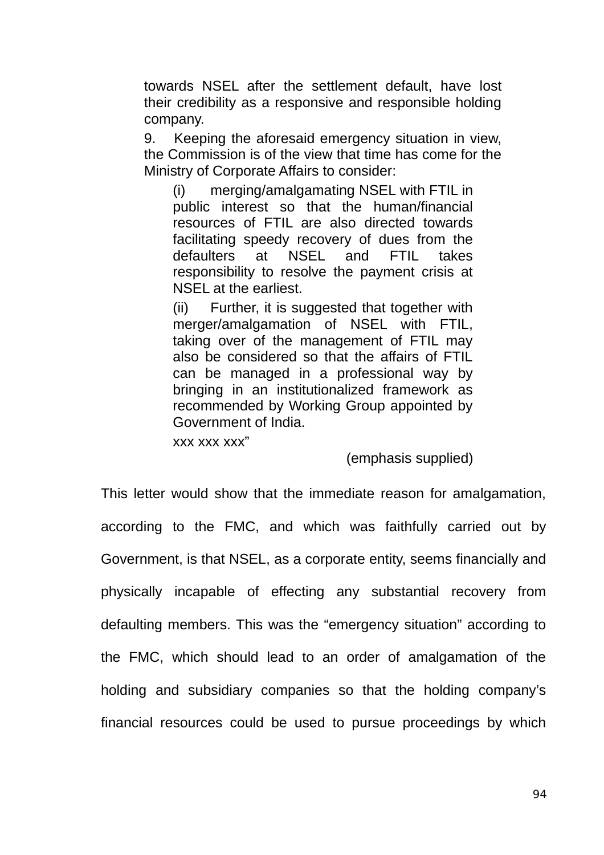towards NSEL after the settlement default, have lost their credibility as a responsive and responsible holding company.

9. Keeping the aforesaid emergency situation in view, the Commission is of the view that time has come for the Ministry of Corporate Affairs to consider:

(i) merging/amalgamating NSEL with FTIL in public interest so that the human/financial resources of FTIL are also directed towards facilitating speedy recovery of dues from the defaulters at NSEL and FTIL takes responsibility to resolve the payment crisis at NSEL at the earliest.

(ii) Further, it is suggested that together with merger/amalgamation of NSEL with FTIL, taking over of the management of FTIL may also be considered so that the affairs of FTIL can be managed in a professional way by bringing in an institutionalized framework as recommended by Working Group appointed by Government of India.

xxx xxx xxx"

(emphasis supplied)

This letter would show that the immediate reason for amalgamation, according to the FMC, and which was faithfully carried out by Government, is that NSEL, as a corporate entity, seems financially and physically incapable of effecting any substantial recovery from defaulting members. This was the "emergency situation" according to the FMC, which should lead to an order of amalgamation of the holding and subsidiary companies so that the holding company's financial resources could be used to pursue proceedings by which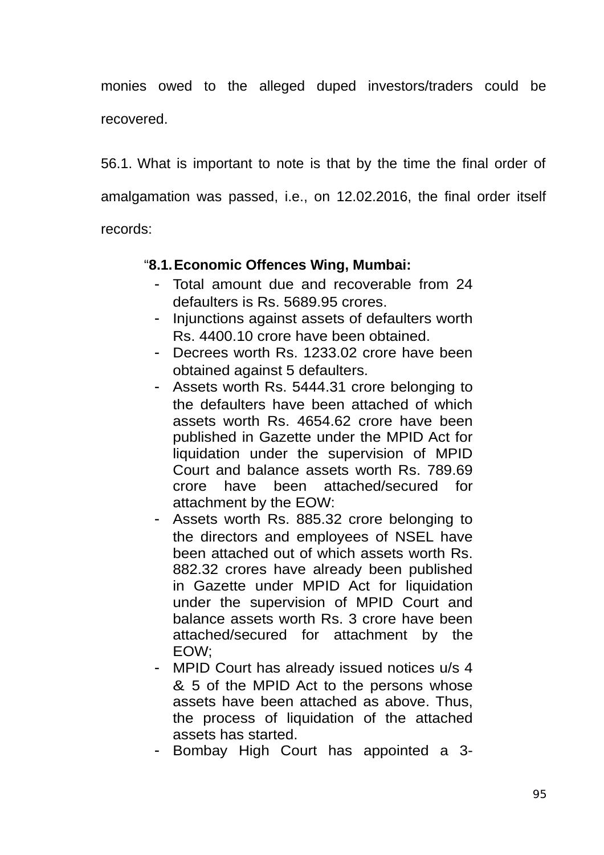monies owed to the alleged duped investors/traders could be recovered.

56.1. What is important to note is that by the time the final order of amalgamation was passed, i.e., on 12.02.2016, the final order itself records:

# "**8.1.Economic Offences Wing, Mumbai:**

- Total amount due and recoverable from 24 defaulters is Rs. 5689.95 crores.
- Injunctions against assets of defaulters worth Rs. 4400.10 crore have been obtained.
- Decrees worth Rs. 1233.02 crore have been obtained against 5 defaulters.
- Assets worth Rs. 5444.31 crore belonging to the defaulters have been attached of which assets worth Rs. 4654.62 crore have been published in Gazette under the MPID Act for liquidation under the supervision of MPID Court and balance assets worth Rs. 789.69 crore have been attached/secured for attachment by the EOW:
- Assets worth Rs. 885.32 crore belonging to the directors and employees of NSEL have been attached out of which assets worth Rs. 882.32 crores have already been published in Gazette under MPID Act for liquidation under the supervision of MPID Court and balance assets worth Rs. 3 crore have been attached/secured for attachment by the EOW;
- MPID Court has already issued notices u/s 4 & 5 of the MPID Act to the persons whose assets have been attached as above. Thus, the process of liquidation of the attached assets has started.
- Bombay High Court has appointed a 3-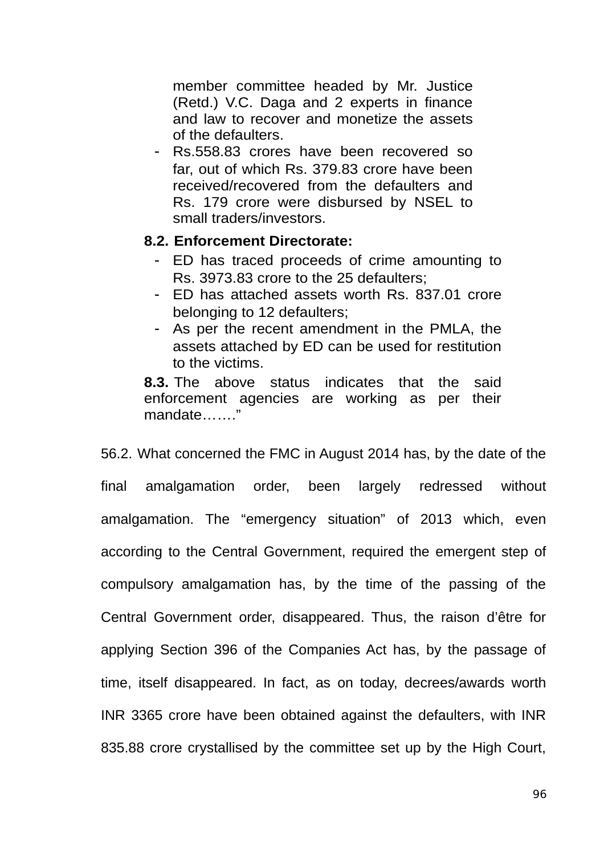member committee headed by Mr. Justice (Retd.) V.C. Daga and 2 experts in finance and law to recover and monetize the assets of the defaulters.

 Rs.558.83 crores have been recovered so far, out of which Rs. 379.83 crore have been received/recovered from the defaulters and Rs. 179 crore were disbursed by NSEL to small traders/investors.

#### **8.2. Enforcement Directorate:**

- ED has traced proceeds of crime amounting to Rs. 3973.83 crore to the 25 defaulters;
- ED has attached assets worth Rs. 837.01 crore belonging to 12 defaulters;
- As per the recent amendment in the PMLA, the assets attached by ED can be used for restitution to the victims.

**8.3.** The above status indicates that the said enforcement agencies are working as per their mandate……."

56.2. What concerned the FMC in August 2014 has, by the date of the final amalgamation order, been largely redressed without amalgamation. The "emergency situation" of 2013 which, even according to the Central Government, required the emergent step of compulsory amalgamation has, by the time of the passing of the Central Government order, disappeared. Thus, the raison d'être for applying Section 396 of the Companies Act has, by the passage of time, itself disappeared. In fact, as on today, decrees/awards worth INR 3365 crore have been obtained against the defaulters, with INR 835.88 crore crystallised by the committee set up by the High Court,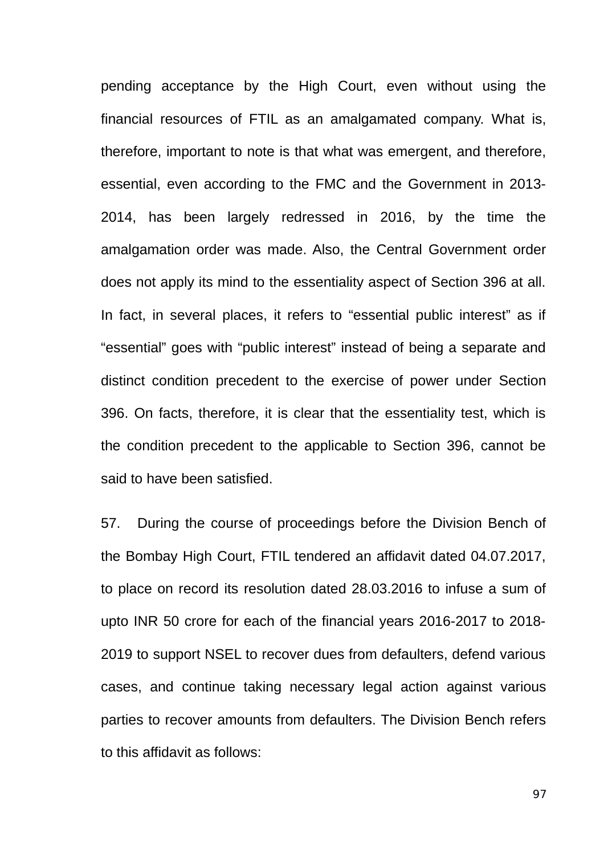pending acceptance by the High Court, even without using the financial resources of FTIL as an amalgamated company. What is, therefore, important to note is that what was emergent, and therefore, essential, even according to the FMC and the Government in 2013- 2014, has been largely redressed in 2016, by the time the amalgamation order was made. Also, the Central Government order does not apply its mind to the essentiality aspect of Section 396 at all. In fact, in several places, it refers to "essential public interest" as if "essential" goes with "public interest" instead of being a separate and distinct condition precedent to the exercise of power under Section 396. On facts, therefore, it is clear that the essentiality test, which is the condition precedent to the applicable to Section 396, cannot be said to have been satisfied.

57. During the course of proceedings before the Division Bench of the Bombay High Court, FTIL tendered an affidavit dated 04.07.2017, to place on record its resolution dated 28.03.2016 to infuse a sum of upto INR 50 crore for each of the financial years 2016-2017 to 2018- 2019 to support NSEL to recover dues from defaulters, defend various cases, and continue taking necessary legal action against various parties to recover amounts from defaulters. The Division Bench refers to this affidavit as follows:

97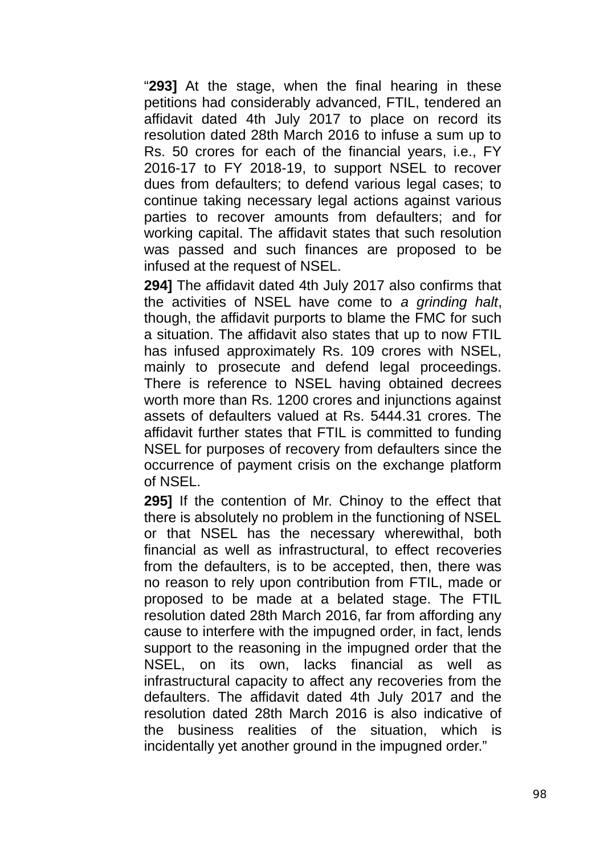"**293]** At the stage, when the final hearing in these petitions had considerably advanced, FTIL, tendered an affidavit dated 4th July 2017 to place on record its resolution dated 28th March 2016 to infuse a sum up to Rs. 50 crores for each of the financial years, i.e., FY 2016-17 to FY 2018-19, to support NSEL to recover dues from defaulters; to defend various legal cases; to continue taking necessary legal actions against various parties to recover amounts from defaulters; and for working capital. The affidavit states that such resolution was passed and such finances are proposed to be infused at the request of NSEL.

**294]** The affidavit dated 4th July 2017 also confirms that the activities of NSEL have come to *a grinding halt*, though, the affidavit purports to blame the FMC for such a situation. The affidavit also states that up to now FTIL has infused approximately Rs. 109 crores with NSEL, mainly to prosecute and defend legal proceedings. There is reference to NSEL having obtained decrees worth more than Rs. 1200 crores and injunctions against assets of defaulters valued at Rs. 5444.31 crores. The affidavit further states that FTIL is committed to funding NSEL for purposes of recovery from defaulters since the occurrence of payment crisis on the exchange platform of NSEL.

**295]** If the contention of Mr. Chinoy to the effect that there is absolutely no problem in the functioning of NSEL or that NSEL has the necessary wherewithal, both financial as well as infrastructural, to effect recoveries from the defaulters, is to be accepted, then, there was no reason to rely upon contribution from FTIL, made or proposed to be made at a belated stage. The FTIL resolution dated 28th March 2016, far from affording any cause to interfere with the impugned order, in fact, lends support to the reasoning in the impugned order that the NSEL, on its own, lacks financial as well as infrastructural capacity to affect any recoveries from the defaulters. The affidavit dated 4th July 2017 and the resolution dated 28th March 2016 is also indicative of the business realities of the situation, which is incidentally yet another ground in the impugned order."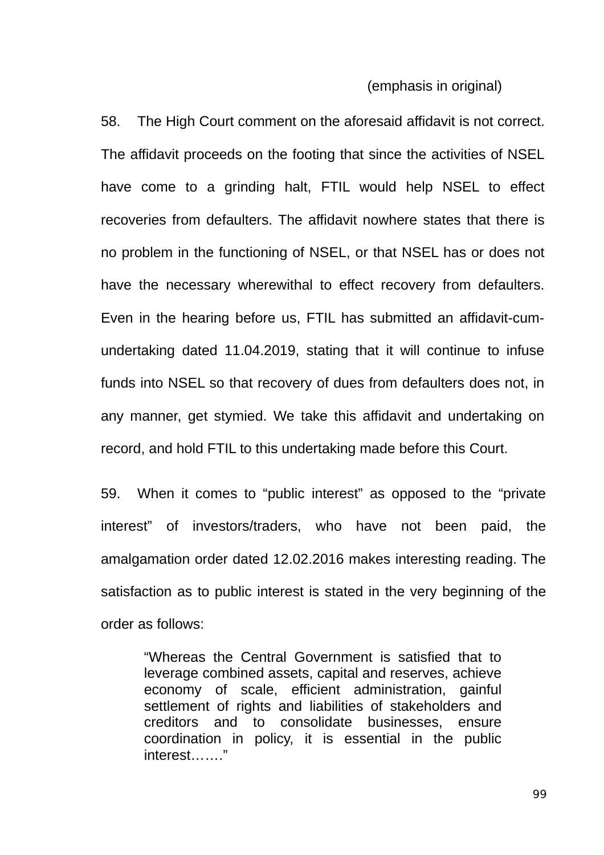#### (emphasis in original)

58. The High Court comment on the aforesaid affidavit is not correct. The affidavit proceeds on the footing that since the activities of NSEL have come to a grinding halt, FTIL would help NSEL to effect recoveries from defaulters. The affidavit nowhere states that there is no problem in the functioning of NSEL, or that NSEL has or does not have the necessary wherewithal to effect recovery from defaulters. Even in the hearing before us, FTIL has submitted an affidavit-cumundertaking dated 11.04.2019, stating that it will continue to infuse funds into NSEL so that recovery of dues from defaulters does not, in any manner, get stymied. We take this affidavit and undertaking on record, and hold FTIL to this undertaking made before this Court.

59. When it comes to "public interest" as opposed to the "private interest" of investors/traders, who have not been paid, the amalgamation order dated 12.02.2016 makes interesting reading. The satisfaction as to public interest is stated in the very beginning of the order as follows:

"Whereas the Central Government is satisfied that to leverage combined assets, capital and reserves, achieve economy of scale, efficient administration, gainful settlement of rights and liabilities of stakeholders and creditors and to consolidate businesses, ensure coordination in policy, it is essential in the public interest……."

99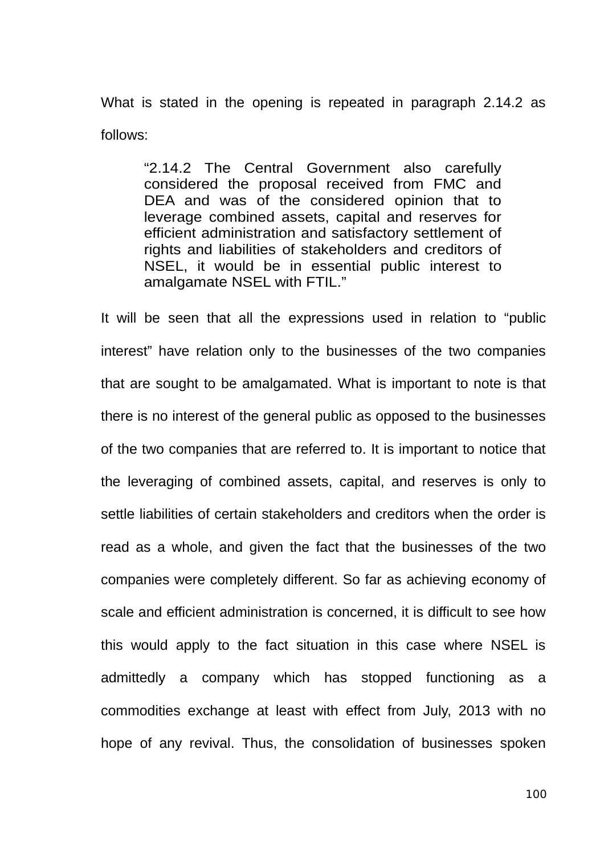What is stated in the opening is repeated in paragraph 2.14.2 as follows:

"2.14.2 The Central Government also carefully considered the proposal received from FMC and DEA and was of the considered opinion that to leverage combined assets, capital and reserves for efficient administration and satisfactory settlement of rights and liabilities of stakeholders and creditors of NSEL, it would be in essential public interest to amalgamate NSEL with FTIL."

It will be seen that all the expressions used in relation to "public interest" have relation only to the businesses of the two companies that are sought to be amalgamated. What is important to note is that there is no interest of the general public as opposed to the businesses of the two companies that are referred to. It is important to notice that the leveraging of combined assets, capital, and reserves is only to settle liabilities of certain stakeholders and creditors when the order is read as a whole, and given the fact that the businesses of the two companies were completely different. So far as achieving economy of scale and efficient administration is concerned, it is difficult to see how this would apply to the fact situation in this case where NSEL is admittedly a company which has stopped functioning as a commodities exchange at least with effect from July, 2013 with no hope of any revival. Thus, the consolidation of businesses spoken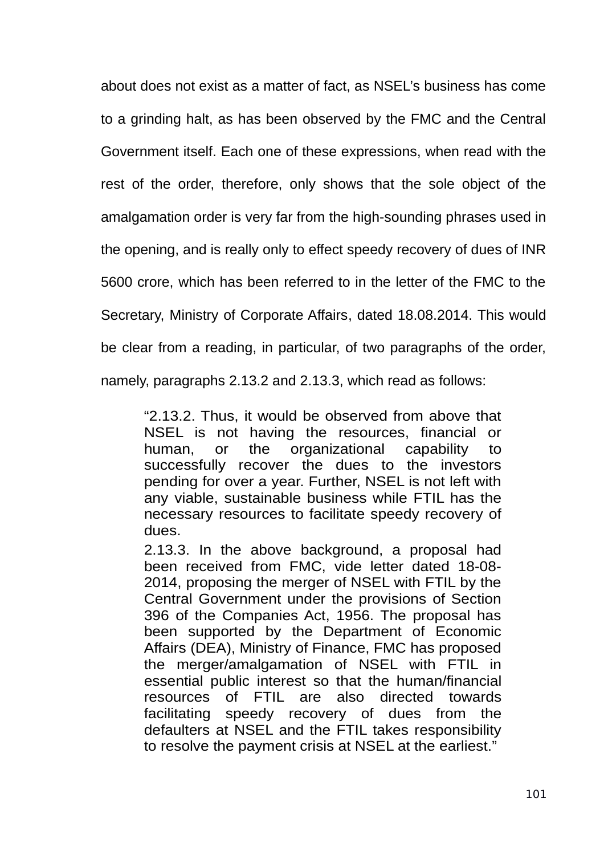about does not exist as a matter of fact, as NSEL's business has come to a grinding halt, as has been observed by the FMC and the Central Government itself. Each one of these expressions, when read with the rest of the order, therefore, only shows that the sole object of the amalgamation order is very far from the high-sounding phrases used in the opening, and is really only to effect speedy recovery of dues of INR 5600 crore, which has been referred to in the letter of the FMC to the Secretary, Ministry of Corporate Affairs, dated 18.08.2014. This would be clear from a reading, in particular, of two paragraphs of the order, namely, paragraphs 2.13.2 and 2.13.3, which read as follows:

"2.13.2. Thus, it would be observed from above that NSEL is not having the resources, financial or human, or the organizational capability to successfully recover the dues to the investors pending for over a year. Further, NSEL is not left with any viable, sustainable business while FTIL has the necessary resources to facilitate speedy recovery of dues.

2.13.3. In the above background, a proposal had been received from FMC, vide letter dated 18-08- 2014, proposing the merger of NSEL with FTIL by the Central Government under the provisions of Section 396 of the Companies Act, 1956. The proposal has been supported by the Department of Economic Affairs (DEA), Ministry of Finance, FMC has proposed the merger/amalgamation of NSEL with FTIL in essential public interest so that the human/financial resources of FTIL are also directed towards facilitating speedy recovery of dues from the defaulters at NSEL and the FTIL takes responsibility to resolve the payment crisis at NSEL at the earliest."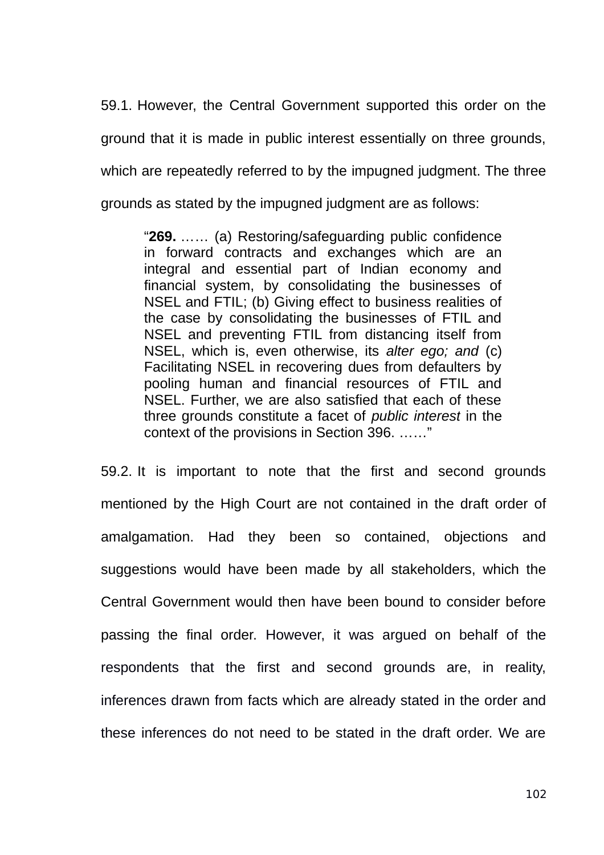59.1. However, the Central Government supported this order on the ground that it is made in public interest essentially on three grounds, which are repeatedly referred to by the impugned judgment. The three grounds as stated by the impugned judgment are as follows:

"**269.** …… (a) Restoring/safeguarding public confidence in forward contracts and exchanges which are an integral and essential part of Indian economy and financial system, by consolidating the businesses of NSEL and FTIL; (b) Giving effect to business realities of the case by consolidating the businesses of FTIL and NSEL and preventing FTIL from distancing itself from NSEL, which is, even otherwise, its *alter ego; and* (c) Facilitating NSEL in recovering dues from defaulters by pooling human and financial resources of FTIL and NSEL. Further, we are also satisfied that each of these three grounds constitute a facet of *public interest* in the context of the provisions in Section 396. ……"

59.2. It is important to note that the first and second grounds mentioned by the High Court are not contained in the draft order of amalgamation. Had they been so contained, objections and suggestions would have been made by all stakeholders, which the Central Government would then have been bound to consider before passing the final order. However, it was argued on behalf of the respondents that the first and second grounds are, in reality, inferences drawn from facts which are already stated in the order and these inferences do not need to be stated in the draft order. We are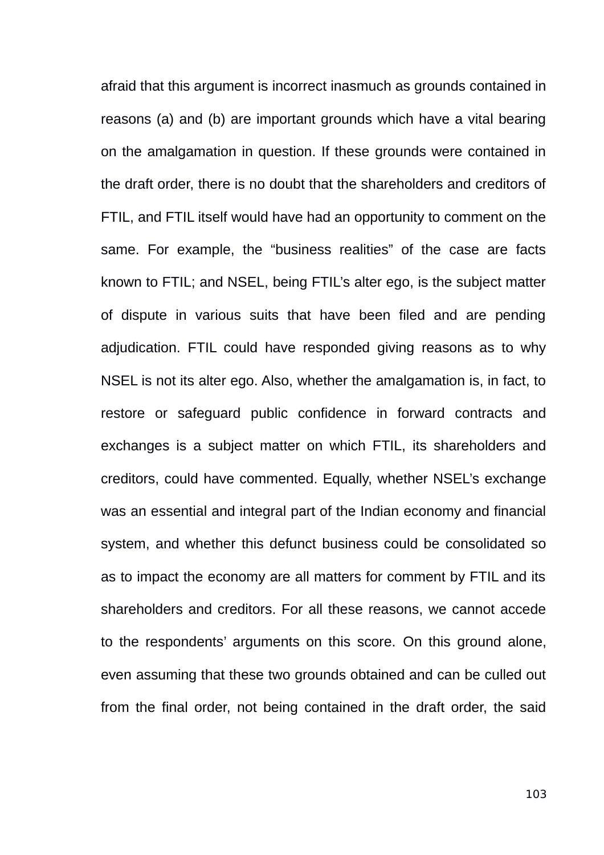afraid that this argument is incorrect inasmuch as grounds contained in reasons (a) and (b) are important grounds which have a vital bearing on the amalgamation in question. If these grounds were contained in the draft order, there is no doubt that the shareholders and creditors of FTIL, and FTIL itself would have had an opportunity to comment on the same. For example, the "business realities" of the case are facts known to FTIL; and NSEL, being FTIL's alter ego, is the subject matter of dispute in various suits that have been filed and are pending adjudication. FTIL could have responded giving reasons as to why NSEL is not its alter ego. Also, whether the amalgamation is, in fact, to restore or safeguard public confidence in forward contracts and exchanges is a subject matter on which FTIL, its shareholders and creditors, could have commented. Equally, whether NSEL's exchange was an essential and integral part of the Indian economy and financial system, and whether this defunct business could be consolidated so as to impact the economy are all matters for comment by FTIL and its shareholders and creditors. For all these reasons, we cannot accede to the respondents' arguments on this score. On this ground alone, even assuming that these two grounds obtained and can be culled out from the final order, not being contained in the draft order, the said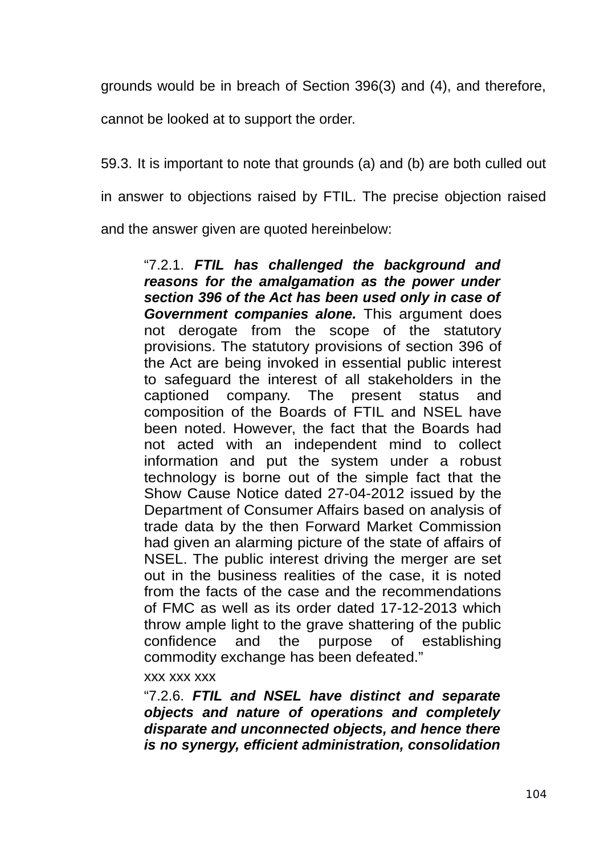grounds would be in breach of Section 396(3) and (4), and therefore,

cannot be looked at to support the order.

59.3. It is important to note that grounds (a) and (b) are both culled out in answer to objections raised by FTIL. The precise objection raised and the answer given are quoted hereinbelow:

"7.2.1. *FTIL has challenged the background and reasons for the amalgamation as the power under section 396 of the Act has been used only in case of Government companies alone.* This argument does not derogate from the scope of the statutory provisions. The statutory provisions of section 396 of the Act are being invoked in essential public interest to safeguard the interest of all stakeholders in the captioned company. The present status and composition of the Boards of FTIL and NSEL have been noted. However, the fact that the Boards had not acted with an independent mind to collect information and put the system under a robust technology is borne out of the simple fact that the Show Cause Notice dated 27-04-2012 issued by the Department of Consumer Affairs based on analysis of trade data by the then Forward Market Commission had given an alarming picture of the state of affairs of NSEL. The public interest driving the merger are set out in the business realities of the case, it is noted from the facts of the case and the recommendations of FMC as well as its order dated 17-12-2013 which throw ample light to the grave shattering of the public confidence and the purpose of establishing commodity exchange has been defeated."

xxx xxx xxx

"7.2.6. *FTIL and NSEL have distinct and separate objects and nature of operations and completely disparate and unconnected objects, and hence there is no synergy, efficient administration, consolidation*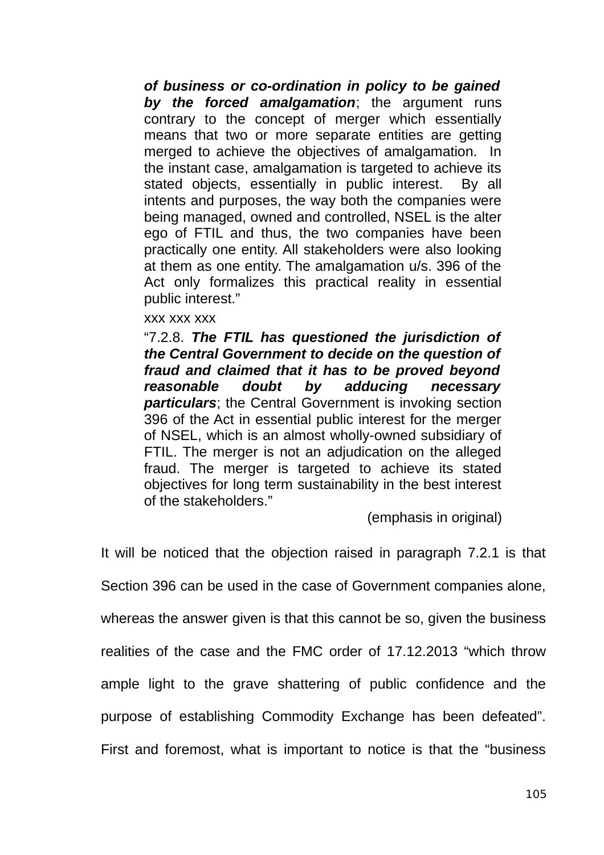*of business or co-ordination in policy to be gained by the forced amalgamation*; the argument runs contrary to the concept of merger which essentially means that two or more separate entities are getting merged to achieve the objectives of amalgamation. In the instant case, amalgamation is targeted to achieve its stated objects, essentially in public interest. By all intents and purposes, the way both the companies were being managed, owned and controlled, NSEL is the alter ego of FTIL and thus, the two companies have been practically one entity. All stakeholders were also looking at them as one entity. The amalgamation u/s. 396 of the Act only formalizes this practical reality in essential public interest."

#### xxx xxx xxx

"7.2.8. *The FTIL has questioned the jurisdiction of the Central Government to decide on the question of fraud and claimed that it has to be proved beyond reasonable doubt by adducing necessary particulars*; the Central Government is invoking section 396 of the Act in essential public interest for the merger of NSEL, which is an almost wholly-owned subsidiary of FTIL. The merger is not an adjudication on the alleged fraud. The merger is targeted to achieve its stated objectives for long term sustainability in the best interest of the stakeholders."

(emphasis in original)

It will be noticed that the objection raised in paragraph 7.2.1 is that

Section 396 can be used in the case of Government companies alone,

whereas the answer given is that this cannot be so, given the business

realities of the case and the FMC order of 17.12.2013 "which throw

ample light to the grave shattering of public confidence and the

purpose of establishing Commodity Exchange has been defeated".

First and foremost, what is important to notice is that the "business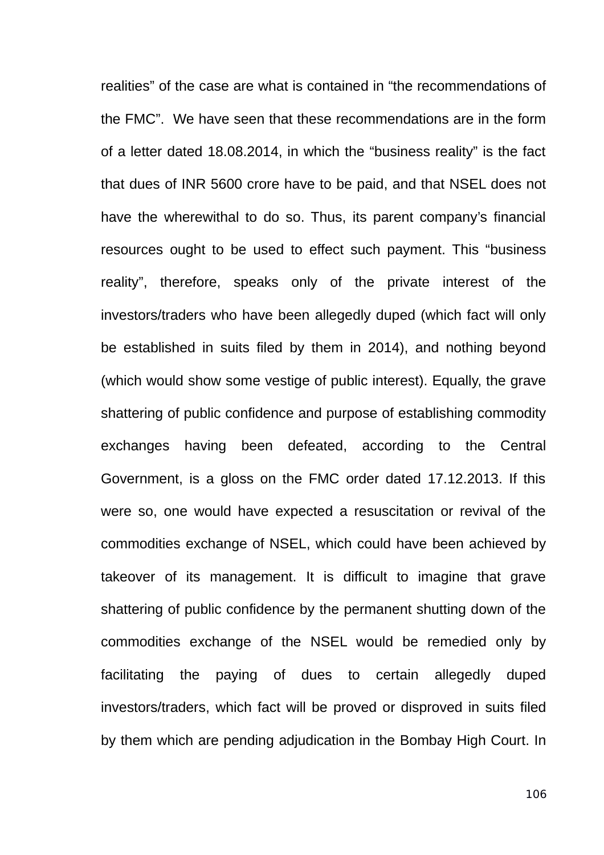realities" of the case are what is contained in "the recommendations of the FMC". We have seen that these recommendations are in the form of a letter dated 18.08.2014, in which the "business reality" is the fact that dues of INR 5600 crore have to be paid, and that NSEL does not have the wherewithal to do so. Thus, its parent company's financial resources ought to be used to effect such payment. This "business reality", therefore, speaks only of the private interest of the investors/traders who have been allegedly duped (which fact will only be established in suits filed by them in 2014), and nothing beyond (which would show some vestige of public interest). Equally, the grave shattering of public confidence and purpose of establishing commodity exchanges having been defeated, according to the Central Government, is a gloss on the FMC order dated 17.12.2013. If this were so, one would have expected a resuscitation or revival of the commodities exchange of NSEL, which could have been achieved by takeover of its management. It is difficult to imagine that grave shattering of public confidence by the permanent shutting down of the commodities exchange of the NSEL would be remedied only by facilitating the paying of dues to certain allegedly duped investors/traders, which fact will be proved or disproved in suits filed by them which are pending adjudication in the Bombay High Court. In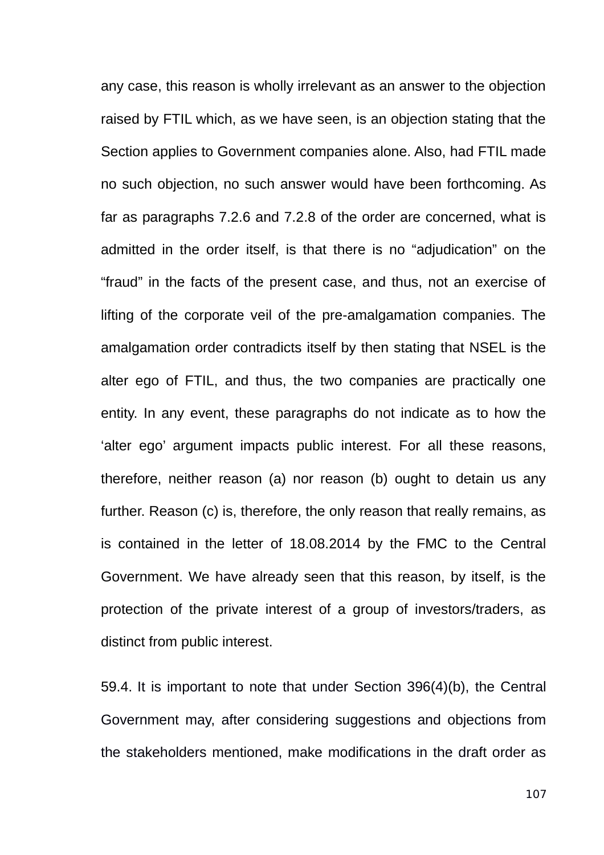any case, this reason is wholly irrelevant as an answer to the objection raised by FTIL which, as we have seen, is an objection stating that the Section applies to Government companies alone. Also, had FTIL made no such objection, no such answer would have been forthcoming. As far as paragraphs 7.2.6 and 7.2.8 of the order are concerned, what is admitted in the order itself, is that there is no "adjudication" on the "fraud" in the facts of the present case, and thus, not an exercise of lifting of the corporate veil of the pre-amalgamation companies. The amalgamation order contradicts itself by then stating that NSEL is the alter ego of FTIL, and thus, the two companies are practically one entity. In any event, these paragraphs do not indicate as to how the 'alter ego' argument impacts public interest. For all these reasons, therefore, neither reason (a) nor reason (b) ought to detain us any further. Reason (c) is, therefore, the only reason that really remains, as is contained in the letter of 18.08.2014 by the FMC to the Central Government. We have already seen that this reason, by itself, is the protection of the private interest of a group of investors/traders, as distinct from public interest.

59.4. It is important to note that under Section 396(4)(b), the Central Government may, after considering suggestions and objections from the stakeholders mentioned, make modifications in the draft order as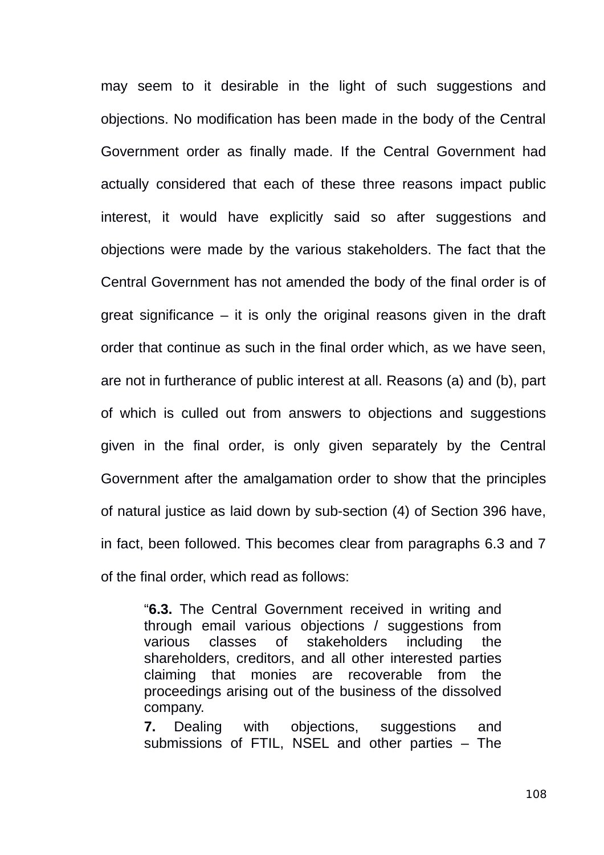may seem to it desirable in the light of such suggestions and objections. No modification has been made in the body of the Central Government order as finally made. If the Central Government had actually considered that each of these three reasons impact public interest, it would have explicitly said so after suggestions and objections were made by the various stakeholders. The fact that the Central Government has not amended the body of the final order is of great significance – it is only the original reasons given in the draft order that continue as such in the final order which, as we have seen, are not in furtherance of public interest at all. Reasons (a) and (b), part of which is culled out from answers to objections and suggestions given in the final order, is only given separately by the Central Government after the amalgamation order to show that the principles of natural justice as laid down by sub-section (4) of Section 396 have, in fact, been followed. This becomes clear from paragraphs 6.3 and 7 of the final order, which read as follows:

"**6.3.** The Central Government received in writing and through email various objections / suggestions from various classes of stakeholders including the shareholders, creditors, and all other interested parties claiming that monies are recoverable from the proceedings arising out of the business of the dissolved company.

**7.** Dealing with objections, suggestions and submissions of FTIL, NSEL and other parties – The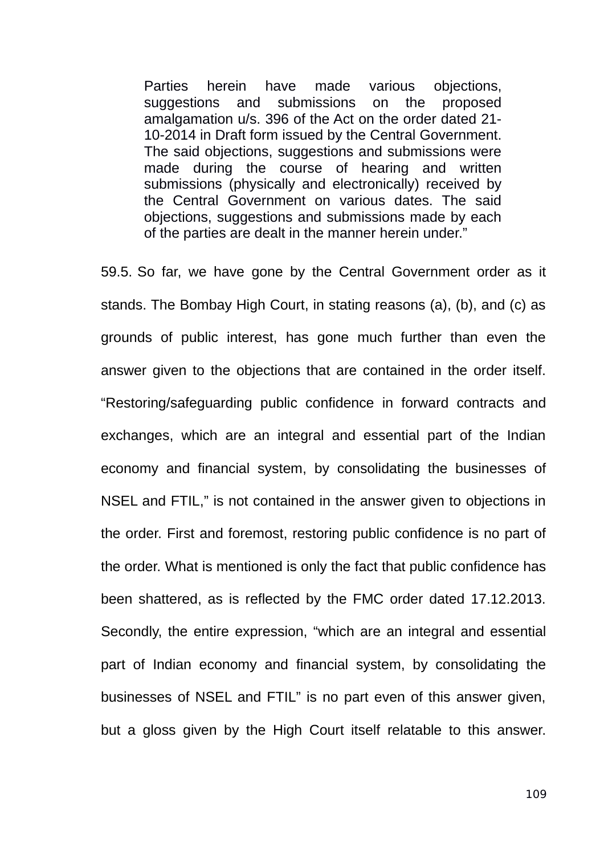Parties herein have made various objections, suggestions and submissions on the proposed amalgamation u/s. 396 of the Act on the order dated 21- 10-2014 in Draft form issued by the Central Government. The said objections, suggestions and submissions were made during the course of hearing and written submissions (physically and electronically) received by the Central Government on various dates. The said objections, suggestions and submissions made by each of the parties are dealt in the manner herein under."

59.5. So far, we have gone by the Central Government order as it stands. The Bombay High Court, in stating reasons (a), (b), and (c) as grounds of public interest, has gone much further than even the answer given to the objections that are contained in the order itself. "Restoring/safeguarding public confidence in forward contracts and exchanges, which are an integral and essential part of the Indian economy and financial system, by consolidating the businesses of NSEL and FTIL," is not contained in the answer given to objections in the order. First and foremost, restoring public confidence is no part of the order. What is mentioned is only the fact that public confidence has been shattered, as is reflected by the FMC order dated 17.12.2013. Secondly, the entire expression, "which are an integral and essential part of Indian economy and financial system, by consolidating the businesses of NSEL and FTIL" is no part even of this answer given, but a gloss given by the High Court itself relatable to this answer.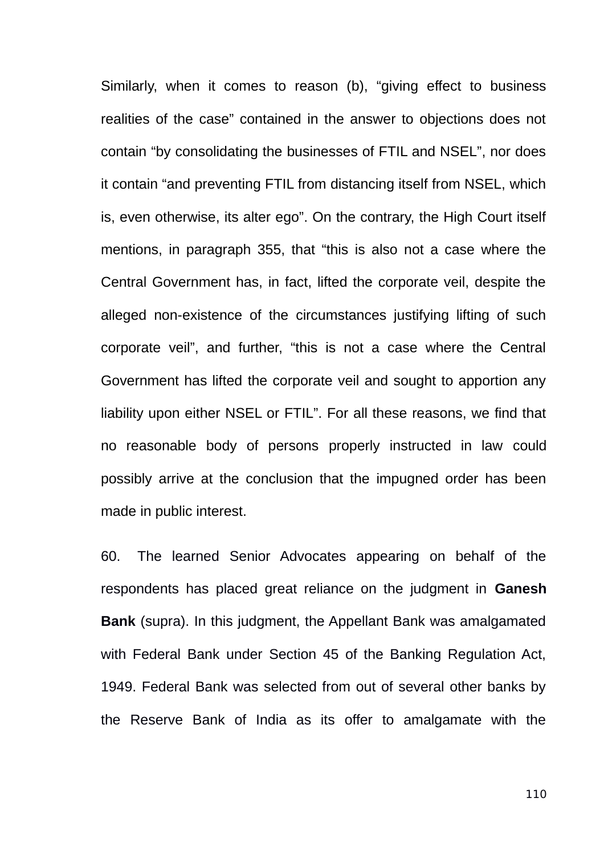Similarly, when it comes to reason (b), "giving effect to business realities of the case" contained in the answer to objections does not contain "by consolidating the businesses of FTIL and NSEL", nor does it contain "and preventing FTIL from distancing itself from NSEL, which is, even otherwise, its alter ego". On the contrary, the High Court itself mentions, in paragraph 355, that "this is also not a case where the Central Government has, in fact, lifted the corporate veil, despite the alleged non-existence of the circumstances justifying lifting of such corporate veil", and further, "this is not a case where the Central Government has lifted the corporate veil and sought to apportion any liability upon either NSEL or FTIL". For all these reasons, we find that no reasonable body of persons properly instructed in law could possibly arrive at the conclusion that the impugned order has been made in public interest.

60. The learned Senior Advocates appearing on behalf of the respondents has placed great reliance on the judgment in **Ganesh Bank** (supra). In this judgment, the Appellant Bank was amalgamated with Federal Bank under Section 45 of the Banking Regulation Act, 1949. Federal Bank was selected from out of several other banks by the Reserve Bank of India as its offer to amalgamate with the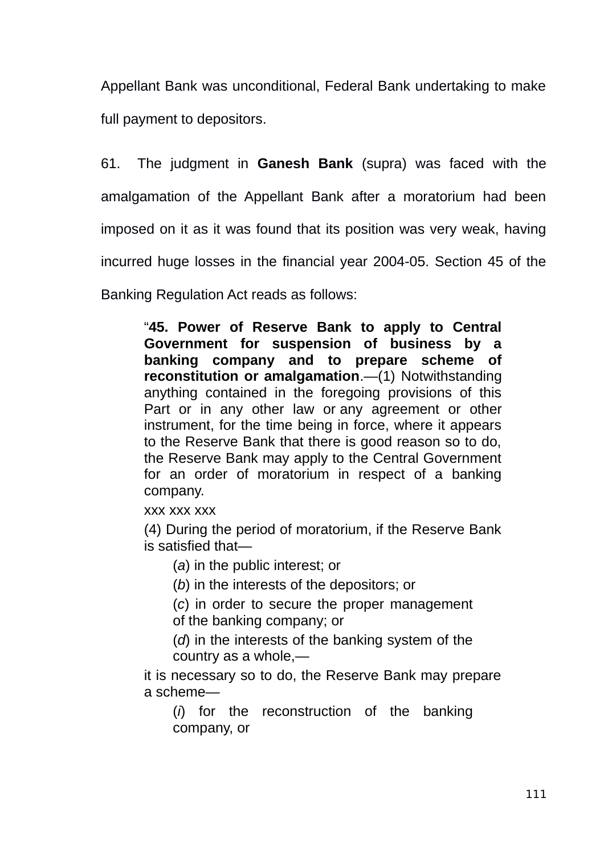Appellant Bank was unconditional, Federal Bank undertaking to make full payment to depositors.

61. The judgment in **Ganesh Bank** (supra) was faced with the amalgamation of the Appellant Bank after a moratorium had been imposed on it as it was found that its position was very weak, having incurred huge losses in the financial year 2004-05. Section 45 of the

Banking Regulation Act reads as follows:

"**45. Power of Reserve Bank to apply to Central Government for suspension of business by a banking company and to prepare scheme of reconstitution or amalgamation**.—(1) Notwithstanding anything contained in the foregoing provisions of this Part or in any other law or any agreement or other instrument, for the time being in force, where it appears to the Reserve Bank that there is good reason so to do, the Reserve Bank may apply to the Central Government for an order of moratorium in respect of a banking company.

xxx xxx xxx

(4) During the period of moratorium, if the Reserve Bank is satisfied that—

(*a*) in the public interest; or

(*b*) in the interests of the depositors; or

(*c*) in order to secure the proper management of the banking company; or

(*d*) in the interests of the banking system of the country as a whole,—

it is necessary so to do, the Reserve Bank may prepare a scheme—

(*i*) for the reconstruction of the banking company, or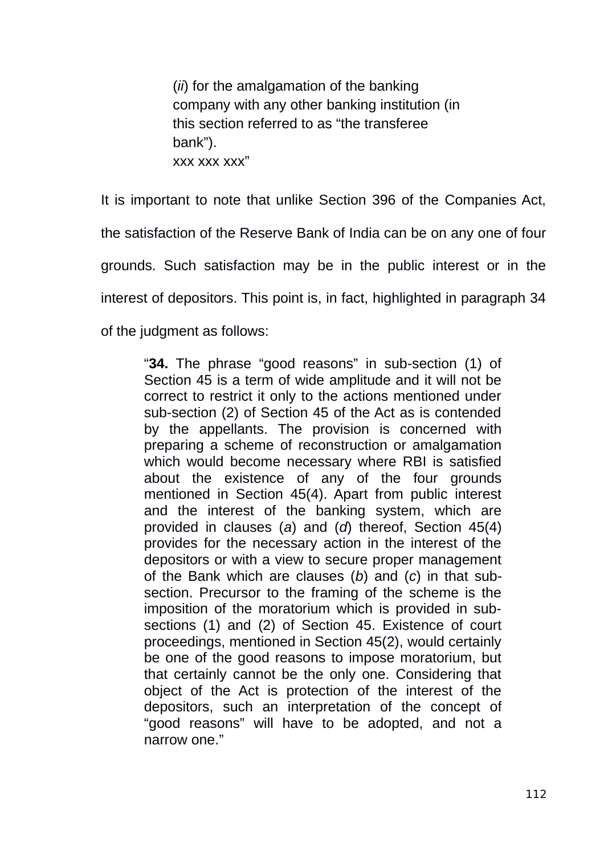(*ii*) for the amalgamation of the banking company with any other banking institution (in this section referred to as "the transferee bank"). xxx xxx xxx"

It is important to note that unlike Section 396 of the Companies Act,

the satisfaction of the Reserve Bank of India can be on any one of four

grounds. Such satisfaction may be in the public interest or in the

interest of depositors. This point is, in fact, highlighted in paragraph 34

of the judgment as follows:

"**34.** The phrase "good reasons" in sub-section (1) of Section 45 is a term of wide amplitude and it will not be correct to restrict it only to the actions mentioned under sub-section (2) of Section 45 of the Act as is contended by the appellants. The provision is concerned with preparing a scheme of reconstruction or amalgamation which would become necessary where RBI is satisfied about the existence of any of the four grounds mentioned in Section 45(4). Apart from public interest and the interest of the banking system, which are provided in clauses (*a*) and (*d*) thereof, Section 45(4) provides for the necessary action in the interest of the depositors or with a view to secure proper management of the Bank which are clauses (*b*) and (*c*) in that subsection. Precursor to the framing of the scheme is the imposition of the moratorium which is provided in subsections (1) and (2) of Section 45. Existence of court proceedings, mentioned in Section 45(2), would certainly be one of the good reasons to impose moratorium, but that certainly cannot be the only one. Considering that object of the Act is protection of the interest of the depositors, such an interpretation of the concept of "good reasons" will have to be adopted, and not a narrow one."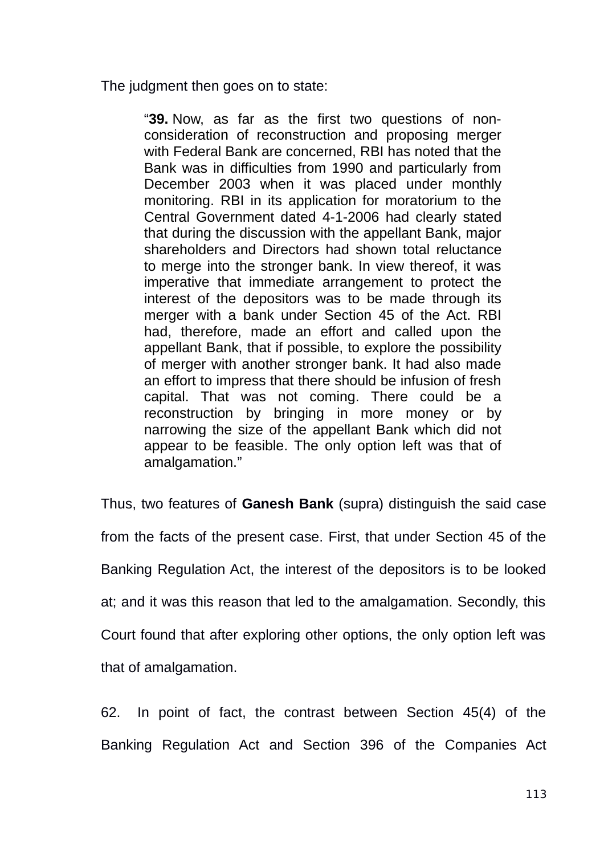The judgment then goes on to state:

"**39.** Now, as far as the first two questions of nonconsideration of reconstruction and proposing merger with Federal Bank are concerned, RBI has noted that the Bank was in difficulties from 1990 and particularly from December 2003 when it was placed under monthly monitoring. RBI in its application for moratorium to the Central Government dated 4-1-2006 had clearly stated that during the discussion with the appellant Bank, major shareholders and Directors had shown total reluctance to merge into the stronger bank. In view thereof, it was imperative that immediate arrangement to protect the interest of the depositors was to be made through its merger with a bank under Section 45 of the Act. RBI had, therefore, made an effort and called upon the appellant Bank, that if possible, to explore the possibility of merger with another stronger bank. It had also made an effort to impress that there should be infusion of fresh capital. That was not coming. There could be a reconstruction by bringing in more money or by narrowing the size of the appellant Bank which did not appear to be feasible. The only option left was that of amalgamation."

Thus, two features of **Ganesh Bank** (supra) distinguish the said case from the facts of the present case. First, that under Section 45 of the Banking Regulation Act, the interest of the depositors is to be looked at; and it was this reason that led to the amalgamation. Secondly, this Court found that after exploring other options, the only option left was that of amalgamation.

62. In point of fact, the contrast between Section 45(4) of the Banking Regulation Act and Section 396 of the Companies Act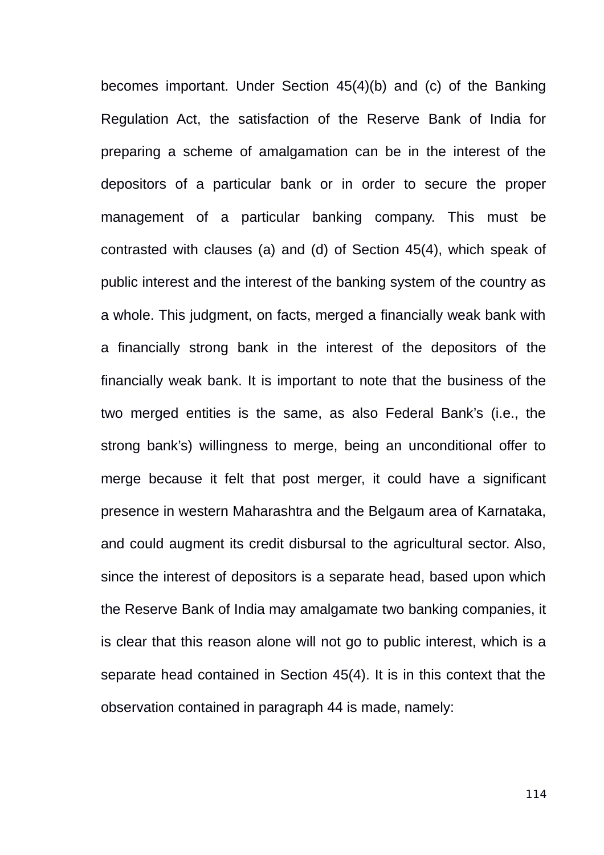becomes important. Under Section 45(4)(b) and (c) of the Banking Regulation Act, the satisfaction of the Reserve Bank of India for preparing a scheme of amalgamation can be in the interest of the depositors of a particular bank or in order to secure the proper management of a particular banking company. This must be contrasted with clauses (a) and (d) of Section 45(4), which speak of public interest and the interest of the banking system of the country as a whole. This judgment, on facts, merged a financially weak bank with a financially strong bank in the interest of the depositors of the financially weak bank. It is important to note that the business of the two merged entities is the same, as also Federal Bank's (i.e., the strong bank's) willingness to merge, being an unconditional offer to merge because it felt that post merger, it could have a significant presence in western Maharashtra and the Belgaum area of Karnataka, and could augment its credit disbursal to the agricultural sector. Also, since the interest of depositors is a separate head, based upon which the Reserve Bank of India may amalgamate two banking companies, it is clear that this reason alone will not go to public interest, which is a separate head contained in Section 45(4). It is in this context that the observation contained in paragraph 44 is made, namely: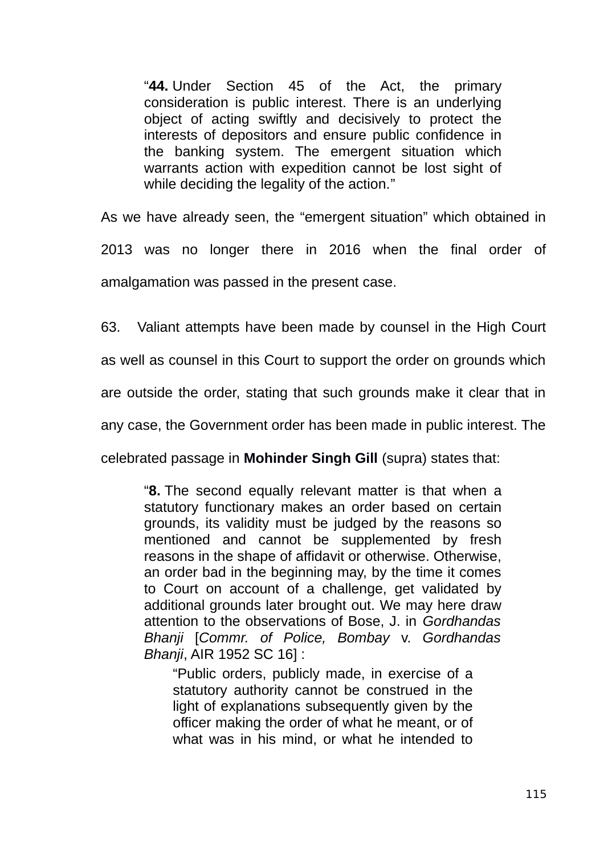"**44.** Under Section 45 of the Act, the primary consideration is public interest. There is an underlying object of acting swiftly and decisively to protect the interests of depositors and ensure public confidence in the banking system. The emergent situation which warrants action with expedition cannot be lost sight of while deciding the legality of the action."

As we have already seen, the "emergent situation" which obtained in 2013 was no longer there in 2016 when the final order of amalgamation was passed in the present case.

63. Valiant attempts have been made by counsel in the High Court

as well as counsel in this Court to support the order on grounds which

are outside the order, stating that such grounds make it clear that in

any case, the Government order has been made in public interest. The

celebrated passage in **Mohinder Singh Gill** (supra) states that:

"**8.** The second equally relevant matter is that when a statutory functionary makes an order based on certain grounds, its validity must be judged by the reasons so mentioned and cannot be supplemented by fresh reasons in the shape of affidavit or otherwise. Otherwise, an order bad in the beginning may, by the time it comes to Court on account of a challenge, get validated by additional grounds later brought out. We may here draw attention to the observations of Bose, J. in *Gordhandas Bhanji* [*Commr. of Police, Bombay* v. *Gordhandas Bhanji*, AIR 1952 SC 16] :

"Public orders, publicly made, in exercise of a statutory authority cannot be construed in the light of explanations subsequently given by the officer making the order of what he meant, or of what was in his mind, or what he intended to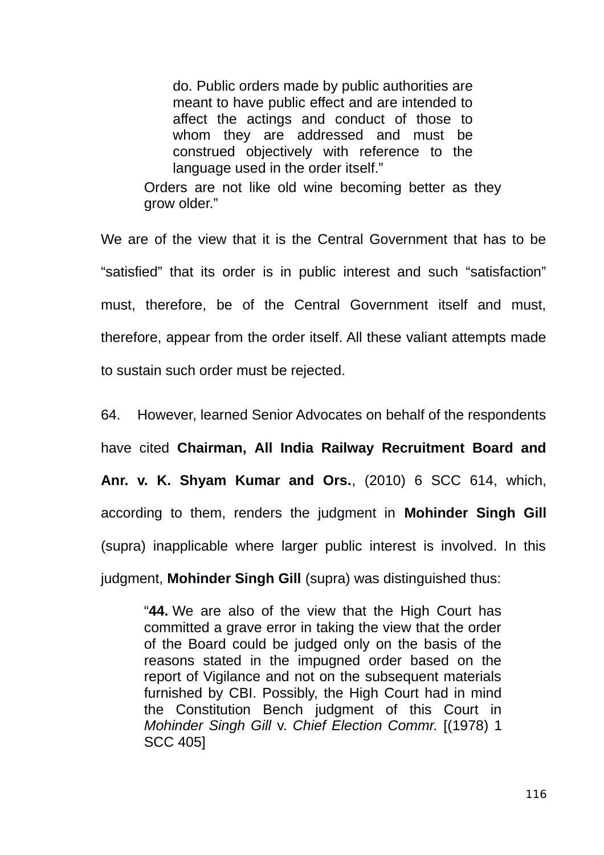do. Public orders made by public authorities are meant to have public effect and are intended to affect the actings and conduct of those to whom they are addressed and must be construed objectively with reference to the language used in the order itself."

Orders are not like old wine becoming better as they grow older."

We are of the view that it is the Central Government that has to be "satisfied" that its order is in public interest and such "satisfaction" must, therefore, be of the Central Government itself and must, therefore, appear from the order itself. All these valiant attempts made to sustain such order must be rejected.

64. However, learned Senior Advocates on behalf of the respondents have cited **Chairman, All India Railway Recruitment Board and Anr. v. K. Shyam Kumar and Ors.**, (2010) 6 SCC 614, which, according to them, renders the judgment in **Mohinder Singh Gill** (supra) inapplicable where larger public interest is involved. In this

judgment, **Mohinder Singh Gill** (supra) was distinguished thus:

"**44.** We are also of the view that the High Court has committed a grave error in taking the view that the order of the Board could be judged only on the basis of the reasons stated in the impugned order based on the report of Vigilance and not on the subsequent materials furnished by CBI. Possibly, the High Court had in mind the Constitution Bench judgment of this Court in *Mohinder Singh Gill* v. *Chief Election Commr.* [(1978) 1 SCC 405]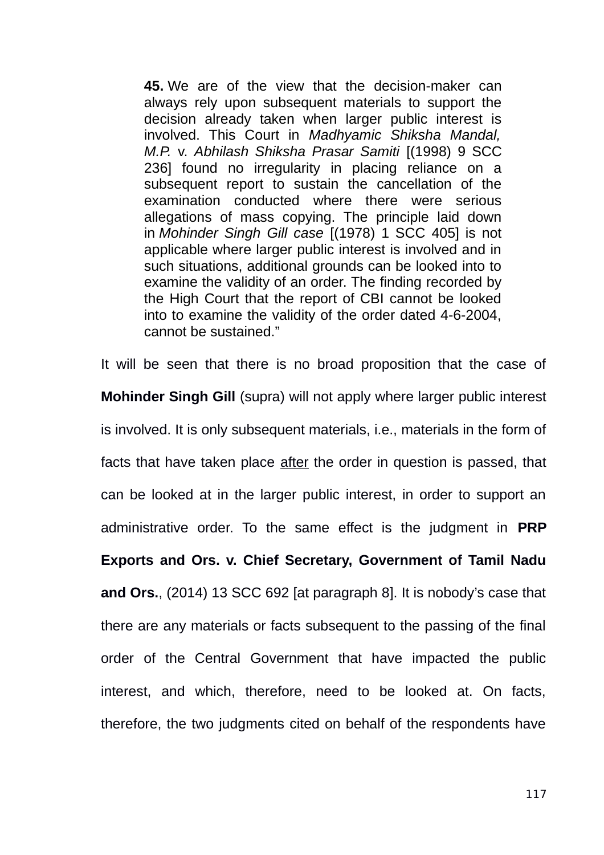**45.** We are of the view that the decision-maker can always rely upon subsequent materials to support the decision already taken when larger public interest is involved. This Court in *Madhyamic Shiksha Mandal, M.P.* v. *Abhilash Shiksha Prasar Samiti* [(1998) 9 SCC 236] found no irregularity in placing reliance on a subsequent report to sustain the cancellation of the examination conducted where there were serious allegations of mass copying. The principle laid down in *Mohinder Singh Gill case* [(1978) 1 SCC 405] is not applicable where larger public interest is involved and in such situations, additional grounds can be looked into to examine the validity of an order. The finding recorded by the High Court that the report of CBI cannot be looked into to examine the validity of the order dated 4-6-2004, cannot be sustained."

It will be seen that there is no broad proposition that the case of **Mohinder Singh Gill** (supra) will not apply where larger public interest is involved. It is only subsequent materials, i.e., materials in the form of facts that have taken place after the order in question is passed, that can be looked at in the larger public interest, in order to support an administrative order. To the same effect is the judgment in **PRP Exports and Ors. v. Chief Secretary, Government of Tamil Nadu and Ors.**, (2014) 13 SCC 692 [at paragraph 8]. It is nobody's case that there are any materials or facts subsequent to the passing of the final order of the Central Government that have impacted the public interest, and which, therefore, need to be looked at. On facts, therefore, the two judgments cited on behalf of the respondents have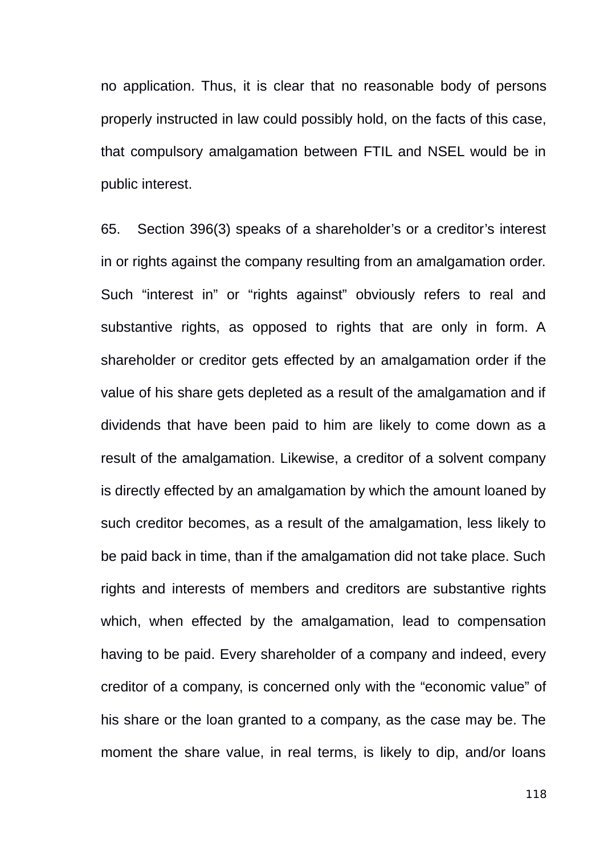no application. Thus, it is clear that no reasonable body of persons properly instructed in law could possibly hold, on the facts of this case, that compulsory amalgamation between FTIL and NSEL would be in public interest.

65. Section 396(3) speaks of a shareholder's or a creditor's interest in or rights against the company resulting from an amalgamation order. Such "interest in" or "rights against" obviously refers to real and substantive rights, as opposed to rights that are only in form. A shareholder or creditor gets effected by an amalgamation order if the value of his share gets depleted as a result of the amalgamation and if dividends that have been paid to him are likely to come down as a result of the amalgamation. Likewise, a creditor of a solvent company is directly effected by an amalgamation by which the amount loaned by such creditor becomes, as a result of the amalgamation, less likely to be paid back in time, than if the amalgamation did not take place. Such rights and interests of members and creditors are substantive rights which, when effected by the amalgamation, lead to compensation having to be paid. Every shareholder of a company and indeed, every creditor of a company, is concerned only with the "economic value" of his share or the loan granted to a company, as the case may be. The moment the share value, in real terms, is likely to dip, and/or loans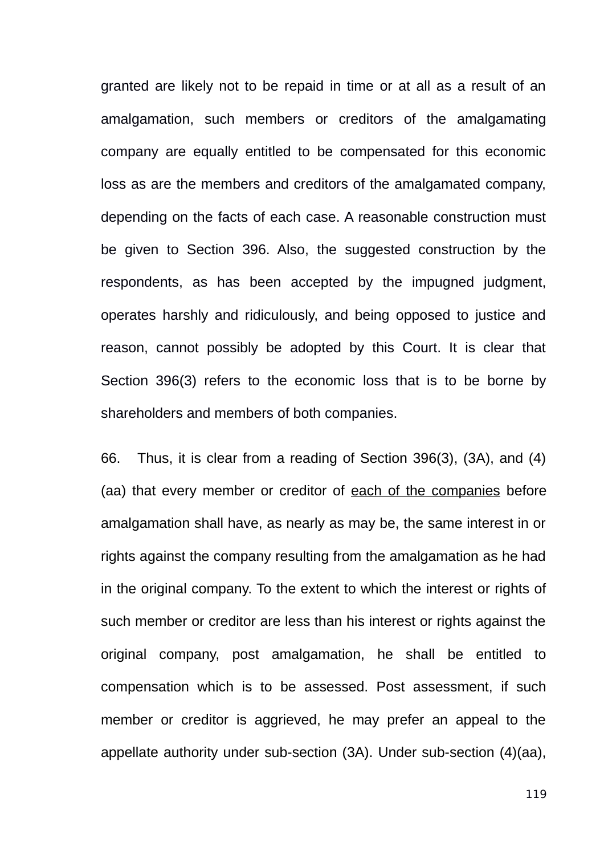granted are likely not to be repaid in time or at all as a result of an amalgamation, such members or creditors of the amalgamating company are equally entitled to be compensated for this economic loss as are the members and creditors of the amalgamated company, depending on the facts of each case. A reasonable construction must be given to Section 396. Also, the suggested construction by the respondents, as has been accepted by the impugned judgment, operates harshly and ridiculously, and being opposed to justice and reason, cannot possibly be adopted by this Court. It is clear that Section 396(3) refers to the economic loss that is to be borne by shareholders and members of both companies.

66. Thus, it is clear from a reading of Section 396(3), (3A), and (4) (aa) that every member or creditor of each of the companies before amalgamation shall have, as nearly as may be, the same interest in or rights against the company resulting from the amalgamation as he had in the original company. To the extent to which the interest or rights of such member or creditor are less than his interest or rights against the original company, post amalgamation, he shall be entitled to compensation which is to be assessed. Post assessment, if such member or creditor is aggrieved, he may prefer an appeal to the appellate authority under sub-section (3A). Under sub-section (4)(aa),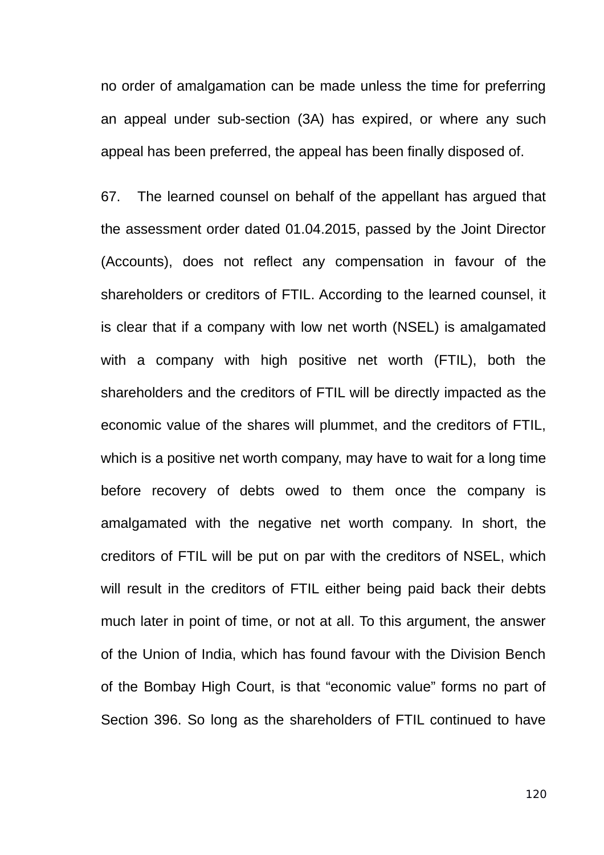no order of amalgamation can be made unless the time for preferring an appeal under sub-section (3A) has expired, or where any such appeal has been preferred, the appeal has been finally disposed of.

67. The learned counsel on behalf of the appellant has argued that the assessment order dated 01.04.2015, passed by the Joint Director (Accounts), does not reflect any compensation in favour of the shareholders or creditors of FTIL. According to the learned counsel, it is clear that if a company with low net worth (NSEL) is amalgamated with a company with high positive net worth (FTIL), both the shareholders and the creditors of FTIL will be directly impacted as the economic value of the shares will plummet, and the creditors of FTIL, which is a positive net worth company, may have to wait for a long time before recovery of debts owed to them once the company is amalgamated with the negative net worth company. In short, the creditors of FTIL will be put on par with the creditors of NSEL, which will result in the creditors of FTIL either being paid back their debts much later in point of time, or not at all. To this argument, the answer of the Union of India, which has found favour with the Division Bench of the Bombay High Court, is that "economic value" forms no part of Section 396. So long as the shareholders of FTIL continued to have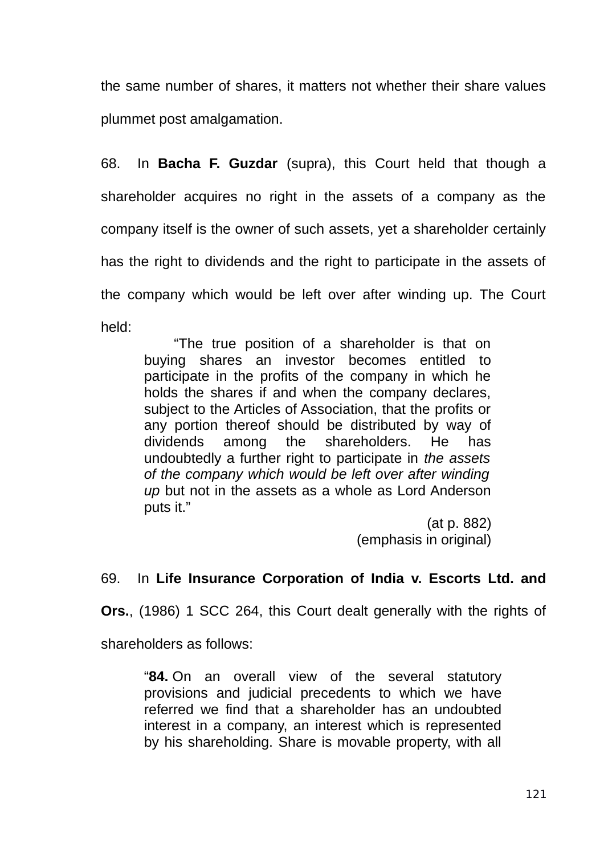the same number of shares, it matters not whether their share values plummet post amalgamation.

68. In **Bacha F. Guzdar** (supra), this Court held that though a shareholder acquires no right in the assets of a company as the company itself is the owner of such assets, yet a shareholder certainly has the right to dividends and the right to participate in the assets of the company which would be left over after winding up. The Court held:

"The true position of a shareholder is that on buying shares an investor becomes entitled to participate in the profits of the company in which he holds the shares if and when the company declares, subject to the Articles of Association, that the profits or any portion thereof should be distributed by way of dividends among the shareholders. He has undoubtedly a further right to participate in *the assets of the company which would be left over after winding up* but not in the assets as a whole as Lord Anderson puts it."

> (at p. 882) (emphasis in original)

## 69. In **Life Insurance Corporation of India v. Escorts Ltd. and**

**Ors.**, (1986) 1 SCC 264, this Court dealt generally with the rights of

shareholders as follows:

"**84.** On an overall view of the several statutory provisions and judicial precedents to which we have referred we find that a shareholder has an undoubted interest in a company, an interest which is represented by his shareholding. Share is movable property, with all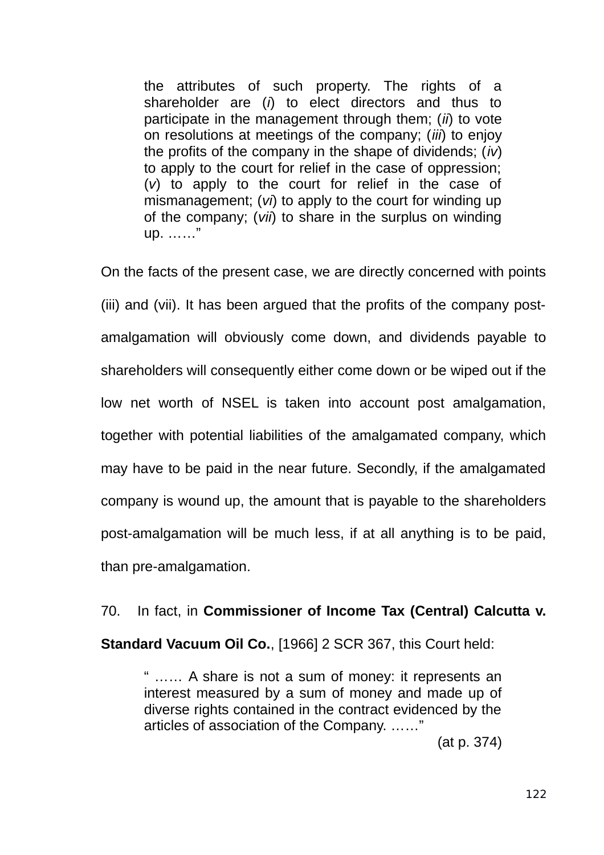the attributes of such property. The rights of a shareholder are (*i*) to elect directors and thus to participate in the management through them; (*ii*) to vote on resolutions at meetings of the company; (*iii*) to enjoy the profits of the company in the shape of dividends; (*iv*) to apply to the court for relief in the case of oppression; (*v*) to apply to the court for relief in the case of mismanagement; (*vi*) to apply to the court for winding up of the company; (*vii*) to share in the surplus on winding up. ……"

On the facts of the present case, we are directly concerned with points (iii) and (vii). It has been argued that the profits of the company postamalgamation will obviously come down, and dividends payable to shareholders will consequently either come down or be wiped out if the low net worth of NSEL is taken into account post amalgamation, together with potential liabilities of the amalgamated company, which may have to be paid in the near future. Secondly, if the amalgamated company is wound up, the amount that is payable to the shareholders post-amalgamation will be much less, if at all anything is to be paid, than pre-amalgamation.

70. In fact, in **Commissioner of Income Tax (Central) Calcutta v.**

**Standard Vacuum Oil Co.**, [1966] 2 SCR 367, this Court held:

" …… A share is not a sum of money: it represents an interest measured by a sum of money and made up of diverse rights contained in the contract evidenced by the articles of association of the Company. ……"

(at p. 374)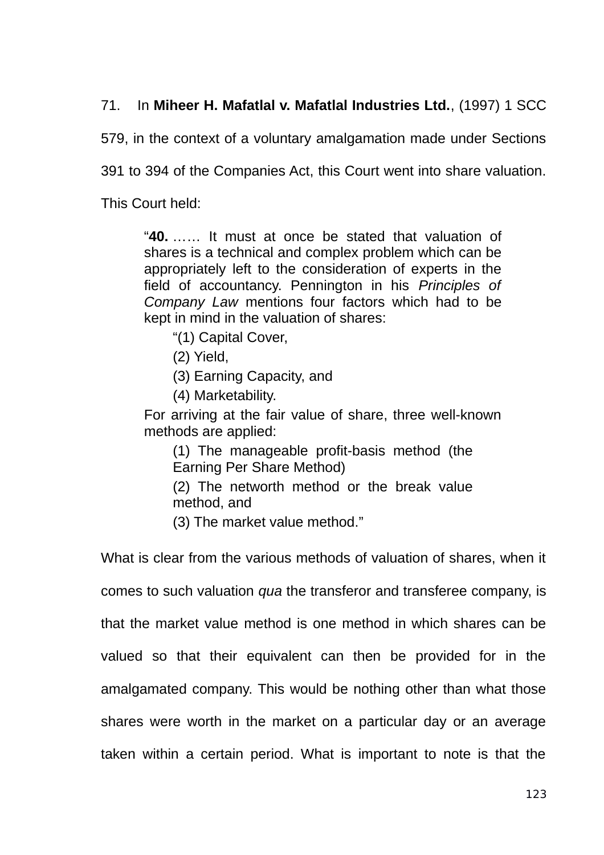## 71. In **Miheer H. Mafatlal v. Mafatlal Industries Ltd.**, (1997) 1 SCC

579, in the context of a voluntary amalgamation made under Sections

391 to 394 of the Companies Act, this Court went into share valuation.

This Court held:

"**40.** …… It must at once be stated that valuation of shares is a technical and complex problem which can be appropriately left to the consideration of experts in the field of accountancy. Pennington in his *Principles of Company Law* mentions four factors which had to be kept in mind in the valuation of shares:

- "(1) Capital Cover,
- (2) Yield,
- (3) Earning Capacity, and
- (4) Marketability.

For arriving at the fair value of share, three well-known methods are applied:

(1) The manageable profit-basis method (the Earning Per Share Method)

(2) The networth method or the break value method, and

(3) The market value method."

What is clear from the various methods of valuation of shares, when it

comes to such valuation *qua* the transferor and transferee company, is

that the market value method is one method in which shares can be

valued so that their equivalent can then be provided for in the

amalgamated company. This would be nothing other than what those

shares were worth in the market on a particular day or an average

taken within a certain period. What is important to note is that the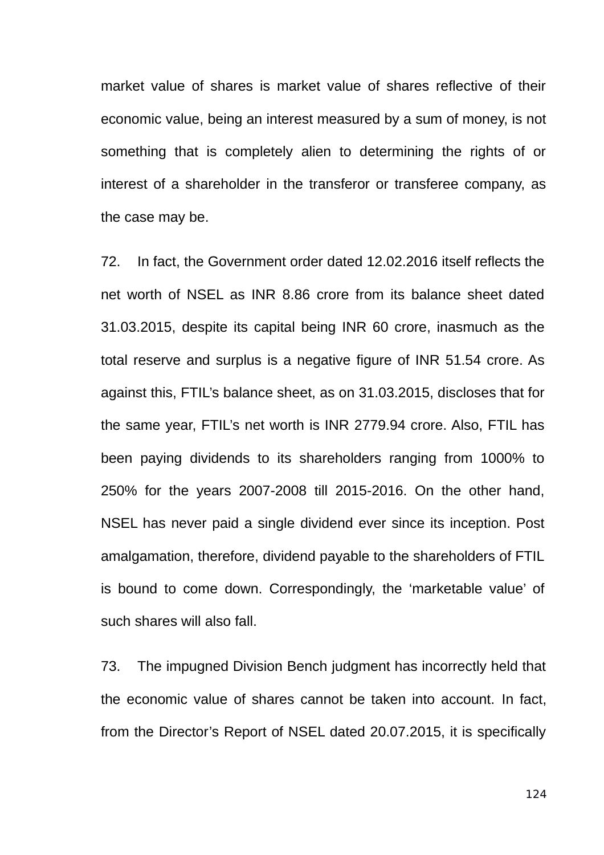market value of shares is market value of shares reflective of their economic value, being an interest measured by a sum of money, is not something that is completely alien to determining the rights of or interest of a shareholder in the transferor or transferee company, as the case may be.

72. In fact, the Government order dated 12.02.2016 itself reflects the net worth of NSEL as INR 8.86 crore from its balance sheet dated 31.03.2015, despite its capital being INR 60 crore, inasmuch as the total reserve and surplus is a negative figure of INR 51.54 crore. As against this, FTIL's balance sheet, as on 31.03.2015, discloses that for the same year, FTIL's net worth is INR 2779.94 crore. Also, FTIL has been paying dividends to its shareholders ranging from 1000% to 250% for the years 2007-2008 till 2015-2016. On the other hand, NSEL has never paid a single dividend ever since its inception. Post amalgamation, therefore, dividend payable to the shareholders of FTIL is bound to come down. Correspondingly, the 'marketable value' of such shares will also fall.

73. The impugned Division Bench judgment has incorrectly held that the economic value of shares cannot be taken into account. In fact, from the Director's Report of NSEL dated 20.07.2015, it is specifically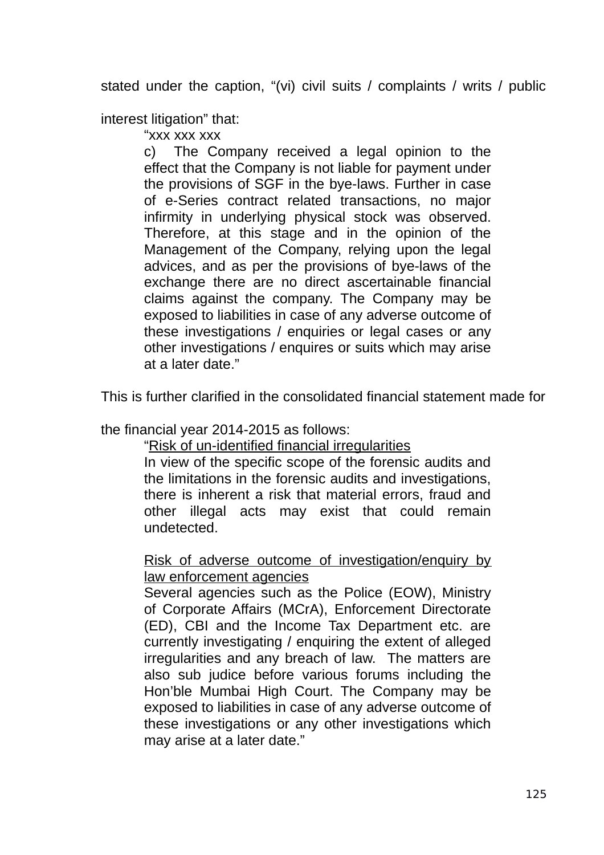stated under the caption, "(vi) civil suits / complaints / writs / public

interest litigation" that:

"xxx xxx xxx

c) The Company received a legal opinion to the effect that the Company is not liable for payment under the provisions of SGF in the bye-laws. Further in case of e-Series contract related transactions, no major infirmity in underlying physical stock was observed. Therefore, at this stage and in the opinion of the Management of the Company, relying upon the legal advices, and as per the provisions of bye-laws of the exchange there are no direct ascertainable financial claims against the company. The Company may be exposed to liabilities in case of any adverse outcome of these investigations / enquiries or legal cases or any other investigations / enquires or suits which may arise at a later date."

This is further clarified in the consolidated financial statement made for

the financial year 2014-2015 as follows:

"Risk of un-identified financial irregularities

In view of the specific scope of the forensic audits and the limitations in the forensic audits and investigations, there is inherent a risk that material errors, fraud and other illegal acts may exist that could remain undetected.

Risk of adverse outcome of investigation/enquiry by law enforcement agencies

Several agencies such as the Police (EOW), Ministry of Corporate Affairs (MCrA), Enforcement Directorate (ED), CBI and the Income Tax Department etc. are currently investigating / enquiring the extent of alleged irregularities and any breach of law. The matters are also sub judice before various forums including the Hon'ble Mumbai High Court. The Company may be exposed to liabilities in case of any adverse outcome of these investigations or any other investigations which may arise at a later date."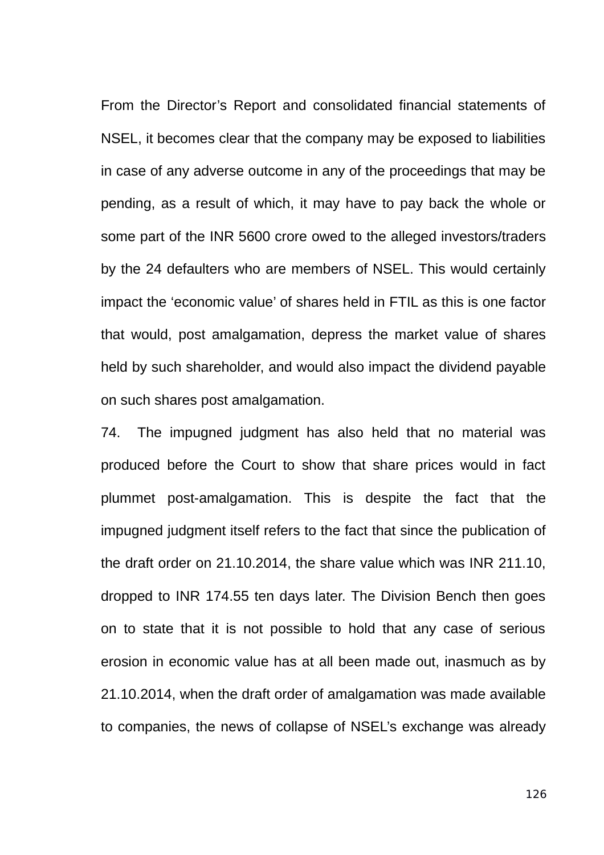From the Director's Report and consolidated financial statements of NSEL, it becomes clear that the company may be exposed to liabilities in case of any adverse outcome in any of the proceedings that may be pending, as a result of which, it may have to pay back the whole or some part of the INR 5600 crore owed to the alleged investors/traders by the 24 defaulters who are members of NSEL. This would certainly impact the 'economic value' of shares held in FTIL as this is one factor that would, post amalgamation, depress the market value of shares held by such shareholder, and would also impact the dividend payable on such shares post amalgamation.

74. The impugned judgment has also held that no material was produced before the Court to show that share prices would in fact plummet post-amalgamation. This is despite the fact that the impugned judgment itself refers to the fact that since the publication of the draft order on 21.10.2014, the share value which was INR 211.10, dropped to INR 174.55 ten days later. The Division Bench then goes on to state that it is not possible to hold that any case of serious erosion in economic value has at all been made out, inasmuch as by 21.10.2014, when the draft order of amalgamation was made available to companies, the news of collapse of NSEL's exchange was already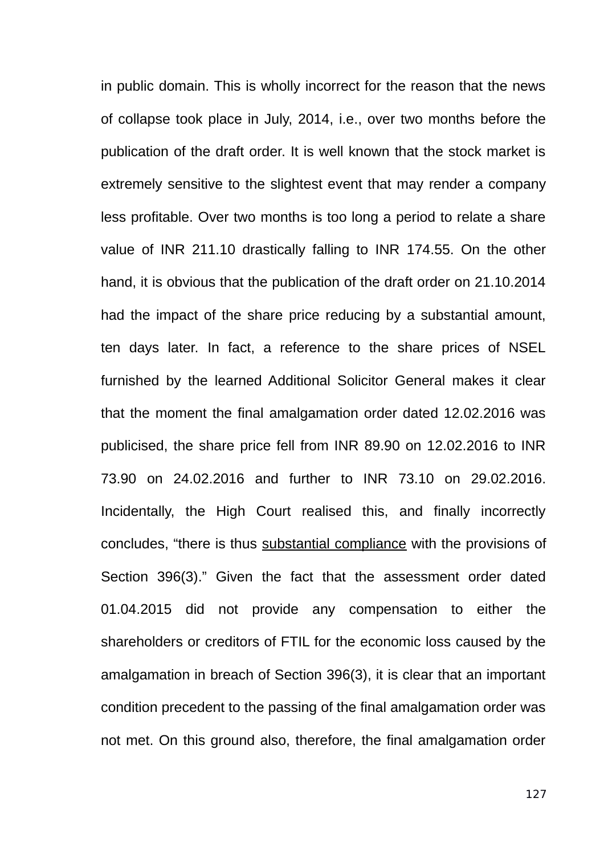in public domain. This is wholly incorrect for the reason that the news of collapse took place in July, 2014, i.e., over two months before the publication of the draft order. It is well known that the stock market is extremely sensitive to the slightest event that may render a company less profitable. Over two months is too long a period to relate a share value of INR 211.10 drastically falling to INR 174.55. On the other hand, it is obvious that the publication of the draft order on 21.10.2014 had the impact of the share price reducing by a substantial amount, ten days later. In fact, a reference to the share prices of NSEL furnished by the learned Additional Solicitor General makes it clear that the moment the final amalgamation order dated 12.02.2016 was publicised, the share price fell from INR 89.90 on 12.02.2016 to INR 73.90 on 24.02.2016 and further to INR 73.10 on 29.02.2016. Incidentally, the High Court realised this, and finally incorrectly concludes, "there is thus substantial compliance with the provisions of Section 396(3)." Given the fact that the assessment order dated 01.04.2015 did not provide any compensation to either the shareholders or creditors of FTIL for the economic loss caused by the amalgamation in breach of Section 396(3), it is clear that an important condition precedent to the passing of the final amalgamation order was not met. On this ground also, therefore, the final amalgamation order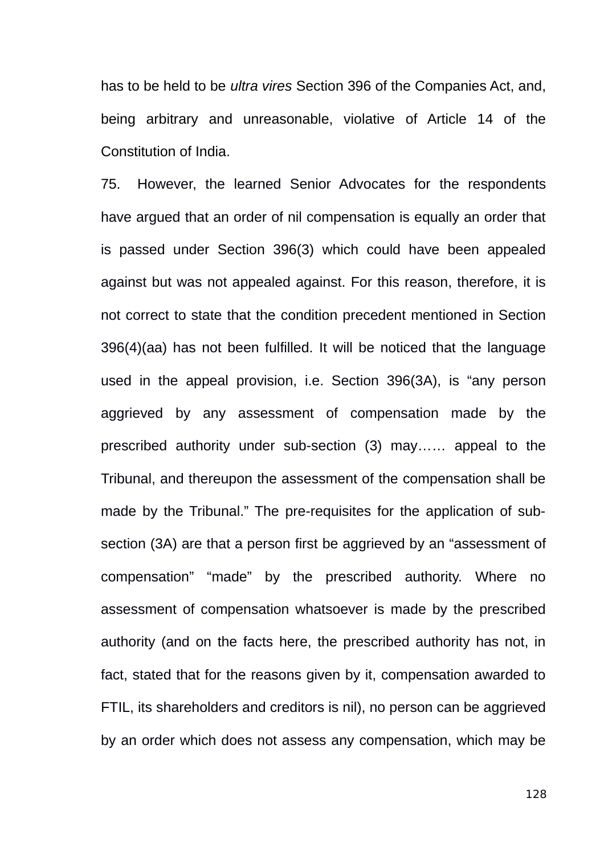has to be held to be *ultra vires* Section 396 of the Companies Act, and, being arbitrary and unreasonable, violative of Article 14 of the Constitution of India.

75. However, the learned Senior Advocates for the respondents have argued that an order of nil compensation is equally an order that is passed under Section 396(3) which could have been appealed against but was not appealed against. For this reason, therefore, it is not correct to state that the condition precedent mentioned in Section 396(4)(aa) has not been fulfilled. It will be noticed that the language used in the appeal provision, i.e. Section 396(3A), is "any person aggrieved by any assessment of compensation made by the prescribed authority under sub-section (3) may…… appeal to the Tribunal, and thereupon the assessment of the compensation shall be made by the Tribunal." The pre-requisites for the application of subsection (3A) are that a person first be aggrieved by an "assessment of compensation" "made" by the prescribed authority. Where no assessment of compensation whatsoever is made by the prescribed authority (and on the facts here, the prescribed authority has not, in fact, stated that for the reasons given by it, compensation awarded to FTIL, its shareholders and creditors is nil), no person can be aggrieved by an order which does not assess any compensation, which may be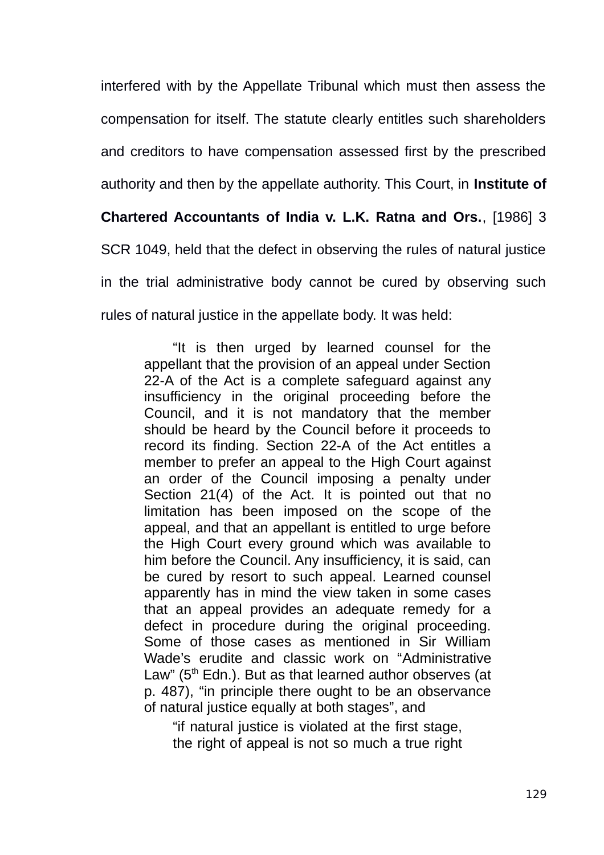interfered with by the Appellate Tribunal which must then assess the compensation for itself. The statute clearly entitles such shareholders and creditors to have compensation assessed first by the prescribed authority and then by the appellate authority. This Court, in **Institute of Chartered Accountants of India v. L.K. Ratna and Ors.**, [1986] 3 SCR 1049, held that the defect in observing the rules of natural justice in the trial administrative body cannot be cured by observing such rules of natural justice in the appellate body. It was held:

"It is then urged by learned counsel for the appellant that the provision of an appeal under Section 22-A of the Act is a complete safeguard against any insufficiency in the original proceeding before the Council, and it is not mandatory that the member should be heard by the Council before it proceeds to record its finding. Section 22-A of the Act entitles a member to prefer an appeal to the High Court against an order of the Council imposing a penalty under Section 21(4) of the Act. It is pointed out that no limitation has been imposed on the scope of the appeal, and that an appellant is entitled to urge before the High Court every ground which was available to him before the Council. Any insufficiency, it is said, can be cured by resort to such appeal. Learned counsel apparently has in mind the view taken in some cases that an appeal provides an adequate remedy for a defect in procedure during the original proceeding. Some of those cases as mentioned in Sir William Wade's erudite and classic work on "Administrative Law" ( $5<sup>th</sup>$  Edn.). But as that learned author observes (at p. 487), "in principle there ought to be an observance of natural justice equally at both stages", and

"if natural justice is violated at the first stage, the right of appeal is not so much a true right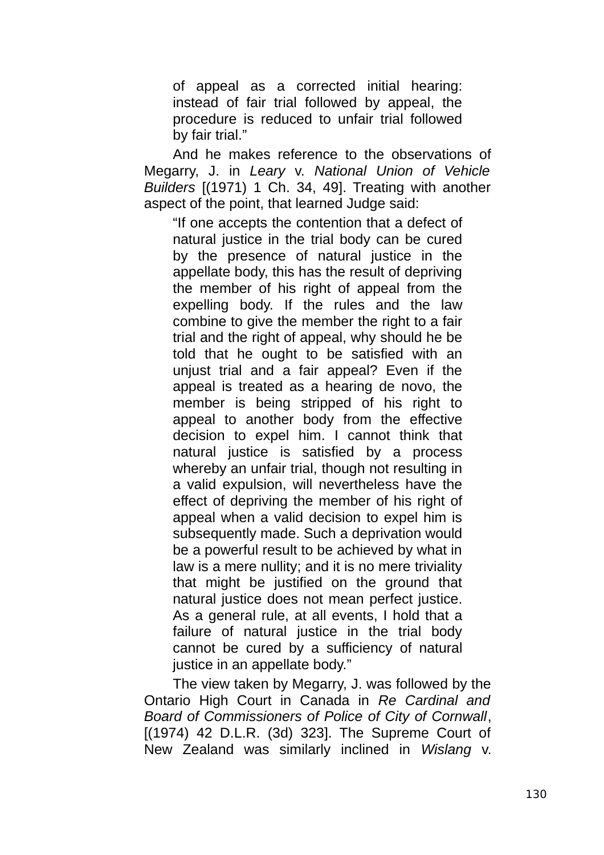of appeal as a corrected initial hearing: instead of fair trial followed by appeal, the procedure is reduced to unfair trial followed by fair trial."

And he makes reference to the observations of Megarry, J. in *Leary* v. *National Union of Vehicle Builders* [(1971) 1 Ch. 34, 49]. Treating with another aspect of the point, that learned Judge said:

"If one accepts the contention that a defect of natural justice in the trial body can be cured by the presence of natural justice in the appellate body, this has the result of depriving the member of his right of appeal from the expelling body. If the rules and the law combine to give the member the right to a fair trial and the right of appeal, why should he be told that he ought to be satisfied with an unjust trial and a fair appeal? Even if the appeal is treated as a hearing de novo, the member is being stripped of his right to appeal to another body from the effective decision to expel him. I cannot think that natural justice is satisfied by a process whereby an unfair trial, though not resulting in a valid expulsion, will nevertheless have the effect of depriving the member of his right of appeal when a valid decision to expel him is subsequently made. Such a deprivation would be a powerful result to be achieved by what in law is a mere nullity; and it is no mere triviality that might be justified on the ground that natural justice does not mean perfect justice. As a general rule, at all events, I hold that a failure of natural justice in the trial body cannot be cured by a sufficiency of natural justice in an appellate body."

The view taken by Megarry, J. was followed by the Ontario High Court in Canada in *Re Cardinal and Board of Commissioners of Police of City of Cornwall*, [(1974) 42 D.L.R. (3d) 323]. The Supreme Court of New Zealand was similarly inclined in *Wislang* v.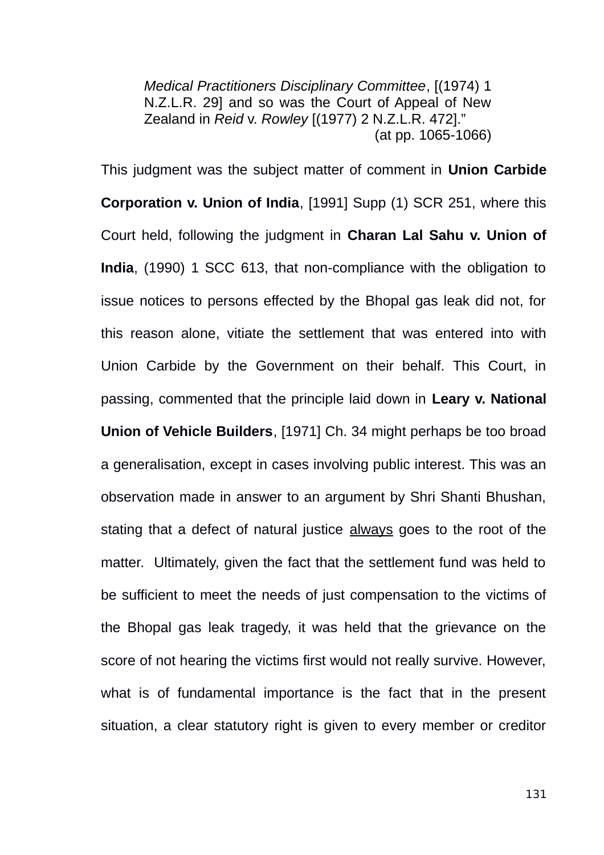*Medical Practitioners Disciplinary Committee*, [(1974) 1 N.Z.L.R. 29] and so was the Court of Appeal of New Zealand in *Reid* v. *Rowley* [(1977) 2 N.Z.L.R. 472]." (at pp. 1065-1066)

This judgment was the subject matter of comment in **Union Carbide Corporation v. Union of India**, [1991] Supp (1) SCR 251, where this Court held, following the judgment in **Charan Lal Sahu v. Union of India**, (1990) 1 SCC 613, that non-compliance with the obligation to issue notices to persons effected by the Bhopal gas leak did not, for this reason alone, vitiate the settlement that was entered into with Union Carbide by the Government on their behalf. This Court, in passing, commented that the principle laid down in **Leary v. National Union of Vehicle Builders**, [1971] Ch. 34 might perhaps be too broad a generalisation, except in cases involving public interest. This was an observation made in answer to an argument by Shri Shanti Bhushan, stating that a defect of natural justice always goes to the root of the matter. Ultimately, given the fact that the settlement fund was held to be sufficient to meet the needs of just compensation to the victims of the Bhopal gas leak tragedy, it was held that the grievance on the score of not hearing the victims first would not really survive. However, what is of fundamental importance is the fact that in the present situation, a clear statutory right is given to every member or creditor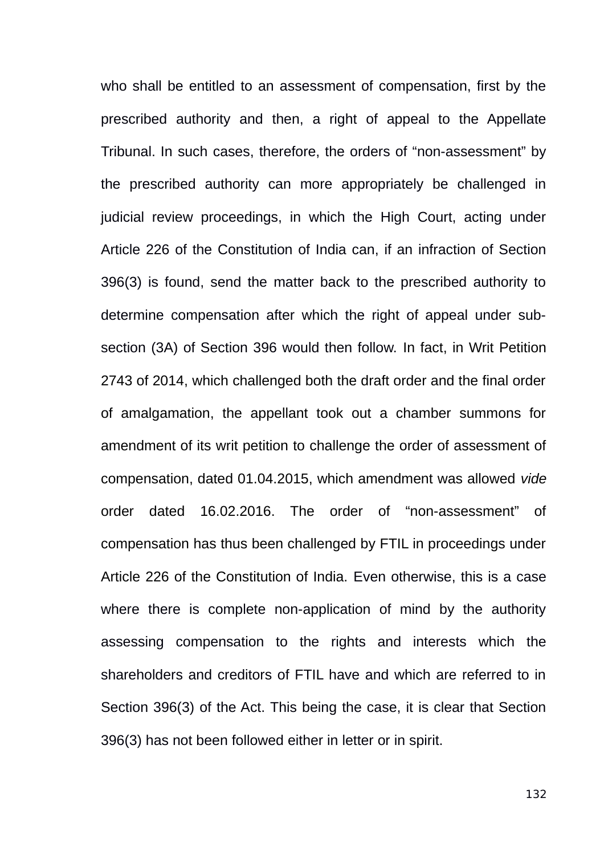who shall be entitled to an assessment of compensation, first by the prescribed authority and then, a right of appeal to the Appellate Tribunal. In such cases, therefore, the orders of "non-assessment" by the prescribed authority can more appropriately be challenged in judicial review proceedings, in which the High Court, acting under Article 226 of the Constitution of India can, if an infraction of Section 396(3) is found, send the matter back to the prescribed authority to determine compensation after which the right of appeal under subsection (3A) of Section 396 would then follow. In fact, in Writ Petition 2743 of 2014, which challenged both the draft order and the final order of amalgamation, the appellant took out a chamber summons for amendment of its writ petition to challenge the order of assessment of compensation, dated 01.04.2015, which amendment was allowed *vide* order dated 16.02.2016. The order of "non-assessment" of compensation has thus been challenged by FTIL in proceedings under Article 226 of the Constitution of India. Even otherwise, this is a case where there is complete non-application of mind by the authority assessing compensation to the rights and interests which the shareholders and creditors of FTIL have and which are referred to in Section 396(3) of the Act. This being the case, it is clear that Section 396(3) has not been followed either in letter or in spirit.